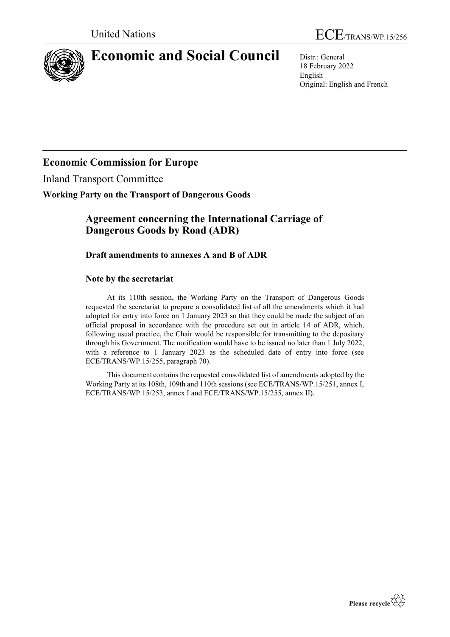



# **Economic and Social Council** Distr.: General

18 February 2022 English Original: English and French

## **Economic Commission for Europe**

Inland Transport Committee

## **Working Party on the Transport of Dangerous Goods**

## **Agreement concerning the International Carriage of Dangerous Goods by Road (ADR)**

## **Draft amendments to annexes A and B of ADR**

## **Note by the secretariat**

At its 110th session, the Working Party on the Transport of Dangerous Goods requested the secretariat to prepare a consolidated list of all the amendments which it had adopted for entry into force on 1 January 2023 so that they could be made the subject of an official proposal in accordance with the procedure set out in article 14 of ADR, which, following usual practice, the Chair would be responsible for transmitting to the depositary through his Government. The notification would have to be issued no later than 1 July 2022, with a reference to 1 January 2023 as the scheduled date of entry into force (see ECE/TRANS/WP.15/255, paragraph 70).

This document contains the requested consolidated list of amendments adopted by the Working Party at its 108th, 109th and 110th sessions (see ECE/TRANS/WP.15/251, annex I, ECE/TRANS/WP.15/253, annex I and ECE/TRANS/WP.15/255, annex II).

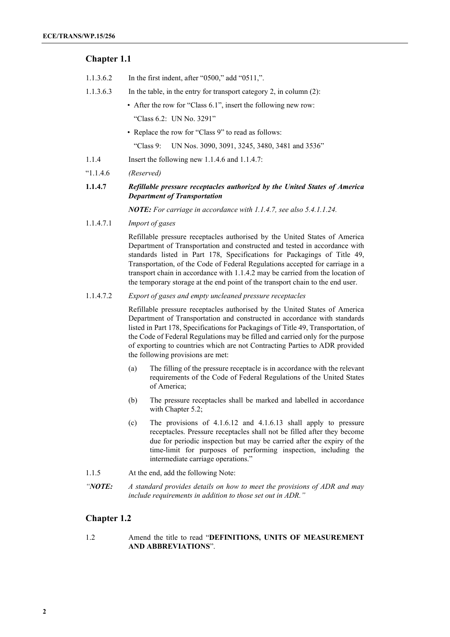## **Chapter 1.1**

- 1.1.3.6.2 In the first indent, after "0500," add "0511,".
- 1.1.3.6.3 In the table, in the entry for transport category 2, in column (2):
	- After the row for "Class 6.1", insert the following new row: "Class 6.2: UN No. 3291"
	- Replace the row for "Class 9" to read as follows:

"Class 9: UN Nos. 3090, 3091, 3245, 3480, 3481 and 3536"

- 1.1.4 Insert the following new 1.1.4.6 and 1.1.4.7:
- "1.1.4.6 *(Reserved)*

## **1.1.4.7** *Refillable pressure receptacles authorized by the United States of America Department of Transportation*

*NOTE: For carriage in accordance with 1.1.4.7, see also 5.4.1.1.24.*

1.1.4.7.1 *Import of gases*

Refillable pressure receptacles authorised by the United States of America Department of Transportation and constructed and tested in accordance with standards listed in Part 178, Specifications for Packagings of Title 49, Transportation, of the Code of Federal Regulations accepted for carriage in a transport chain in accordance with 1.1.4.2 may be carried from the location of the temporary storage at the end point of the transport chain to the end user.

## 1.1.4.7.2 *Export of gases and empty uncleaned pressure receptacles*

Refillable pressure receptacles authorised by the United States of America Department of Transportation and constructed in accordance with standards listed in Part 178, Specifications for Packagings of Title 49, Transportation, of the Code of Federal Regulations may be filled and carried only for the purpose of exporting to countries which are not Contracting Parties to ADR provided the following provisions are met:

- (a) The filling of the pressure receptacle is in accordance with the relevant requirements of the Code of Federal Regulations of the United States of America;
- (b) The pressure receptacles shall be marked and labelled in accordance with Chapter 5.2;
- (c) The provisions of 4.1.6.12 and 4.1.6.13 shall apply to pressure receptacles. Pressure receptacles shall not be filled after they become due for periodic inspection but may be carried after the expiry of the time-limit for purposes of performing inspection, including the intermediate carriage operations."

1.1.5 At the end, add the following Note:

*"NOTE: A standard provides details on how to meet the provisions of ADR and may include requirements in addition to those set out in ADR."*

## **Chapter 1.2**

1.2 Amend the title to read "**DEFINITIONS, UNITS OF MEASUREMENT AND ABBREVIATIONS**".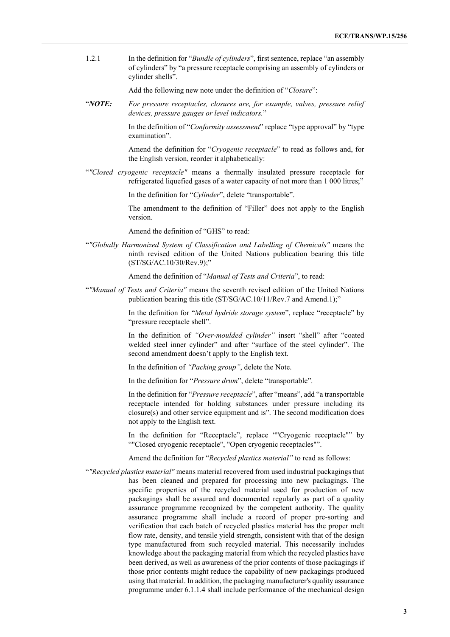1.2.1 In the definition for "*Bundle of cylinders*", first sentence, replace "an assembly of cylinders" by "a pressure receptacle comprising an assembly of cylinders or cylinder shells".

Add the following new note under the definition of "*Closure*":

"*NOTE: For pressure receptacles, closures are, for example, valves, pressure relief devices, pressure gauges or level indicators.*"

> In the definition of "*Conformity assessment*" replace "type approval" by "type examination".

> Amend the definition for "*Cryogenic receptacle*" to read as follows and, for the English version, reorder it alphabetically:

"*"Closed cryogenic receptacle"* means a thermally insulated pressure receptacle for refrigerated liquefied gases of a water capacity of not more than 1 000 litres;"

In the definition for "*Cylinder*", delete "transportable".

The amendment to the definition of "Filler" does not apply to the English version.

Amend the definition of "GHS" to read:

"*"Globally Harmonized System of Classification and Labelling of Chemicals"* means the ninth revised edition of the United Nations publication bearing this title (ST/SG/AC.10/30/Rev.9);"

Amend the definition of "*Manual of Tests and Criteria*", to read:

"*"Manual of Tests and Criteria"* means the seventh revised edition of the United Nations publication bearing this title (ST/SG/AC.10/11/Rev.7 and Amend.1);"

> In the definition for "*Metal hydride storage system*", replace "receptacle" by "pressure receptacle shell".

> In the definition of *"Over-moulded cylinder"* insert "shell" after "coated welded steel inner cylinder" and after "surface of the steel cylinder". The second amendment doesn't apply to the English text.

In the definition of *"Packing group"*, delete the Note.

In the definition for "*Pressure drum*", delete "transportable".

In the definition for "*Pressure receptacle*", after "means", add "a transportable receptacle intended for holding substances under pressure including its closure(s) and other service equipment and is". The second modification does not apply to the English text.

In the definition for "Receptacle", replace ""Cryogenic receptacle"" by ""Closed cryogenic receptacle", "Open cryogenic receptacles"".

Amend the definition for "*Recycled plastics material"* to read as follows:

"*"Recycled plastics material"* means material recovered from used industrial packagings that has been cleaned and prepared for processing into new packagings. The specific properties of the recycled material used for production of new packagings shall be assured and documented regularly as part of a quality assurance programme recognized by the competent authority. The quality assurance programme shall include a record of proper pre-sorting and verification that each batch of recycled plastics material has the proper melt flow rate, density, and tensile yield strength, consistent with that of the design type manufactured from such recycled material. This necessarily includes knowledge about the packaging material from which the recycled plastics have been derived, as well as awareness of the prior contents of those packagings if those prior contents might reduce the capability of new packagings produced using that material. In addition, the packaging manufacturer's quality assurance programme under 6.1.1.4 shall include performance of the mechanical design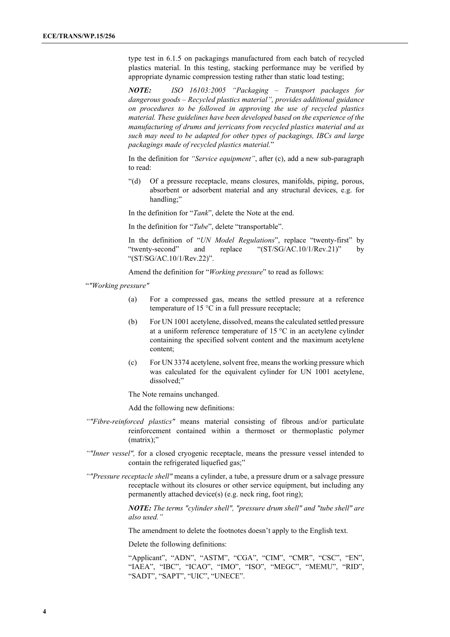type test in 6.1.5 on packagings manufactured from each batch of recycled plastics material. In this testing, stacking performance may be verified by appropriate dynamic compression testing rather than static load testing;

*NOTE: ISO 16103:2005 "Packaging – Transport packages for dangerous goods – Recycled plastics material", provides additional guidance on procedures to be followed in approving the use of recycled plastics material. These guidelines have been developed based on the experience of the manufacturing of drums and jerricans from recycled plastics material and as such may need to be adapted for other types of packagings, IBCs and large packagings made of recycled plastics material.*"

In the definition for *"Service equipment"*, after (c), add a new sub-paragraph to read:

"(d) Of a pressure receptacle, means closures, manifolds, piping, porous, absorbent or adsorbent material and any structural devices, e.g. for handling;"

In the definition for "*Tank*", delete the Note at the end.

In the definition for "*Tube*", delete "transportable".

In the definition of "*UN Model Regulations*", replace "twenty-first" by "twenty-second" and replace "(ST/SG/AC.10/1/Rev.21)" by "(ST/SG/AC.10/1/Rev.22)".

Amend the definition for "*Working pressure*" to read as follows:

"*"Working pressure"*

- (a) For a compressed gas, means the settled pressure at a reference temperature of 15 °C in a full pressure receptacle;
- (b) For UN 1001 acetylene, dissolved, means the calculated settled pressure at a uniform reference temperature of 15 °C in an acetylene cylinder containing the specified solvent content and the maximum acetylene content;
- (c) For UN 3374 acetylene, solvent free, means the working pressure which was calculated for the equivalent cylinder for UN 1001 acetylene, dissolved;"

The Note remains unchanged.

Add the following new definitions:

- *""Fibre-reinforced plastics"* means material consisting of fibrous and/or particulate reinforcement contained within a thermoset or thermoplastic polymer (matrix);"
- *""Inner vessel",* for a closed cryogenic receptacle, means the pressure vessel intended to contain the refrigerated liquefied gas;"
- *""Pressure receptacle shell"* means a cylinder, a tube, a pressure drum or a salvage pressure receptacle without its closures or other service equipment, but including any permanently attached device(s) (e.g. neck ring, foot ring);

*NOTE: The terms "cylinder shell", "pressure drum shell" and "tube shell" are also used."*

The amendment to delete the footnotes doesn't apply to the English text.

Delete the following definitions:

"Applicant", "ADN", "ASTM", "CGA", "CIM", "CMR", "CSC", "EN", "IAEA", "IBC", "ICAO", "IMO", "ISO", "MEGC", "MEMU", "RID", "SADT", "SAPT", "UIC", "UNECE".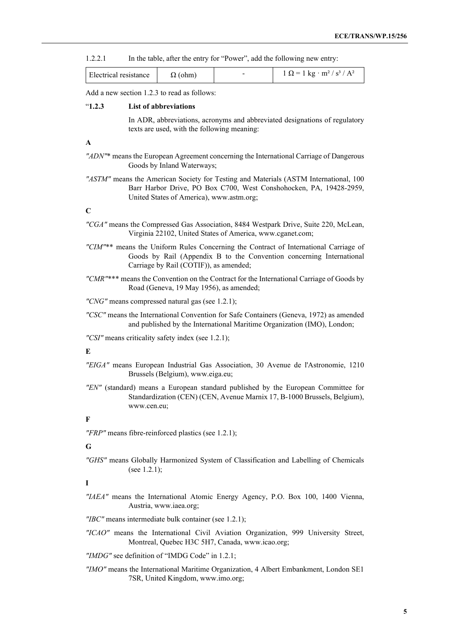1.2.2.1 In the table, after the entry for "Power", add the following new entry:

| l Electrical resistance | ohm) |  | $1 \text{ kg} \cdot \text{m}^2 / \text{ s}^3 / \text{A}^2$ |
|-------------------------|------|--|------------------------------------------------------------|
|-------------------------|------|--|------------------------------------------------------------|

Add a new section 1.2.3 to read as follows:

#### "**1.2.3 List of abbreviations**

In ADR, abbreviations, acronyms and abbreviated designations of regulatory texts are used, with the following meaning:

#### **A**

- *"ADN"*\* means the European Agreement concerning the International Carriage of Dangerous Goods by Inland Waterways;
- *"ASTM"* means the American Society for Testing and Materials (ASTM International, 100 Barr Harbor Drive, PO Box C700, West Conshohocken, PA, 19428-2959, United States of America), [www.astm.org;](http://www.astm.org/)

## **C**

- *"CGA"* means the Compressed Gas Association, 8484 Westpark Drive, Suite 220, McLean, Virginia 22102, United States of America, www.cganet.com;
- *"CIM"*\*\* means the Uniform Rules Concerning the Contract of International Carriage of Goods by Rail (Appendix B to the Convention concerning International Carriage by Rail (COTIF)), as amended;
- *"CMR"*\*\*\* means the Convention on the Contract for the International Carriage of Goods by Road (Geneva, 19 May 1956), as amended;

*"CNG"* means compressed natural gas (see 1.2.1);

*"CSC"* means the International Convention for Safe Containers (Geneva, 1972) as amended and published by the International Maritime Organization (IMO), London;

*"CSI"* means criticality safety index (see 1.2.1);

#### **E**

- *"EIGA"* means European Industrial Gas Association, 30 Avenue de l'Astronomie, 1210 Brussels (Belgium), www.eiga.eu;
- *"EN"* (standard) means a European standard published by the European Committee for Standardization (CEN) (CEN, Avenue Marnix 17, B-1000 Brussels, Belgium), [www.cen.eu;](http://www.cen.eu/)

#### **F**

*"FRP"* means fibre-reinforced plastics (see 1.2.1);

### **G**

*"GHS"* means Globally Harmonized System of Classification and Labelling of Chemicals (see 1.2.1);

**I**

*"IAEA"* means the International Atomic Energy Agency, P.O. Box 100, 1400 Vienna, Austria, www.iaea.org;

*"IBC"* means intermediate bulk container (see 1.2.1);

- *"ICAO"* means the International Civil Aviation Organization, 999 University Street, Montreal, Quebec H3C 5H7, Canada, www.icao.org;
- *"IMDG"* see definition of "IMDG Code" in 1.2.1;
- *"IMO"* means the International Maritime Organization, 4 Albert Embankment, London SE1 7SR, United Kingdom, [www.imo.org;](http://www.imo.org/)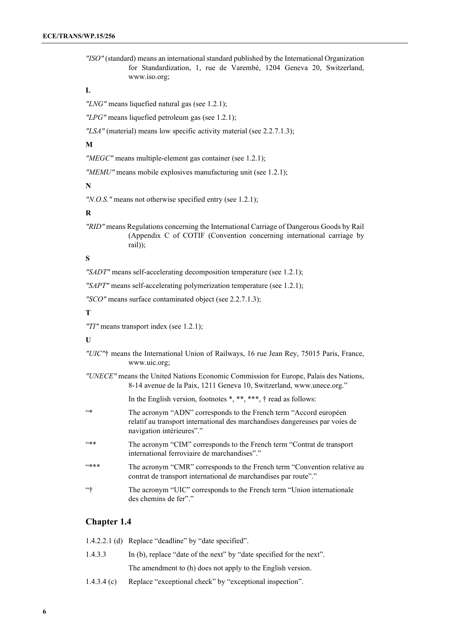*"ISO"* (standard) means an international standard published by the International Organization for Standardization, 1, rue de Varembé, 1204 Geneva 20, Switzerland, [www.iso.org;](http://www.iso.org/)

## **L**

*"LNG"* means liquefied natural gas (see 1.2.1);

*"LPG"* means liquefied petroleum gas (see 1.2.1);

*"LSA"* (material) means low specific activity material (see 2.2.7.1.3);

## **M**

*"MEGC"* means multiple-element gas container (see 1.2.1);

*"MEMU"* means mobile explosives manufacturing unit (see 1.2.1);

## **N**

*"N.O.S."* means not otherwise specified entry (see 1.2.1);

## **R**

*"RID"* means Regulations concerning the International Carriage of Dangerous Goods by Rail (Appendix C of COTIF (Convention concerning international carriage by rail));

#### **S**

*"SADT"* means self-accelerating decomposition temperature (see 1.2.1);

*"SAPT"* means self-accelerating polymerization temperature (see 1.2.1);

*"SCO"* means surface contaminated object (see 2.2.7.1.3);

#### **T**

*"TI"* means transport index (see 1.2.1);

#### **U**

- *"UIC"*† means the International Union of Railways, 16 rue Jean Rey, 75015 Paris, France, [www.uic.org;](http://www.uic.org/)
- *"UNECE"* means the United Nations Economic Commission for Europe, Palais des Nations, 8-14 avenue de la Paix, 1211 Geneva 10, Switzerland, [www.unece.org.](http://www.unece.org/)"

In the English version, footnotes \*, \*\*, \*\*\*, † read as follows:

- "\* The acronym "ADN" corresponds to the French term "Accord européen relatif au transport international des marchandises dangereuses par voies de navigation intérieures"."
- "\*\* The acronym "CIM" corresponds to the French term "Contrat de transport international ferroviaire de marchandises"."
- "\*\*\* The acronym "CMR" corresponds to the French term "Convention relative au contrat de transport international de marchandises par route"."
- "<sup>+</sup>" The acronym "UIC" corresponds to the French term "Union internationale" des chemins de fer"."

## **Chapter 1.4**

|             | 1.4.2.2.1 (d) Replace "deadline" by "date specified".                |
|-------------|----------------------------------------------------------------------|
| 1.4.3.3     | In (b), replace "date of the next" by "date specified for the next". |
|             | The amendment to (h) does not apply to the English version.          |
| 1.4.3.4 (c) | Replace "exceptional check" by "exceptional inspection".             |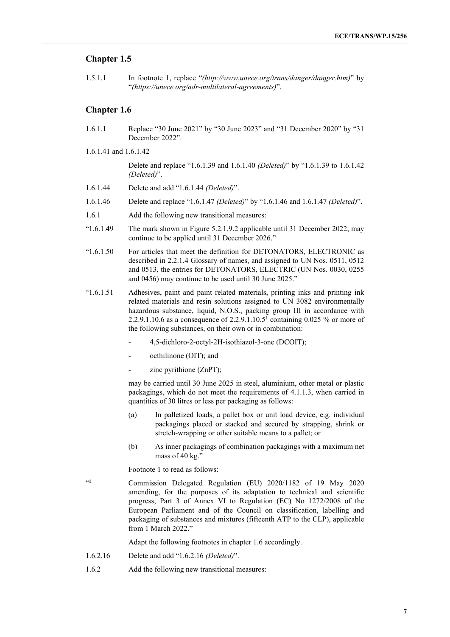## **Chapter 1.5**

1.5.1.1 In footnote 1, replace "*(http://www.unece.org/trans/danger/danger.htm)*" by "*(https://unece.org/adr-multilateral-agreements)*".

## **Chapter 1.6**

- 1.6.1.1 Replace "30 June 2021" by "30 June 2023" and "31 December 2020" by "31 December 2022".
- 1.6.1.41 and 1.6.1.42

Delete and replace "1.6.1.39 and 1.6.1.40 *(Deleted)*" by "1.6.1.39 to 1.6.1.42 *(Deleted)*".

- 1.6.1.44 Delete and add "1.6.1.44 *(Deleted)*".
- 1.6.1.46 Delete and replace "1.6.1.47 *(Deleted)*" by "1.6.1.46 and 1.6.1.47 *(Deleted)*".
- 1.6.1 Add the following new transitional measures:
- "1.6.1.49 The mark shown in Figure 5.2.1.9.2 applicable until 31 December 2022, may continue to be applied until 31 December 2026."
- "1.6.1.50 For articles that meet the definition for DETONATORS, ELECTRONIC as described in 2.2.1.4 Glossary of names, and assigned to UN Nos. 0511, 0512 and 0513, the entries for DETONATORS, ELECTRIC (UN Nos. 0030, 0255 and 0456) may continue to be used until 30 June 2025."
- "1.6.1.51 Adhesives, paint and paint related materials, printing inks and printing ink related materials and resin solutions assigned to UN 3082 environmentally hazardous substance, liquid, N.O.S., packing group III in accordance with 2.2.9.1.10.6 as a consequence of  $2.2.9.1.10.5<sup>1</sup>$  containing 0.025 % or more of the following substances, on their own or in combination:
	- 4,5-dichloro-2-octyl-2H-isothiazol-3-one (DCOIT);
	- octhilinone (OIT); and
	- $zine$  pyrithione (ZnPT);

may be carried until 30 June 2025 in steel, aluminium, other metal or plastic packagings, which do not meet the requirements of 4.1.1.3, when carried in quantities of 30 litres or less per packaging as follows:

- (a) In palletized loads, a pallet box or unit load device, e.g. individual packagings placed or stacked and secured by strapping, shrink or stretch-wrapping or other suitable means to a pallet; or
- (b) As inner packagings of combination packagings with a maximum net mass of 40 kg."

Footnote 1 to read as follows:

"**<sup>1</sup>** Commission Delegated Regulation (EU) 2020/1182 of 19 May 2020 amending, for the purposes of its adaptation to technical and scientific progress, Part 3 of Annex VI to Regulation (EC) No 1272/2008 of the European Parliament and of the Council on classification, labelling and packaging of substances and mixtures (fifteenth ATP to the CLP), applicable from 1 March 2022."

Adapt the following footnotes in chapter 1.6 accordingly.

- 1.6.2.16 Delete and add "1.6.2.16 *(Deleted)*".
- 1.6.2 Add the following new transitional measures: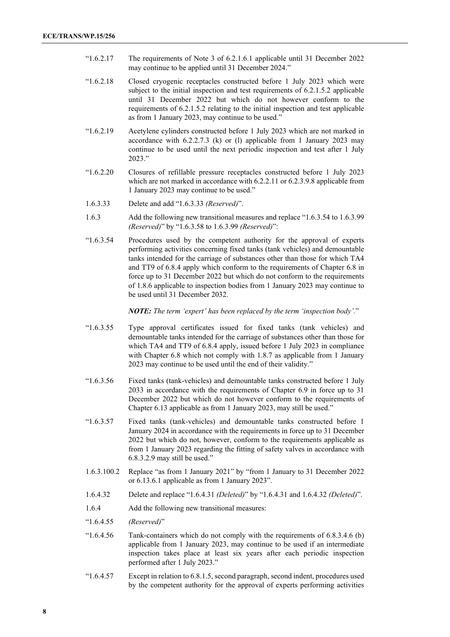- "1.6.2.17 The requirements of Note 3 of 6.2.1.6.1 applicable until 31 December 2022 may continue to be applied until 31 December 2024."
- "1.6.2.18 Closed cryogenic receptacles constructed before 1 July 2023 which were subject to the initial inspection and test requirements of 6.2.1.5.2 applicable until 31 December 2022 but which do not however conform to the requirements of 6.2.1.5.2 relating to the initial inspection and test applicable as from 1 January 2023, may continue to be used."
- "1.6.2.19 Acetylene cylinders constructed before 1 July 2023 which are not marked in accordance with 6.2.2.7.3 (k) or (l) applicable from 1 January 2023 may continue to be used until the next periodic inspection and test after 1 July 2023."
- "1.6.2.20 Closures of refillable pressure receptacles constructed before 1 July 2023 which are not marked in accordance with 6.2.2.11 or 6.2.3.9.8 applicable from 1 January 2023 may continue to be used."
- 1.6.3.33 Delete and add "1.6.3.33 *(Reserved)*".
- 1.6.3 Add the following new transitional measures and replace "1.6.3.54 to 1.6.3.99 *(Reserved)*" by "1.6.3.58 to 1.6.3.99 *(Reserved)*":
- "1.6.3.54 Procedures used by the competent authority for the approval of experts performing activities concerning fixed tanks (tank vehicles) and demountable tanks intended for the carriage of substances other than those for which TA4 and TT9 of 6.8.4 apply which conform to the requirements of Chapter 6.8 in force up to 31 December 2022 but which do not conform to the requirements of 1.8.6 applicable to inspection bodies from 1 January 2023 may continue to be used until 31 December 2032.

*NOTE: The term 'expert' has been replaced by the term 'inspection body'.*"

- "1.6.3.55 Type approval certificates issued for fixed tanks (tank vehicles) and demountable tanks intended for the carriage of substances other than those for which TA4 and TT9 of 6.8.4 apply, issued before 1 July 2023 in compliance with Chapter 6.8 which not comply with 1.8.7 as applicable from 1 January 2023 may continue to be used until the end of their validity."
- "1.6.3.56 Fixed tanks (tank-vehicles) and demountable tanks constructed before 1 July 2033 in accordance with the requirements of Chapter 6.9 in force up to 31 December 2022 but which do not however conform to the requirements of Chapter 6.13 applicable as from 1 January 2023, may still be used."
- "1.6.3.57 Fixed tanks (tank-vehicles) and demountable tanks constructed before 1 January 2024 in accordance with the requirements in force up to 31 December 2022 but which do not, however, conform to the requirements applicable as from 1 January 2023 regarding the fitting of safety valves in accordance with 6.8.3.2.9 may still be used."
- 1.6.3.100.2 Replace "as from 1 January 2021" by "from 1 January to 31 December 2022 or 6.13.6.1 applicable as from 1 January 2023".
- 1.6.4.32 Delete and replace "1.6.4.31 *(Deleted)*" by "1.6.4.31 and 1.6.4.32 *(Deleted)*".
- 1.6.4 Add the following new transitional measures:
- "1.6.4.55 *(Reserved)*"
- "1.6.4.56 Tank-containers which do not comply with the requirements of 6.8.3.4.6 (b) applicable from 1 January 2023, may continue to be used if an intermediate inspection takes place at least six years after each periodic inspection performed after 1 July 2023."
- "1.6.4.57 Except in relation to 6.8.1.5, second paragraph, second indent, procedures used by the competent authority for the approval of experts performing activities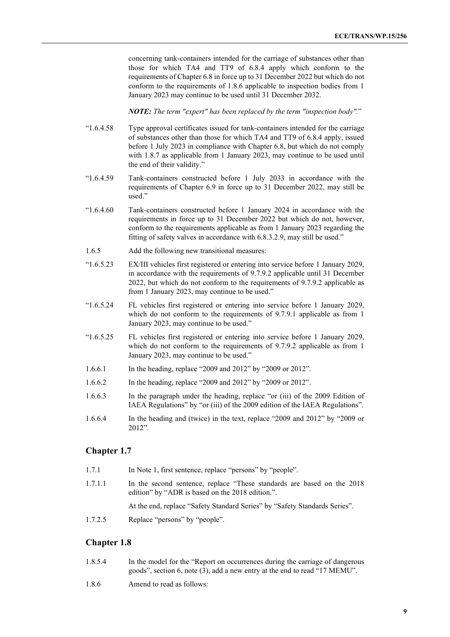concerning tank-containers intended for the carriage of substances other than those for which TA4 and TT9 of 6.8.4 apply which conform to the requirements of Chapter 6.8 in force up to 31 December 2022 but which do not conform to the requirements of 1.8.6 applicable to inspection bodies from 1 January 2023 may continue to be used until 31 December 2032.

*NOTE: The term "expert" has been replaced by the term "inspection body".*"

- "1.6.4.58 Type approval certificates issued for tank-containers intended for the carriage of substances other than those for which TA4 and TT9 of 6.8.4 apply, issued before 1 July 2023 in compliance with Chapter 6.8, but which do not comply with 1.8.7 as applicable from 1 January 2023, may continue to be used until the end of their validity."
- "1.6.4.59 Tank-containers constructed before 1 July 2033 in accordance with the requirements of Chapter 6.9 in force up to 31 December 2022, may still be used."
- "1.6.4.60 Tank-containers constructed before 1 January 2024 in accordance with the requirements in force up to 31 December 2022 but which do not, however, conform to the requirements applicable as from 1 January 2023 regarding the fitting of safety valves in accordance with 6.8.3.2.9, may still be used."
- 1.6.5 Add the following new transitional measures:
- "1.6.5.23 EX/III vehicles first registered or entering into service before 1 January 2029, in accordance with the requirements of 9.7.9.2 applicable until 31 December 2022, but which do not conform to the requirements of 9.7.9.2 applicable as from 1 January 2023, may continue to be used."
- "1.6.5.24 FL vehicles first registered or entering into service before 1 January 2029, which do not conform to the requirements of 9.7.9.1 applicable as from 1 January 2023, may continue to be used."
- "1.6.5.25 FL vehicles first registered or entering into service before 1 January 2029, which do not conform to the requirements of 9.7.9.2 applicable as from 1 January 2023, may continue to be used."
- 1.6.6.1 In the heading, replace "2009 and 2012" by "2009 or 2012".
- 1.6.6.2 In the heading, replace "2009 and 2012" by "2009 or 2012".
- 1.6.6.3 In the paragraph under the heading, replace "or (iii) of the 2009 Edition of IAEA Regulations" by "or (iii) of the 2009 edition of the IAEA Regulations".
- 1.6.6.4 In the heading and (twice) in the text, replace "2009 and 2012" by "2009 or 2012".

## **Chapter 1.7**

- 1.7.1 In Note 1, first sentence, replace "persons" by "people".
- 1.7.1.1 In the second sentence, replace "These standards are based on the 2018 edition" by "ADR is based on the 2018 edition.".

At the end, replace "Safety Standard Series" by "Safety Standards Series".

1.7.2.5 Replace "persons" by "people".

## **Chapter 1.8**

- 1.8.5.4 In the model for the "Report on occurrences during the carriage of dangerous goods", section 6, note (3), add a new entry at the end to read "17 MEMU".
- 1.8.6 Amend to read as follows: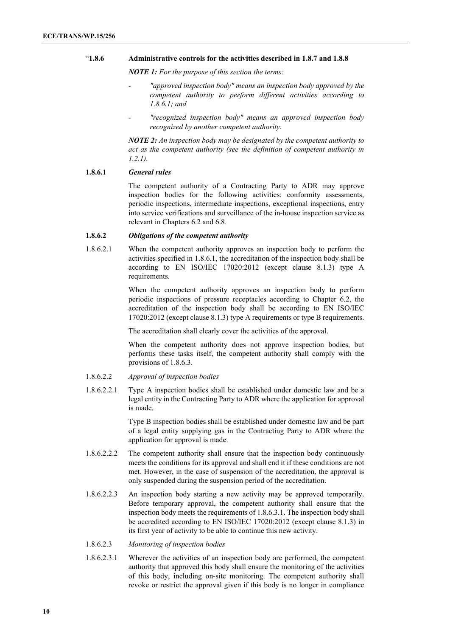## "**1.8.6 Administrative controls for the activities described in 1.8.7 and 1.8.8**

*NOTE 1: For the purpose of this section the terms:*

- *- "approved inspection body" means an inspection body approved by the competent authority to perform different activities according to 1.8.6.1; and*
- *- "recognized inspection body" means an approved inspection body recognized by another competent authority.*

*NOTE 2: An inspection body may be designated by the competent authority to act as the competent authority (see the definition of competent authority in 1.2.1).*

## **1.8.6.1** *General rules*

The competent authority of a Contracting Party to ADR may approve inspection bodies for the following activities: conformity assessments, periodic inspections, intermediate inspections, exceptional inspections, entry into service verifications and surveillance of the in-house inspection service as relevant in Chapters 6.2 and 6.8.

#### **1.8.6.2** *Obligations of the competent authority*

1.8.6.2.1 When the competent authority approves an inspection body to perform the activities specified in 1.8.6.1, the accreditation of the inspection body shall be according to EN ISO/IEC 17020:2012 (except clause 8.1.3) type A requirements.

> When the competent authority approves an inspection body to perform periodic inspections of pressure receptacles according to Chapter 6.2, the accreditation of the inspection body shall be according to EN ISO/IEC 17020:2012 (except clause 8.1.3) type A requirements or type B requirements.

The accreditation shall clearly cover the activities of the approval.

When the competent authority does not approve inspection bodies, but performs these tasks itself, the competent authority shall comply with the provisions of 1.8.6.3.

- 1.8.6.2.2 *Approval of inspection bodies*
- 1.8.6.2.2.1 Type A inspection bodies shall be established under domestic law and be a legal entity in the Contracting Party to ADR where the application for approval is made.

Type B inspection bodies shall be established under domestic law and be part of a legal entity supplying gas in the Contracting Party to ADR where the application for approval is made.

- 1.8.6.2.2.2 The competent authority shall ensure that the inspection body continuously meets the conditions for its approval and shall end it if these conditions are not met. However, in the case of suspension of the accreditation, the approval is only suspended during the suspension period of the accreditation.
- 1.8.6.2.2.3 An inspection body starting a new activity may be approved temporarily. Before temporary approval, the competent authority shall ensure that the inspection body meets the requirements of 1.8.6.3.1. The inspection body shall be accredited according to EN ISO/IEC 17020:2012 (except clause 8.1.3) in its first year of activity to be able to continue this new activity.
- 1.8.6.2.3 *Monitoring of inspection bodies*
- 1.8.6.2.3.1 Wherever the activities of an inspection body are performed, the competent authority that approved this body shall ensure the monitoring of the activities of this body, including on-site monitoring. The competent authority shall revoke or restrict the approval given if this body is no longer in compliance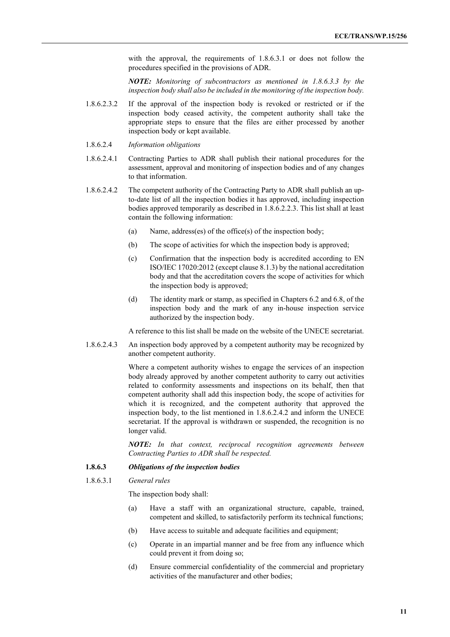with the approval, the requirements of 1.8.6.3.1 or does not follow the procedures specified in the provisions of ADR.

*NOTE: Monitoring of subcontractors as mentioned in 1.8.6.3.3 by the inspection body shall also be included in the monitoring of the inspection body.*

- 1.8.6.2.3.2 If the approval of the inspection body is revoked or restricted or if the inspection body ceased activity, the competent authority shall take the appropriate steps to ensure that the files are either processed by another inspection body or kept available.
- 1.8.6.2.4 *Information obligations*
- 1.8.6.2.4.1 Contracting Parties to ADR shall publish their national procedures for the assessment, approval and monitoring of inspection bodies and of any changes to that information.
- 1.8.6.2.4.2 The competent authority of the Contracting Party to ADR shall publish an upto-date list of all the inspection bodies it has approved, including inspection bodies approved temporarily as described in 1.8.6.2.2.3. This list shall at least contain the following information:
	- (a) Name, address(es) of the office(s) of the inspection body;
	- (b) The scope of activities for which the inspection body is approved;
	- (c) Confirmation that the inspection body is accredited according to EN ISO/IEC 17020:2012 (except clause 8.1.3) by the national accreditation body and that the accreditation covers the scope of activities for which the inspection body is approved;
	- (d) The identity mark or stamp, as specified in Chapters 6.2 and 6.8, of the inspection body and the mark of any in-house inspection service authorized by the inspection body.

A reference to this list shall be made on the website of the UNECE secretariat.

1.8.6.2.4.3 An inspection body approved by a competent authority may be recognized by another competent authority.

> Where a competent authority wishes to engage the services of an inspection body already approved by another competent authority to carry out activities related to conformity assessments and inspections on its behalf, then that competent authority shall add this inspection body, the scope of activities for which it is recognized, and the competent authority that approved the inspection body, to the list mentioned in 1.8.6.2.4.2 and inform the UNECE secretariat. If the approval is withdrawn or suspended, the recognition is no longer valid.

> *NOTE: In that context, reciprocal recognition agreements between Contracting Parties to ADR shall be respected.*

## **1.8.6.3** *Obligations of the inspection bodies*

#### 1.8.6.3.1 *General rules*

The inspection body shall:

- (a) Have a staff with an organizational structure, capable, trained, competent and skilled, to satisfactorily perform its technical functions;
- (b) Have access to suitable and adequate facilities and equipment;
- (c) Operate in an impartial manner and be free from any influence which could prevent it from doing so;
- (d) Ensure commercial confidentiality of the commercial and proprietary activities of the manufacturer and other bodies;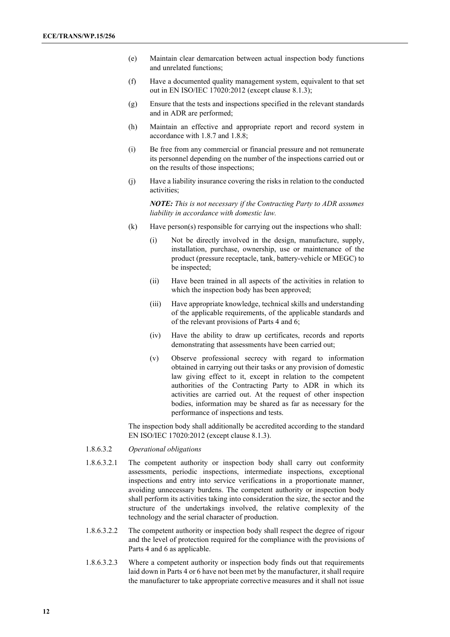- (e) Maintain clear demarcation between actual inspection body functions and unrelated functions;
- (f) Have a documented quality management system, equivalent to that set out in EN ISO/IEC 17020:2012 (except clause 8.1.3);
- (g) Ensure that the tests and inspections specified in the relevant standards and in ADR are performed;
- (h) Maintain an effective and appropriate report and record system in accordance with 1.8.7 and 1.8.8;
- (i) Be free from any commercial or financial pressure and not remunerate its personnel depending on the number of the inspections carried out or on the results of those inspections;
- (j) Have a liability insurance covering the risks in relation to the conducted activities;

*NOTE: This is not necessary if the Contracting Party to ADR assumes liability in accordance with domestic law.*

- (k) Have person(s) responsible for carrying out the inspections who shall:
	- (i) Not be directly involved in the design, manufacture, supply, installation, purchase, ownership, use or maintenance of the product (pressure receptacle, tank, battery-vehicle or MEGC) to be inspected;
	- (ii) Have been trained in all aspects of the activities in relation to which the inspection body has been approved;
	- (iii) Have appropriate knowledge, technical skills and understanding of the applicable requirements, of the applicable standards and of the relevant provisions of Parts 4 and 6;
	- (iv) Have the ability to draw up certificates, records and reports demonstrating that assessments have been carried out;
	- (v) Observe professional secrecy with regard to information obtained in carrying out their tasks or any provision of domestic law giving effect to it, except in relation to the competent authorities of the Contracting Party to ADR in which its activities are carried out. At the request of other inspection bodies, information may be shared as far as necessary for the performance of inspections and tests.

The inspection body shall additionally be accredited according to the standard EN ISO/IEC 17020:2012 (except clause 8.1.3).

- 1.8.6.3.2 *Operational obligations*
- 1.8.6.3.2.1 The competent authority or inspection body shall carry out conformity assessments, periodic inspections, intermediate inspections, exceptional inspections and entry into service verifications in a proportionate manner, avoiding unnecessary burdens. The competent authority or inspection body shall perform its activities taking into consideration the size, the sector and the structure of the undertakings involved, the relative complexity of the technology and the serial character of production.
- 1.8.6.3.2.2 The competent authority or inspection body shall respect the degree of rigour and the level of protection required for the compliance with the provisions of Parts 4 and 6 as applicable.
- 1.8.6.3.2.3 Where a competent authority or inspection body finds out that requirements laid down in Parts 4 or 6 have not been met by the manufacturer, it shall require the manufacturer to take appropriate corrective measures and it shall not issue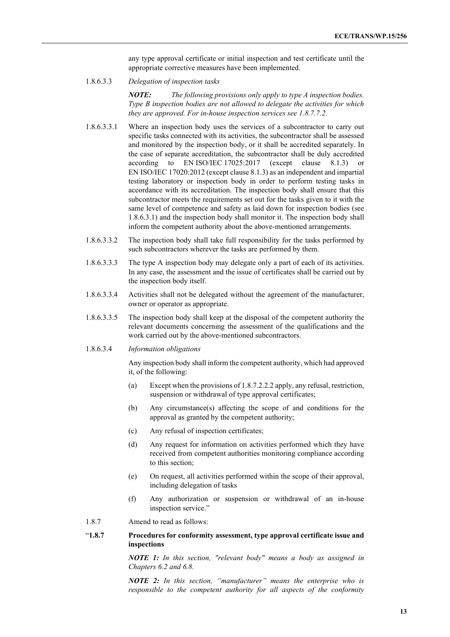any type approval certificate or initial inspection and test certificate until the appropriate corrective measures have been implemented.

1.8.6.3.3 *Delegation of inspection tasks*

*NOTE: The following provisions only apply to type A inspection bodies. Type B inspection bodies are not allowed to delegate the activities for which they are approved. For in-house inspection services see 1.8.7.7.2.*

- 1.8.6.3.3.1 Where an inspection body uses the services of a subcontractor to carry out specific tasks connected with its activities, the subcontractor shall be assessed and monitored by the inspection body, or it shall be accredited separately. In the case of separate accreditation, the subcontractor shall be duly accredited according to EN ISO/IEC  $17025:2017$  (except clause 8.1.3) EN ISO/IEC 17020:2012 (except clause 8.1.3) as an independent and impartial testing laboratory or inspection body in order to perform testing tasks in accordance with its accreditation. The inspection body shall ensure that this subcontractor meets the requirements set out for the tasks given to it with the same level of competence and safety as laid down for inspection bodies (see 1.8.6.3.1) and the inspection body shall monitor it. The inspection body shall inform the competent authority about the above-mentioned arrangements.
- 1.8.6.3.3.2 The inspection body shall take full responsibility for the tasks performed by such subcontractors wherever the tasks are performed by them.
- 1.8.6.3.3.3 The type A inspection body may delegate only a part of each of its activities. In any case, the assessment and the issue of certificates shall be carried out by the inspection body itself.
- 1.8.6.3.3.4 Activities shall not be delegated without the agreement of the manufacturer, owner or operator as appropriate.
- 1.8.6.3.3.5 The inspection body shall keep at the disposal of the competent authority the relevant documents concerning the assessment of the qualifications and the work carried out by the above-mentioned subcontractors.
- 1.8.6.3.4 *Information obligations*

Any inspection body shall inform the competent authority, which had approved it, of the following:

- (a) Except when the provisions of 1.8.7.2.2.2 apply, any refusal, restriction, suspension or withdrawal of type approval certificates;
- (b) Any circumstance(s) affecting the scope of and conditions for the approval as granted by the competent authority;
- (c) Any refusal of inspection certificates;
- (d) Any request for information on activities performed which they have received from competent authorities monitoring compliance according to this section;
- (e) On request, all activities performed within the scope of their approval, including delegation of tasks
- (f) Any authorization or suspension or withdrawal of an in-house inspection service."
- 1.8.7 Amend to read as follows:

## "**1.8.7 Procedures for conformity assessment, type approval certificate issue and inspections**

*NOTE 1: In this section, "relevant body" means a body as assigned in Chapters 6.2 and 6.8.*

*NOTE 2: In this section, "manufacturer" means the enterprise who is responsible to the competent authority for all aspects of the conformity*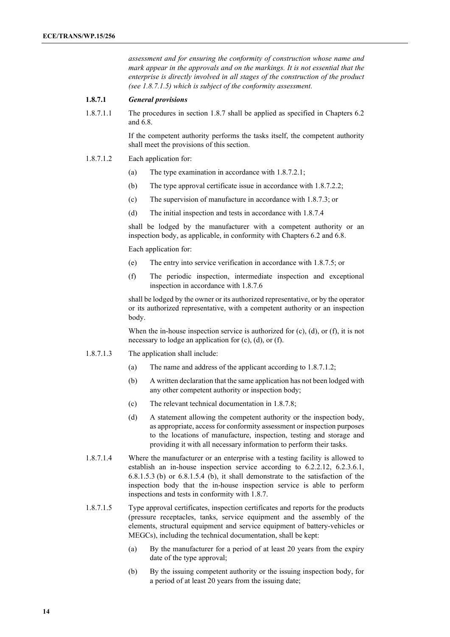*assessment and for ensuring the conformity of construction whose name and mark appear in the approvals and on the markings. It is not essential that the enterprise is directly involved in all stages of the construction of the product (see 1.8.7.1.5) which is subject of the conformity assessment.*

#### **1.8.7.1** *General provisions*

1.8.7.1.1 The procedures in section 1.8.7 shall be applied as specified in Chapters 6.2 and 6.8.

> If the competent authority performs the tasks itself, the competent authority shall meet the provisions of this section.

#### 1.8.7.1.2 Each application for:

- (a) The type examination in accordance with 1.8.7.2.1;
- (b) The type approval certificate issue in accordance with 1.8.7.2.2;
- (c) The supervision of manufacture in accordance with 1.8.7.3; or
- (d) The initial inspection and tests in accordance with 1.8.7.4

shall be lodged by the manufacturer with a competent authority or an inspection body, as applicable, in conformity with Chapters 6.2 and 6.8.

Each application for:

- (e) The entry into service verification in accordance with 1.8.7.5; or
- (f) The periodic inspection, intermediate inspection and exceptional inspection in accordance with 1.8.7.6

shall be lodged by the owner or its authorized representative, or by the operator or its authorized representative, with a competent authority or an inspection body.

When the in-house inspection service is authorized for (c), (d), or (f), it is not necessary to lodge an application for (c), (d), or (f).

- 1.8.7.1.3 The application shall include:
	- (a) The name and address of the applicant according to 1.8.7.1.2;
	- (b) A written declaration that the same application has not been lodged with any other competent authority or inspection body;
	- (c) The relevant technical documentation in 1.8.7.8;
	- (d) A statement allowing the competent authority or the inspection body, as appropriate, access for conformity assessment or inspection purposes to the locations of manufacture, inspection, testing and storage and providing it with all necessary information to perform their tasks.
- 1.8.7.1.4 Where the manufacturer or an enterprise with a testing facility is allowed to establish an in-house inspection service according to 6.2.2.12, 6.2.3.6.1, 6.8.1.5.3 (b) or 6.8.1.5.4 (b), it shall demonstrate to the satisfaction of the inspection body that the in-house inspection service is able to perform inspections and tests in conformity with 1.8.7.
- 1.8.7.1.5 Type approval certificates, inspection certificates and reports for the products (pressure receptacles, tanks, service equipment and the assembly of the elements, structural equipment and service equipment of battery-vehicles or MEGCs), including the technical documentation, shall be kept:
	- (a) By the manufacturer for a period of at least 20 years from the expiry date of the type approval;
	- (b) By the issuing competent authority or the issuing inspection body, for a period of at least 20 years from the issuing date;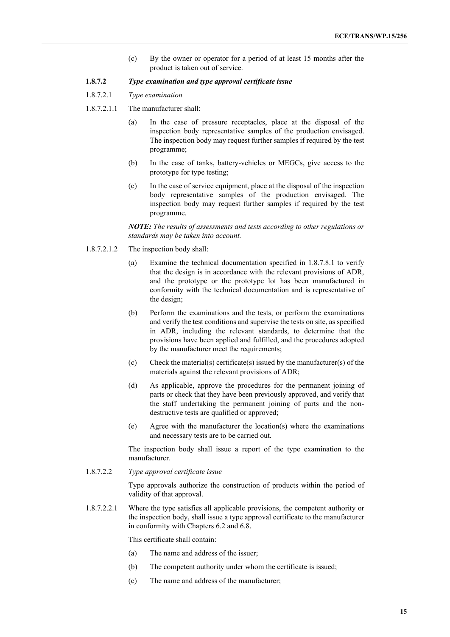(c) By the owner or operator for a period of at least 15 months after the product is taken out of service.

#### **1.8.7.2** *Type examination and type approval certificate issue*

- 1.8.7.2.1 *Type examination*
- 1.8.7.2.1.1 The manufacturer shall:
	- (a) In the case of pressure receptacles, place at the disposal of the inspection body representative samples of the production envisaged. The inspection body may request further samples if required by the test programme;
	- (b) In the case of tanks, battery-vehicles or MEGCs, give access to the prototype for type testing;
	- (c) In the case of service equipment, place at the disposal of the inspection body representative samples of the production envisaged. The inspection body may request further samples if required by the test programme.

*NOTE: The results of assessments and tests according to other regulations or standards may be taken into account.*

- 1.8.7.2.1.2 The inspection body shall:
	- (a) Examine the technical documentation specified in 1.8.7.8.1 to verify that the design is in accordance with the relevant provisions of ADR, and the prototype or the prototype lot has been manufactured in conformity with the technical documentation and is representative of the design;
	- (b) Perform the examinations and the tests, or perform the examinations and verify the test conditions and supervise the tests on site, as specified in ADR, including the relevant standards, to determine that the provisions have been applied and fulfilled, and the procedures adopted by the manufacturer meet the requirements;
	- (c) Check the material(s) certificate(s) issued by the manufacturer(s) of the materials against the relevant provisions of ADR;
	- (d) As applicable, approve the procedures for the permanent joining of parts or check that they have been previously approved, and verify that the staff undertaking the permanent joining of parts and the nondestructive tests are qualified or approved;
	- (e) Agree with the manufacturer the location(s) where the examinations and necessary tests are to be carried out.

The inspection body shall issue a report of the type examination to the manufacturer.

1.8.7.2.2 *Type approval certificate issue*

Type approvals authorize the construction of products within the period of validity of that approval.

1.8.7.2.2.1 Where the type satisfies all applicable provisions, the competent authority or the inspection body, shall issue a type approval certificate to the manufacturer in conformity with Chapters 6.2 and 6.8.

This certificate shall contain:

- (a) The name and address of the issuer;
- (b) The competent authority under whom the certificate is issued;
- (c) The name and address of the manufacturer;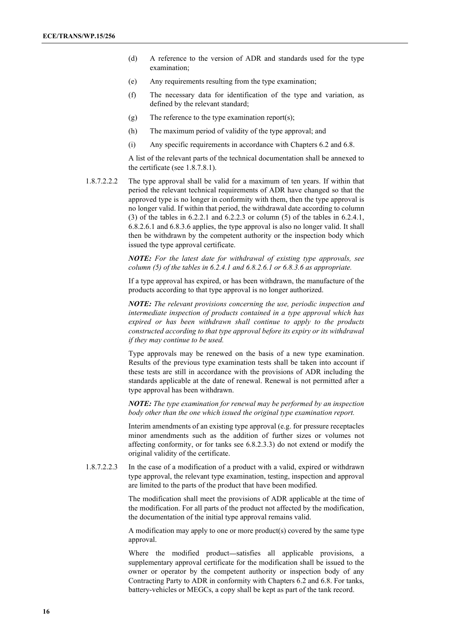- (d) A reference to the version of ADR and standards used for the type examination;
- (e) Any requirements resulting from the type examination;
- (f) The necessary data for identification of the type and variation, as defined by the relevant standard;
- (g) The reference to the type examination report(s);
- (h) The maximum period of validity of the type approval; and
- (i) Any specific requirements in accordance with Chapters 6.2 and 6.8.

A list of the relevant parts of the technical documentation shall be annexed to the certificate (see 1.8.7.8.1).

1.8.7.2.2.2 The type approval shall be valid for a maximum of ten years. If within that period the relevant technical requirements of ADR have changed so that the approved type is no longer in conformity with them, then the type approval is no longer valid. If within that period, the withdrawal date according to column (3) of the tables in 6.2.2.1 and 6.2.2.3 or column (5) of the tables in 6.2.4.1, 6.8.2.6.1 and 6.8.3.6 applies, the type approval is also no longer valid. It shall then be withdrawn by the competent authority or the inspection body which issued the type approval certificate.

> *NOTE: For the latest date for withdrawal of existing type approvals, see column (5) of the tables in 6.2.4.1 and 6.8.2.6.1 or 6.8.3.6 as appropriate.*

> If a type approval has expired, or has been withdrawn, the manufacture of the products according to that type approval is no longer authorized.

> *NOTE: The relevant provisions concerning the use, periodic inspection and intermediate inspection of products contained in a type approval which has expired or has been withdrawn shall continue to apply to the products constructed according to that type approval before its expiry or its withdrawal if they may continue to be used.*

> Type approvals may be renewed on the basis of a new type examination. Results of the previous type examination tests shall be taken into account if these tests are still in accordance with the provisions of ADR including the standards applicable at the date of renewal. Renewal is not permitted after a type approval has been withdrawn.

> *NOTE: The type examination for renewal may be performed by an inspection body other than the one which issued the original type examination report.*

> Interim amendments of an existing type approval (e.g. for pressure receptacles minor amendments such as the addition of further sizes or volumes not affecting conformity, or for tanks see 6.8.2.3.3) do not extend or modify the original validity of the certificate.

1.8.7.2.2.3 In the case of a modification of a product with a valid, expired or withdrawn type approval, the relevant type examination, testing, inspection and approval are limited to the parts of the product that have been modified.

> The modification shall meet the provisions of ADR applicable at the time of the modification. For all parts of the product not affected by the modification, the documentation of the initial type approval remains valid.

> A modification may apply to one or more product(s) covered by the same type approval.

> Where the modified product—satisfies all applicable provisions, a supplementary approval certificate for the modification shall be issued to the owner or operator by the competent authority or inspection body of any Contracting Party to ADR in conformity with Chapters 6.2 and 6.8. For tanks, battery-vehicles or MEGCs, a copy shall be kept as part of the tank record.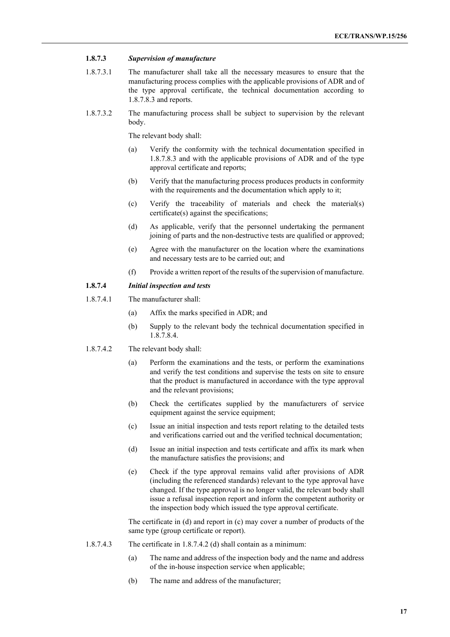#### **1.8.7.3** *Supervision of manufacture*

- 1.8.7.3.1 The manufacturer shall take all the necessary measures to ensure that the manufacturing process complies with the applicable provisions of ADR and of the type approval certificate, the technical documentation according to 1.8.7.8.3 and reports.
- 1.8.7.3.2 The manufacturing process shall be subject to supervision by the relevant body.

The relevant body shall:

- (a) Verify the conformity with the technical documentation specified in 1.8.7.8.3 and with the applicable provisions of ADR and of the type approval certificate and reports;
- (b) Verify that the manufacturing process produces products in conformity with the requirements and the documentation which apply to it;
- (c) Verify the traceability of materials and check the material(s) certificate(s) against the specifications;
- (d) As applicable, verify that the personnel undertaking the permanent joining of parts and the non-destructive tests are qualified or approved;
- (e) Agree with the manufacturer on the location where the examinations and necessary tests are to be carried out; and
- (f) Provide a written report of the results of the supervision of manufacture.

## **1.8.7.4** *Initial inspection and tests*

- 1.8.7.4.1 The manufacturer shall:
	- (a) Affix the marks specified in ADR; and
	- (b) Supply to the relevant body the technical documentation specified in 1.8.7.8.4.
- 1.8.7.4.2 The relevant body shall:
	- (a) Perform the examinations and the tests, or perform the examinations and verify the test conditions and supervise the tests on site to ensure that the product is manufactured in accordance with the type approval and the relevant provisions;
	- (b) Check the certificates supplied by the manufacturers of service equipment against the service equipment;
	- (c) Issue an initial inspection and tests report relating to the detailed tests and verifications carried out and the verified technical documentation;
	- (d) Issue an initial inspection and tests certificate and affix its mark when the manufacture satisfies the provisions; and
	- (e) Check if the type approval remains valid after provisions of ADR (including the referenced standards) relevant to the type approval have changed. If the type approval is no longer valid, the relevant body shall issue a refusal inspection report and inform the competent authority or the inspection body which issued the type approval certificate.

The certificate in (d) and report in (c) may cover a number of products of the same type (group certificate or report).

- 1.8.7.4.3 The certificate in 1.8.7.4.2 (d) shall contain as a minimum:
	- (a) The name and address of the inspection body and the name and address of the in-house inspection service when applicable;
	- (b) The name and address of the manufacturer;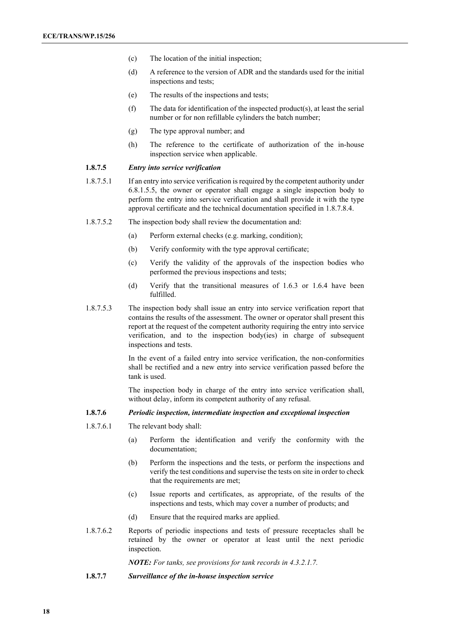- (c) The location of the initial inspection;
- (d) A reference to the version of ADR and the standards used for the initial inspections and tests;
- (e) The results of the inspections and tests;
- (f) The data for identification of the inspected product(s), at least the serial number or for non refillable cylinders the batch number;
- (g) The type approval number; and
- (h) The reference to the certificate of authorization of the in-house inspection service when applicable.

#### **1.8.7.5** *Entry into service verification*

- 1.8.7.5.1 If an entry into service verification is required by the competent authority under 6.8.1.5.5, the owner or operator shall engage a single inspection body to perform the entry into service verification and shall provide it with the type approval certificate and the technical documentation specified in 1.8.7.8.4.
- 1.8.7.5.2 The inspection body shall review the documentation and:
	- (a) Perform external checks (e.g. marking, condition);
	- (b) Verify conformity with the type approval certificate;
	- (c) Verify the validity of the approvals of the inspection bodies who performed the previous inspections and tests;
	- (d) Verify that the transitional measures of 1.6.3 or 1.6.4 have been fulfilled.
- 1.8.7.5.3 The inspection body shall issue an entry into service verification report that contains the results of the assessment. The owner or operator shall present this report at the request of the competent authority requiring the entry into service verification, and to the inspection body(ies) in charge of subsequent inspections and tests.

In the event of a failed entry into service verification, the non-conformities shall be rectified and a new entry into service verification passed before the tank is used.

The inspection body in charge of the entry into service verification shall, without delay, inform its competent authority of any refusal.

## **1.8.7.6** *Periodic inspection, intermediate inspection and exceptional inspection*

- 1.8.7.6.1 The relevant body shall:
	- (a) Perform the identification and verify the conformity with the documentation;
	- (b) Perform the inspections and the tests, or perform the inspections and verify the test conditions and supervise the tests on site in order to check that the requirements are met;
	- (c) Issue reports and certificates, as appropriate, of the results of the inspections and tests, which may cover a number of products; and
	- (d) Ensure that the required marks are applied.
- 1.8.7.6.2 Reports of periodic inspections and tests of pressure receptacles shall be retained by the owner or operator at least until the next periodic inspection.

*NOTE: For tanks, see provisions for tank records in 4.3.2.1.7.*

**1.8.7.7** *Surveillance of the in-house inspection service*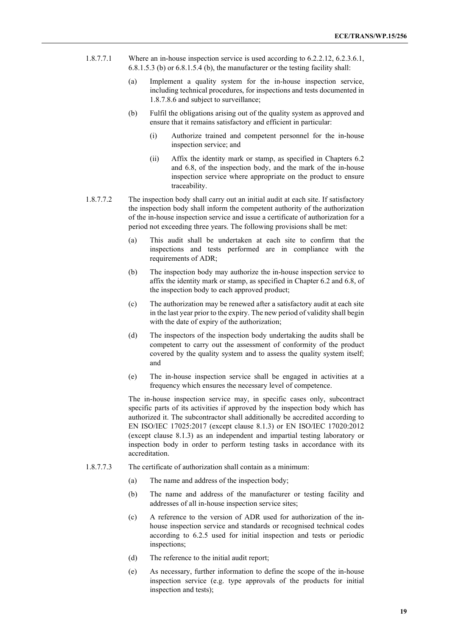- 1.8.7.7.1 Where an in-house inspection service is used according to 6.2.2.12, 6.2.3.6.1, 6.8.1.5.3 (b) or 6.8.1.5.4 (b), the manufacturer or the testing facility shall:
	- (a) Implement a quality system for the in-house inspection service, including technical procedures, for inspections and tests documented in 1.8.7.8.6 and subject to surveillance;
	- (b) Fulfil the obligations arising out of the quality system as approved and ensure that it remains satisfactory and efficient in particular:
		- (i) Authorize trained and competent personnel for the in-house inspection service; and
		- (ii) Affix the identity mark or stamp, as specified in Chapters 6.2 and 6.8, of the inspection body, and the mark of the in-house inspection service where appropriate on the product to ensure traceability.
- 1.8.7.7.2 The inspection body shall carry out an initial audit at each site. If satisfactory the inspection body shall inform the competent authority of the authorization of the in-house inspection service and issue a certificate of authorization for a period not exceeding three years. The following provisions shall be met:
	- (a) This audit shall be undertaken at each site to confirm that the inspections and tests performed are in compliance with the requirements of ADR;
	- (b) The inspection body may authorize the in-house inspection service to affix the identity mark or stamp, as specified in Chapter 6.2 and 6.8, of the inspection body to each approved product;
	- (c) The authorization may be renewed after a satisfactory audit at each site in the last year prior to the expiry. The new period of validity shall begin with the date of expiry of the authorization;
	- (d) The inspectors of the inspection body undertaking the audits shall be competent to carry out the assessment of conformity of the product covered by the quality system and to assess the quality system itself; and
	- (e) The in-house inspection service shall be engaged in activities at a frequency which ensures the necessary level of competence.

The in-house inspection service may, in specific cases only, subcontract specific parts of its activities if approved by the inspection body which has authorized it. The subcontractor shall additionally be accredited according to EN ISO/IEC 17025:2017 (except clause 8.1.3) or EN ISO/IEC 17020:2012 (except clause 8.1.3) as an independent and impartial testing laboratory or inspection body in order to perform testing tasks in accordance with its accreditation.

- 1.8.7.7.3 The certificate of authorization shall contain as a minimum:
	- (a) The name and address of the inspection body;
	- (b) The name and address of the manufacturer or testing facility and addresses of all in-house inspection service sites;
	- (c) A reference to the version of ADR used for authorization of the inhouse inspection service and standards or recognised technical codes according to 6.2.5 used for initial inspection and tests or periodic inspections;
	- (d) The reference to the initial audit report;
	- (e) As necessary, further information to define the scope of the in-house inspection service (e.g. type approvals of the products for initial inspection and tests);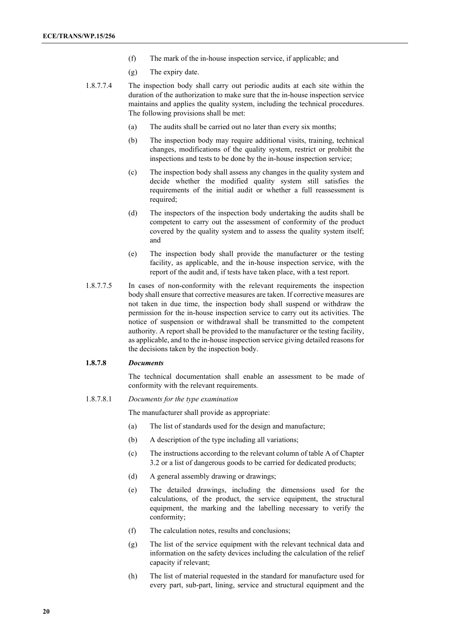- (f) The mark of the in-house inspection service, if applicable; and
- (g) The expiry date.
- 1.8.7.7.4 The inspection body shall carry out periodic audits at each site within the duration of the authorization to make sure that the in-house inspection service maintains and applies the quality system, including the technical procedures. The following provisions shall be met:
	- (a) The audits shall be carried out no later than every six months;
	- (b) The inspection body may require additional visits, training, technical changes, modifications of the quality system, restrict or prohibit the inspections and tests to be done by the in-house inspection service;
	- (c) The inspection body shall assess any changes in the quality system and decide whether the modified quality system still satisfies the requirements of the initial audit or whether a full reassessment is required;
	- (d) The inspectors of the inspection body undertaking the audits shall be competent to carry out the assessment of conformity of the product covered by the quality system and to assess the quality system itself; and
	- (e) The inspection body shall provide the manufacturer or the testing facility, as applicable, and the in-house inspection service, with the report of the audit and, if tests have taken place, with a test report.
- 1.8.7.7.5 In cases of non-conformity with the relevant requirements the inspection body shall ensure that corrective measures are taken. If corrective measures are not taken in due time, the inspection body shall suspend or withdraw the permission for the in-house inspection service to carry out its activities. The notice of suspension or withdrawal shall be transmitted to the competent authority. A report shall be provided to the manufacturer or the testing facility, as applicable, and to the in-house inspection service giving detailed reasons for the decisions taken by the inspection body.

#### **1.8.7.8** *Documents*

The technical documentation shall enable an assessment to be made of conformity with the relevant requirements.

#### 1.8.7.8.1 *Documents for the type examination*

The manufacturer shall provide as appropriate:

- (a) The list of standards used for the design and manufacture;
- (b) A description of the type including all variations;
- (c) The instructions according to the relevant column of table A of Chapter 3.2 or a list of dangerous goods to be carried for dedicated products;
- (d) A general assembly drawing or drawings;
- (e) The detailed drawings, including the dimensions used for the calculations, of the product, the service equipment, the structural equipment, the marking and the labelling necessary to verify the conformity;
- (f) The calculation notes, results and conclusions;
- (g) The list of the service equipment with the relevant technical data and information on the safety devices including the calculation of the relief capacity if relevant;
- (h) The list of material requested in the standard for manufacture used for every part, sub-part, lining, service and structural equipment and the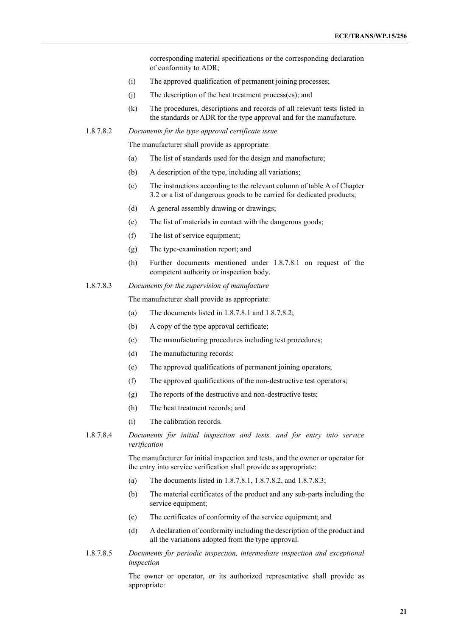corresponding material specifications or the corresponding declaration of conformity to ADR;

- (i) The approved qualification of permanent joining processes;
- (j) The description of the heat treatment process(es); and
- (k) The procedures, descriptions and records of all relevant tests listed in the standards or ADR for the type approval and for the manufacture.
- 1.8.7.8.2 *Documents for the type approval certificate issue*

The manufacturer shall provide as appropriate:

- (a) The list of standards used for the design and manufacture;
- (b) A description of the type, including all variations;
- (c) The instructions according to the relevant column of table A of Chapter 3.2 or a list of dangerous goods to be carried for dedicated products;
- (d) A general assembly drawing or drawings;
- (e) The list of materials in contact with the dangerous goods;
- (f) The list of service equipment;
- (g) The type-examination report; and
- (h) Further documents mentioned under 1.8.7.8.1 on request of the competent authority or inspection body.
- 1.8.7.8.3 *Documents for the supervision of manufacture*

The manufacturer shall provide as appropriate:

- (a) The documents listed in 1.8.7.8.1 and 1.8.7.8.2;
- (b) A copy of the type approval certificate;
- (c) The manufacturing procedures including test procedures;
- (d) The manufacturing records;
- (e) The approved qualifications of permanent joining operators;
- (f) The approved qualifications of the non-destructive test operators;
- (g) The reports of the destructive and non-destructive tests;
- (h) The heat treatment records; and
- (i) The calibration records.
- 1.8.7.8.4 *Documents for initial inspection and tests, and for entry into service verification*

The manufacturer for initial inspection and tests, and the owner or operator for the entry into service verification shall provide as appropriate:

- (a) The documents listed in 1.8.7.8.1, 1.8.7.8.2, and 1.8.7.8.3;
- (b) The material certificates of the product and any sub-parts including the service equipment;
- (c) The certificates of conformity of the service equipment; and
- (d) A declaration of conformity including the description of the product and all the variations adopted from the type approval.
- 1.8.7.8.5 *Documents for periodic inspection, intermediate inspection and exceptional inspection*

The owner or operator, or its authorized representative shall provide as appropriate: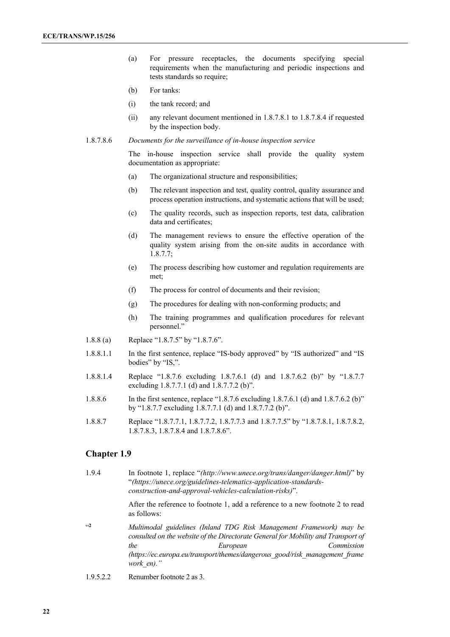- (a) For pressure receptacles, the documents specifying special requirements when the manufacturing and periodic inspections and tests standards so require;
- (b) For tanks:
- (i) the tank record; and
- (ii) any relevant document mentioned in 1.8.7.8.1 to 1.8.7.8.4 if requested by the inspection body.
- 1.8.7.8.6 *Documents for the surveillance of in-house inspection service*

The in-house inspection service shall provide the quality system documentation as appropriate:

- (a) The organizational structure and responsibilities;
- (b) The relevant inspection and test, quality control, quality assurance and process operation instructions, and systematic actions that will be used;
- (c) The quality records, such as inspection reports, test data, calibration data and certificates;
- (d) The management reviews to ensure the effective operation of the quality system arising from the on-site audits in accordance with 1.8.7.7;
- (e) The process describing how customer and regulation requirements are met;
- (f) The process for control of documents and their revision;
- (g) The procedures for dealing with non-conforming products; and
- (h) The training programmes and qualification procedures for relevant personnel."
- 1.8.8 (a) Replace "1.8.7.5" by "1.8.7.6".
- 1.8.8.1.1 In the first sentence, replace "IS-body approved" by "IS authorized" and "IS bodies" by "IS,".
- 1.8.8.1.4 Replace "1.8.7.6 excluding 1.8.7.6.1 (d) and 1.8.7.6.2 (b)" by "1.8.7.7 excluding 1.8.7.7.1 (d) and 1.8.7.7.2 (b)".
- 1.8.8.6 In the first sentence, replace "1.8.7.6 excluding 1.8.7.6.1 (d) and 1.8.7.6.2 (b)" by "1.8.7.7 excluding 1.8.7.7.1 (d) and 1.8.7.7.2 (b)".
- 1.8.8.7 Replace "1.8.7.7.1, 1.8.7.7.2, 1.8.7.7.3 and 1.8.7.7.5" by "1.8.7.8.1, 1.8.7.8.2, 1.8.7.8.3, 1.8.7.8.4 and 1.8.7.8.6".

## **Chapter 1.9**

1.9.4 In footnote 1, replace "*(http://www.unece.org/trans/danger/danger.html)*" by "*(https://unece.org/guidelines-telematics-application-standardsconstruction-and-approval-vehicles-calculation-risks)*".

> After the reference to footnote 1, add a reference to a new footnote 2 to read as follows:

- "**<sup>2</sup>** *Multimodal guidelines (Inland TDG Risk Management Framework) may be consulted on the website of the Directorate General for Mobility and Transport of the European Commission [\(https://ec.europa.eu/transport/themes/dangerous\\_good/risk\\_management\\_frame](https://ec.europa.eu/transport/themes/dangerous_good/risk_management_framework_en)) [work\\_en\)."](https://ec.europa.eu/transport/themes/dangerous_good/risk_management_framework_en))*
- 1.9.5.2.2 Renumber footnote 2 as 3.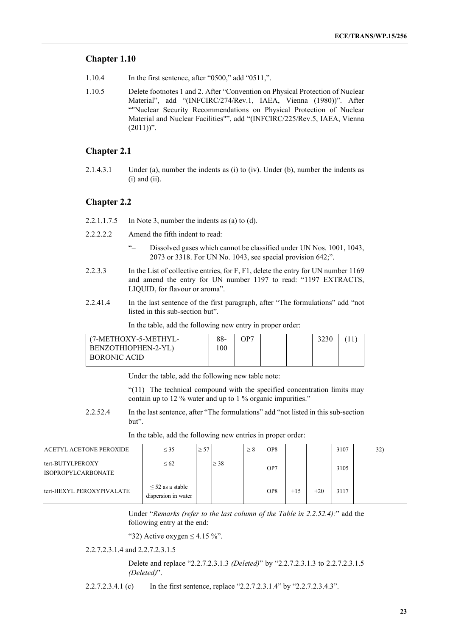## **Chapter 1.10**

- 1.10.4 In the first sentence, after "0500," add "0511,".
- 1.10.5 Delete footnotes 1 and 2. After "Convention on Physical Protection of Nuclear Material", add "(INFCIRC/274/Rev.1, IAEA, Vienna (1980))". After ""Nuclear Security Recommendations on Physical Protection of Nuclear Material and Nuclear Facilities"", add "(INFCIRC/225/Rev.5, IAEA, Vienna  $(2011))$ ".

## **Chapter 2.1**

2.1.4.3.1 Under (a), number the indents as (i) to (iv). Under (b), number the indents as  $(i)$  and  $(ii)$ .

## **Chapter 2.2**

- 2.2.1.1.7.5 In Note 3, number the indents as (a) to (d).
- 2.2.2.2.2 Amend the fifth indent to read:
	- "– Dissolved gases which cannot be classified under UN Nos. 1001, 1043, 2073 or 3318. For UN No. 1043, see special provision 642;".
- 2.2.3.3 In the List of collective entries, for F, F1, delete the entry for UN number 1169 and amend the entry for UN number 1197 to read: "1197 EXTRACTS, LIQUID, for flavour or aroma".
- 2.2.41.4 In the last sentence of the first paragraph, after "The formulations" add "not listed in this sub-section but".

In the table, add the following new entry in proper order:

| (7-METHOXY-5-METHYL- | 88- | OP7 |  |  |
|----------------------|-----|-----|--|--|
| BENZOTHIOPHEN-2-YL)  | -00 |     |  |  |
| BORONIC ACID         |     |     |  |  |
|                      |     |     |  |  |

Under the table, add the following new table note:

"(11) The technical compound with the specified concentration limits may contain up to 12 % water and up to 1 % organic impurities."

2.2.52.4 In the last sentence, after "The formulations" add "not listed in this sub-section but".

| ACETYL ACETONE PEROXIDE                        | $\leq$ 35                                    | $\geq 57$ |           | $\geq 8$ | OP <sub>8</sub> |       |       | 3107 | 32) |
|------------------------------------------------|----------------------------------------------|-----------|-----------|----------|-----------------|-------|-------|------|-----|
| ltert-BUTYLPEROXY<br><b>ISOPROPYLCARBONATE</b> | $\leq 62$                                    |           | $\geq$ 38 |          | OP <sub>7</sub> |       |       | 3105 |     |
| ltert-HEXYL PEROXYPIVALATE                     | $\leq$ 52 as a stable<br>dispersion in water |           |           |          | OP <sub>8</sub> | $+15$ | $+20$ | 3117 |     |

In the table, add the following new entries in proper order:

Under "*Remarks (refer to the last column of the Table in 2.2.52.4):*" add the following entry at the end:

"32) Active oxygen  $\leq$  4.15 %".

2.2.7.2.3.1.4 and 2.2.7.2.3.1.5

Delete and replace "2.2.7.2.3.1.3 *(Deleted)*" by "2.2.7.2.3.1.3 to 2.2.7.2.3.1.5 *(Deleted)*".

2.2.7.2.3.4.1 (c) In the first sentence, replace "2.2.7.2.3.1.4" by "2.2.7.2.3.4.3".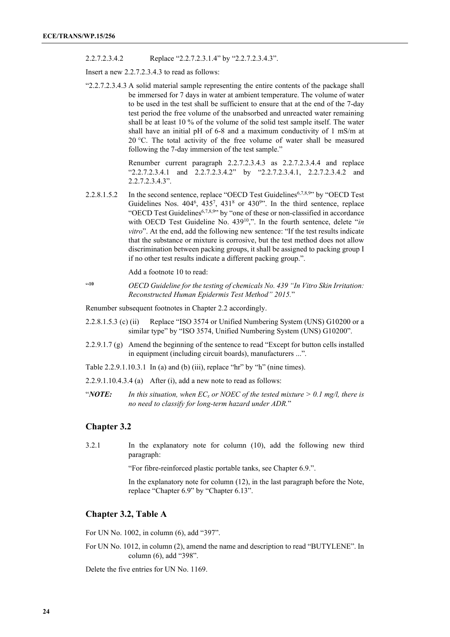2.2.7.2.3.4.2 Replace "2.2.7.2.3.1.4" by "2.2.7.2.3.4.3".

Insert a new 2.2.7.2.3.4.3 to read as follows:

"2.2.7.2.3.4.3 A solid material sample representing the entire contents of the package shall be immersed for 7 days in water at ambient temperature. The volume of water to be used in the test shall be sufficient to ensure that at the end of the 7-day test period the free volume of the unabsorbed and unreacted water remaining shall be at least 10 % of the volume of the solid test sample itself. The water shall have an initial pH of 6-8 and a maximum conductivity of 1 mS/m at 20 °C. The total activity of the free volume of water shall be measured following the 7-day immersion of the test sample."

> Renumber current paragraph 2.2.7.2.3.4.3 as 2.2.7.2.3.4.4 and replace "2.2.7.2.3.4.1 and 2.2.7.2.3.4.2" by "2.2.7.2.3.4.1, 2.2.7.2.3.4.2 and 2.2.7.2.3.4.3".

2.2.8.1.5.2 In the second sentence, replace "OECD Test Guidelines<sup>6,7,8,9</sup>" by "OECD Test Guidelines Nos.  $404^6$ ,  $435^7$ ,  $431^8$  or  $430^9$ ". In the third sentence, replace "OECD Test Guidelines<sup>6,7,8,9</sup>" by "one of these or non-classified in accordance with OECD Test Guideline No. 439<sup>10</sup>,". In the fourth sentence, delete "*in vitro*". At the end, add the following new sentence: "If the test results indicate that the substance or mixture is corrosive, but the test method does not allow discrimination between packing groups, it shall be assigned to packing group I if no other test results indicate a different packing group.".

Add a footnote 10 to read:

"**<sup>10</sup>** *OECD Guideline for the testing of chemicals No. 439 "In Vitro Skin Irritation: Reconstructed Human Epidermis Test Method" 2015.*"

Renumber subsequent footnotes in Chapter 2.2 accordingly.

- 2.2.8.1.5.3 (c) (ii) Replace "ISO 3574 or Unified Numbering System (UNS) G10200 or a similar type" by "ISO 3574, Unified Numbering System (UNS) G10200".
- 2.2.9.1.7 (g) Amend the beginning of the sentence to read "Except for button cells installed in equipment (including circuit boards), manufacturers ...".
- Table 2.2.9.1.10.3.1 In (a) and (b) (iii), replace "hr" by "h" (nine times).
- 2.2.9.1.10.4.3.4 (a) After (i), add a new note to read as follows:
- "*NOTE:* In this situation, when  $EC_x$  or NOEC of the tested mixture > 0.1 mg/l, there is *no need to classify for long-term hazard under ADR.*"

## **Chapter 3.2**

3.2.1 In the explanatory note for column (10), add the following new third paragraph:

"For fibre-reinforced plastic portable tanks, see Chapter 6.9.".

In the explanatory note for column (12), in the last paragraph before the Note, replace "Chapter 6.9" by "Chapter 6.13".

## **Chapter 3.2, Table A**

For UN No. 1002, in column (6), add "397".

For UN No. 1012, in column (2), amend the name and description to read "BUTYLENE". In column (6), add "398".

Delete the five entries for UN No. 1169.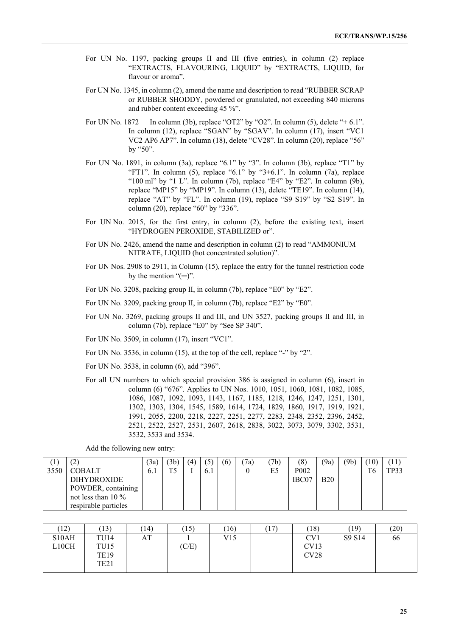- For UN No. 1197, packing groups II and III (five entries), in column (2) replace "EXTRACTS, FLAVOURING, LIQUID" by "EXTRACTS, LIQUID, for flavour or aroma".
- For UN No. 1345, in column (2), amend the name and description to read "RUBBER SCRAP or RUBBER SHODDY, powdered or granulated, not exceeding 840 microns and rubber content exceeding 45 %".
- For UN No. 1872 In column (3b), replace "OT2" by "O2". In column (5), delete "+ 6.1". In column (12), replace "SGAN" by "SGAV". In column (17), insert "VC1 VC2 AP6 AP7". In column (18), delete "CV28". In column (20), replace "56" by "50".
- For UN No. 1891, in column (3a), replace "6.1" by "3". In column (3b), replace "T1" by "FT1". In column  $(5)$ , replace "6.1" by "3+6.1". In column  $(7a)$ , replace "100 ml" by "1 L". In column (7b), replace "E4" by "E2". In column (9b), replace "MP15" by "MP19". In column (13), delete "TE19". In column (14), replace "AT" by "FL". In column (19), replace "S9 S19" by "S2 S19". In column (20), replace "60" by "336".
- For UN No. 2015, for the first entry, in column (2), before the existing text, insert "HYDROGEN PEROXIDE, STABILIZED or".
- For UN No. 2426, amend the name and description in column (2) to read "AMMONIUM NITRATE, LIQUID (hot concentrated solution)".
- For UN Nos. 2908 to 2911, in Column (15), replace the entry for the tunnel restriction code by the mention " $(-)$ ".
- For UN No. 3208, packing group II, in column (7b), replace "E0" by "E2".
- For UN No. 3209, packing group II, in column (7b), replace "E2" by "E0".
- For UN No. 3269, packing groups II and III, and UN 3527, packing groups II and III, in column (7b), replace "E0" by "See SP 340".
- For UN No. 3509, in column (17), insert "VC1".
- For UN No. 3536, in column (15), at the top of the cell, replace "-" by "2".
- For UN No. 3538, in column (6), add "396".
- For all UN numbers to which special provision 386 is assigned in column (6), insert in column (6) "676". Applies to UN Nos. 1010, 1051, 1060, 1081, 1082, 1085, 1086, 1087, 1092, 1093, 1143, 1167, 1185, 1218, 1246, 1247, 1251, 1301, 1302, 1303, 1304, 1545, 1589, 1614, 1724, 1829, 1860, 1917, 1919, 1921, 1991, 2055, 2200, 2218, 2227, 2251, 2277, 2283, 2348, 2352, 2396, 2452, 2521, 2522, 2527, 2531, 2607, 2618, 2838, 3022, 3073, 3079, 3302, 3531, 3532, 3533 and 3534.

Add the following new entry:

|      | ∸                    | 3a  | (3b) | (4) | 5   | (6) | 7a | 7b) | (8)              | (9a)       | (9 <sub>b</sub> ) | $10^{\circ}$ |      |
|------|----------------------|-----|------|-----|-----|-----|----|-----|------------------|------------|-------------------|--------------|------|
| 3550 | <b>COBALT</b>        | 6.1 | ጥሩ   |     | 6.1 |     |    | E5  | P <sub>002</sub> |            |                   | T6           | TP33 |
|      | <b>DIHYDROXIDE</b>   |     |      |     |     |     |    |     | IBC07            | <b>B20</b> |                   |              |      |
|      | POWDER, containing   |     |      |     |     |     |    |     |                  |            |                   |              |      |
|      | not less than $10\%$ |     |      |     |     |     |    |     |                  |            |                   |              |      |
|      | respirable particles |     |      |     |     |     |    |     |                  |            |                   |              |      |

| (12)               | (13)             | (14) | (15)  | (16) | 17)<br>$\perp$ | (18) | (19)   | (20) |
|--------------------|------------------|------|-------|------|----------------|------|--------|------|
| S <sub>10</sub> AH | TU14             | AT   |       | V15  |                | CV1  | S9 S14 | 66   |
| L10CH              | TU <sub>15</sub> |      | (C/E) |      |                | CV13 |        |      |
|                    | <b>TE19</b>      |      |       |      |                | CV28 |        |      |
|                    | TE <sub>21</sub> |      |       |      |                |      |        |      |
|                    |                  |      |       |      |                |      |        |      |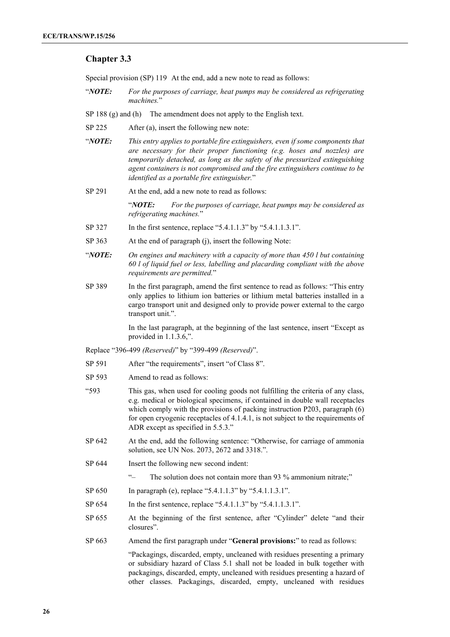## **Chapter 3.3**

Special provision (SP) 119 At the end, add a new note to read as follows:

- "*NOTE: For the purposes of carriage, heat pumps may be considered as refrigerating machines.*"
- SP 188 (g) and (h) The amendment does not apply to the English text.
- SP 225 After (a), insert the following new note:
- "*NOTE: This entry applies to portable fire extinguishers, even if some components that are necessary for their proper functioning (e.g. hoses and nozzles) are temporarily detached, as long as the safety of the pressurized extinguishing agent containers is not compromised and the fire extinguishers continue to be identified as a portable fire extinguisher.*"
- SP 291 At the end, add a new note to read as follows:

"*NOTE: For the purposes of carriage, heat pumps may be considered as refrigerating machines.*"

- SP 327 In the first sentence, replace "5.4.1.1.3" by "5.4.1.1.3.1".
- SP 363 At the end of paragraph (j), insert the following Note:
- "*NOTE: On engines and machinery with a capacity of more than 450 l but containing 60 l of liquid fuel or less, labelling and placarding compliant with the above requirements are permitted.*"
- SP 389 In the first paragraph, amend the first sentence to read as follows: "This entry only applies to lithium ion batteries or lithium metal batteries installed in a cargo transport unit and designed only to provide power external to the cargo transport unit.".

In the last paragraph, at the beginning of the last sentence, insert "Except as provided in 1.1.3.6,".

Replace "396-499 *(Reserved)*" by "399-499 *(Reserved)*".

- SP 591 After "the requirements", insert "of Class 8".
- SP 593 Amend to read as follows:
- "593 This gas, when used for cooling goods not fulfilling the criteria of any class, e.g. medical or biological specimens, if contained in double wall receptacles which comply with the provisions of packing instruction P203, paragraph (6) for open cryogenic receptacles of 4.1.4.1, is not subject to the requirements of ADR except as specified in 5.5.3."
- SP 642 At the end, add the following sentence: "Otherwise, for carriage of ammonia solution, see UN Nos. 2073, 2672 and 3318.".
- SP 644 Insert the following new second indent:
	- "– The solution does not contain more than 93 % ammonium nitrate;"
- SP 650 In paragraph (e), replace "5.4.1.1.3" by "5.4.1.1.3.1".
- SP 654 In the first sentence, replace "5.4.1.1.3" by "5.4.1.1.3.1".
- SP 655 At the beginning of the first sentence, after "Cylinder" delete "and their closures".
- SP 663 Amend the first paragraph under "**General provisions:**" to read as follows:

"Packagings, discarded, empty, uncleaned with residues presenting a primary or subsidiary hazard of Class 5.1 shall not be loaded in bulk together with packagings, discarded, empty, uncleaned with residues presenting a hazard of other classes. Packagings, discarded, empty, uncleaned with residues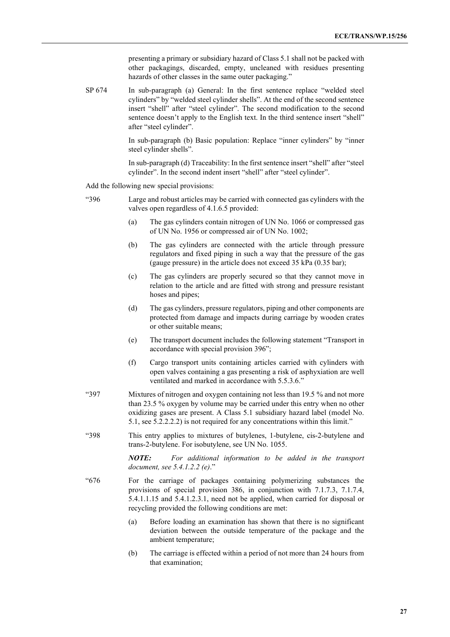presenting a primary or subsidiary hazard of Class 5.1 shall not be packed with other packagings, discarded, empty, uncleaned with residues presenting hazards of other classes in the same outer packaging."

SP 674 In sub-paragraph (a) General: In the first sentence replace "welded steel cylinders" by "welded steel cylinder shells". At the end of the second sentence insert "shell" after "steel cylinder". The second modification to the second sentence doesn't apply to the English text. In the third sentence insert "shell" after "steel cylinder".

> In sub-paragraph (b) Basic population: Replace "inner cylinders" by "inner steel cylinder shells".

> In sub-paragraph (d) Traceability: In the first sentence insert "shell" after "steel cylinder". In the second indent insert "shell" after "steel cylinder".

Add the following new special provisions:

- "396 Large and robust articles may be carried with connected gas cylinders with the valves open regardless of 4.1.6.5 provided:
	- (a) The gas cylinders contain nitrogen of UN No. 1066 or compressed gas of UN No. 1956 or compressed air of UN No. 1002;
	- (b) The gas cylinders are connected with the article through pressure regulators and fixed piping in such a way that the pressure of the gas (gauge pressure) in the article does not exceed 35 kPa (0.35 bar);
	- (c) The gas cylinders are properly secured so that they cannot move in relation to the article and are fitted with strong and pressure resistant hoses and pipes;
	- (d) The gas cylinders, pressure regulators, piping and other components are protected from damage and impacts during carriage by wooden crates or other suitable means;
	- (e) The transport document includes the following statement "Transport in accordance with special provision 396";
	- (f) Cargo transport units containing articles carried with cylinders with open valves containing a gas presenting a risk of asphyxiation are well ventilated and marked in accordance with 5.5.3.6."
- "397 Mixtures of nitrogen and oxygen containing not less than 19.5 % and not more than 23.5 % oxygen by volume may be carried under this entry when no other oxidizing gases are present. A Class 5.1 subsidiary hazard label (model No. 5.1, see 5.2.2.2.2) is not required for any concentrations within this limit."
- "398 This entry applies to mixtures of butylenes, 1-butylene, cis-2-butylene and trans-2-butylene. For isobutylene, see UN No. 1055.

*NOTE: For additional information to be added in the transport document, see 5.4.1.2.2 (e)*."

- "676 For the carriage of packages containing polymerizing substances the provisions of special provision 386, in conjunction with 7.1.7.3, 7.1.7.4, 5.4.1.1.15 and 5.4.1.2.3.1, need not be applied, when carried for disposal or recycling provided the following conditions are met:
	- (a) Before loading an examination has shown that there is no significant deviation between the outside temperature of the package and the ambient temperature;
	- (b) The carriage is effected within a period of not more than 24 hours from that examination;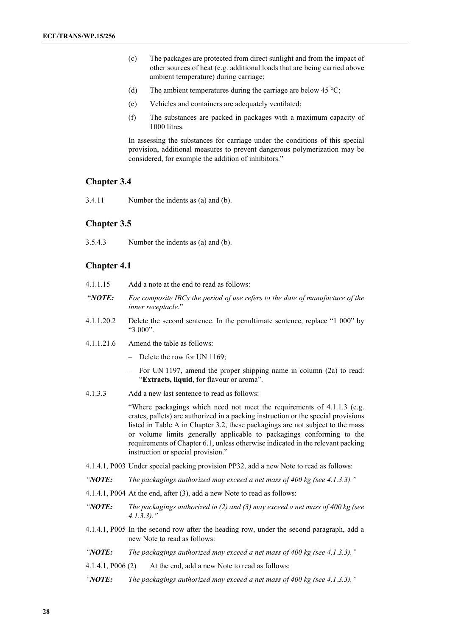- (c) The packages are protected from direct sunlight and from the impact of other sources of heat (e.g. additional loads that are being carried above ambient temperature) during carriage;
- (d) The ambient temperatures during the carriage are below 45  $\degree$ C;
- (e) Vehicles and containers are adequately ventilated;
- (f) The substances are packed in packages with a maximum capacity of 1000 litres.

In assessing the substances for carriage under the conditions of this special provision, additional measures to prevent dangerous polymerization may be considered, for example the addition of inhibitors."

## **Chapter 3.4**

3.4.11 Number the indents as (a) and (b).

#### **Chapter 3.5**

3.5.4.3 Number the indents as (a) and (b).

### **Chapter 4.1**

- 4.1.1.15 Add a note at the end to read as follows:
- "*NOTE: For composite IBCs the period of use refers to the date of manufacture of the inner receptacle.*"
- 4.1.1.20.2 Delete the second sentence. In the penultimate sentence, replace "1 000" by "3 000".
- 4.1.1.21.6 Amend the table as follows:
	- Delete the row for UN 1169;
	- For UN 1197, amend the proper shipping name in column (2a) to read: "**Extracts, liquid**, for flavour or aroma".
- 4.1.3.3 Add a new last sentence to read as follows:

"Where packagings which need not meet the requirements of 4.1.1.3 (e.g. crates, pallets) are authorized in a packing instruction or the special provisions listed in Table A in Chapter 3.2, these packagings are not subject to the mass or volume limits generally applicable to packagings conforming to the requirements of Chapter 6.1, unless otherwise indicated in the relevant packing instruction or special provision."

- 4.1.4.1, P003 Under special packing provision PP32, add a new Note to read as follows:
- *"NOTE: The packagings authorized may exceed a net mass of 400 kg (see 4.1.3.3)."*
- 4.1.4.1, P004 At the end, after (3), add a new Note to read as follows:
- *"NOTE: The packagings authorized in (2) and (3) may exceed a net mass of 400 kg (see 4.1.3.3)."*
- 4.1.4.1, P005 In the second row after the heading row, under the second paragraph, add a new Note to read as follows:
- *"NOTE: The packagings authorized may exceed a net mass of 400 kg (see 4.1.3.3)."*
- 4.1.4.1, P006 (2) At the end, add a new Note to read as follows:
- *"NOTE: The packagings authorized may exceed a net mass of 400 kg (see 4.1.3.3)."*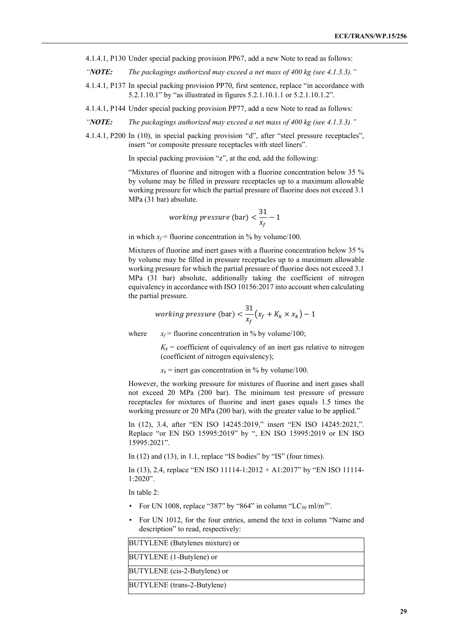- 4.1.4.1, P130 Under special packing provision PP67, add a new Note to read as follows:
- *"NOTE: The packagings authorized may exceed a net mass of 400 kg (see 4.1.3.3)."*
- 4.1.4.1, P137 In special packing provision PP70, first sentence, replace "in accordance with 5.2.1.10.1" by "as illustrated in figures 5.2.1.10.1.1 or 5.2.1.10.1.2".
- 4.1.4.1, P144 Under special packing provision PP77, add a new Note to read as follows:
- *"NOTE: The packagings authorized may exceed a net mass of 400 kg (see 4.1.3.3)."*
- 4.1.4.1, P200 In (10), in special packing provision "d", after "steel pressure receptacles", insert "or composite pressure receptacles with steel liners".

In special packing provision "z", at the end, add the following:

"Mixtures of fluorine and nitrogen with a fluorine concentration below 35 % by volume may be filled in pressure receptacles up to a maximum allowable working pressure for which the partial pressure of fluorine does not exceed 3.1 MPa (31 bar) absolute.

*working pressure* (bar) 
$$
<\frac{31}{x_f} - 1
$$

in which  $x_f$  = fluorine concentration in % by volume/100.

Mixtures of fluorine and inert gases with a fluorine concentration below 35 % by volume may be filled in pressure receptacles up to a maximum allowable working pressure for which the partial pressure of fluorine does not exceed 3.1 MPa (31 bar) absolute, additionally taking the coefficient of nitrogen equivalency in accordance with ISO 10156:2017 into account when calculating the partial pressure.

*working pressure* (bar) 
$$
< \frac{31}{x_f} (x_f + K_k \times x_k) - 1
$$

where  $x_f$  = fluorine concentration in % by volume/100;

 $K_k$  = coefficient of equivalency of an inert gas relative to nitrogen (coefficient of nitrogen equivalency);

 $x_k$  = inert gas concentration in % by volume/100.

However, the working pressure for mixtures of fluorine and inert gases shall not exceed 20 MPa (200 bar). The minimum test pressure of pressure receptacles for mixtures of fluorine and inert gases equals 1.5 times the working pressure or 20 MPa (200 bar), with the greater value to be applied."

In (12), 3.4, after "EN ISO 14245:2019," insert "EN ISO 14245:2021,". Replace "or EN ISO 15995:2019" by ", EN ISO 15995:2019 or EN ISO 15995:2021".

In (12) and (13), in 1.1, replace "IS bodies" by "IS" (four times).

In (13), 2.4, replace "EN ISO 11114-1:2012 + A1:2017" by "EN ISO 11114- 1:2020".

In table 2:

- For UN 1008, replace "387" by "864" in column "LC<sub>50</sub> ml/m<sup>3</sup>".
- For UN 1012, for the four entries, amend the text in column "Name and description" to read, respectively:

| <b>BUTYLENE</b> (Butylenes mixture) or |
|----------------------------------------|
| BUTYLENE (1-Butylene) or               |
| BUTYLENE (cis-2-Butylene) or           |
| <b>BUTYLENE</b> (trans-2-Butylene)     |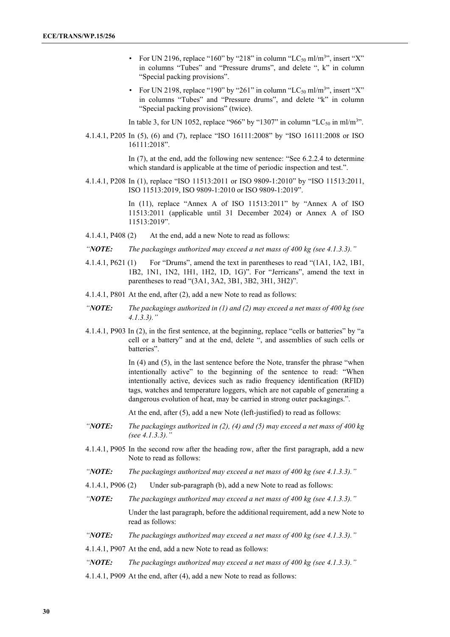- For UN 2196, replace "160" by "218" in column "LC<sub>50</sub> ml/m<sup>3</sup>", insert "X" in columns "Tubes" and "Pressure drums", and delete ", k" in column "Special packing provisions".
- For UN 2198, replace "190" by "261" in column "LC<sub>50</sub> ml/m<sup>3</sup>", insert "X" in columns "Tubes" and "Pressure drums", and delete "k" in column "Special packing provisions" (twice).

In table 3, for UN 1052, replace "966" by "1307" in column "LC<sub>50</sub> in ml/m<sup>3</sup>".

4.1.4.1, P205 In (5), (6) and (7), replace "ISO 16111:2008" by "ISO 16111:2008 or ISO 16111:2018".

> In (7), at the end, add the following new sentence: "See 6.2.2.4 to determine which standard is applicable at the time of periodic inspection and test.".

4.1.4.1, P208 In (1), replace "ISO 11513:2011 or ISO 9809-1:2010" by "ISO 11513:2011, ISO 11513:2019, ISO 9809-1:2010 or ISO 9809-1:2019".

> In (11), replace "Annex A of ISO 11513:2011" by "Annex A of ISO 11513:2011 (applicable until 31 December 2024) or Annex A of ISO 11513:2019".

- 4.1.4.1, P408 (2) At the end, add a new Note to read as follows:
- *"NOTE: The packagings authorized may exceed a net mass of 400 kg (see 4.1.3.3)."*
- 4.1.4.1, P621 (1) For "Drums", amend the text in parentheses to read "(1A1, 1A2, 1B1, 1B2, 1N1, 1N2, 1H1, 1H2, 1D, 1G)". For "Jerricans", amend the text in parentheses to read "(3A1, 3A2, 3B1, 3B2, 3H1, 3H2)".
- 4.1.4.1, P801 At the end, after (2), add a new Note to read as follows:
- *"NOTE: The packagings authorized in (1) and (2) may exceed a net mass of 400 kg (see 4.1.3.3)."*
- 4.1.4.1, P903 In (2), in the first sentence, at the beginning, replace "cells or batteries" by "a cell or a battery" and at the end, delete ", and assemblies of such cells or batteries".

In (4) and (5), in the last sentence before the Note, transfer the phrase "when intentionally active" to the beginning of the sentence to read: "When intentionally active, devices such as radio frequency identification (RFID) tags, watches and temperature loggers, which are not capable of generating a dangerous evolution of heat, may be carried in strong outer packagings.".

At the end, after (5), add a new Note (left-justified) to read as follows:

- *"NOTE: The packagings authorized in (2), (4) and (5) may exceed a net mass of 400 kg (see 4.1.3.3)."*
- 4.1.4.1, P905 In the second row after the heading row, after the first paragraph, add a new Note to read as follows:
- *"NOTE: The packagings authorized may exceed a net mass of 400 kg (see 4.1.3.3)."*
- 4.1.4.1, P906 (2) Under sub-paragraph (b), add a new Note to read as follows:
- *"NOTE: The packagings authorized may exceed a net mass of 400 kg (see 4.1.3.3)."*

Under the last paragraph, before the additional requirement, add a new Note to read as follows:

*"NOTE: The packagings authorized may exceed a net mass of 400 kg (see 4.1.3.3)."*

4.1.4.1, P907 At the end, add a new Note to read as follows:

*"NOTE: The packagings authorized may exceed a net mass of 400 kg (see 4.1.3.3)."*

4.1.4.1, P909 At the end, after (4), add a new Note to read as follows: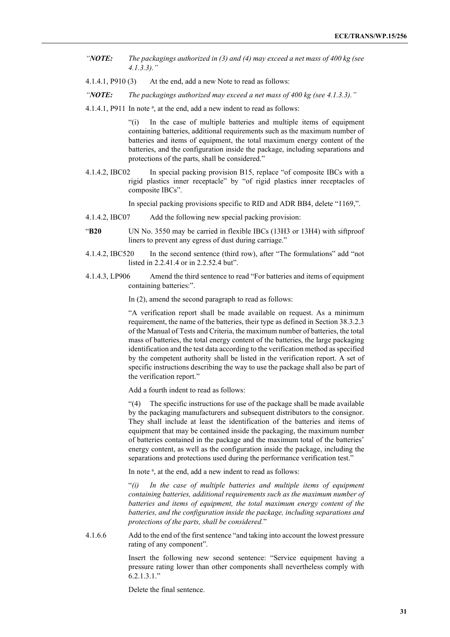- *"NOTE: The packagings authorized in (3) and (4) may exceed a net mass of 400 kg (see 4.1.3.3)."*
- 4.1.4.1, P910 (3) At the end, add a new Note to read as follows:
- *"NOTE: The packagings authorized may exceed a net mass of 400 kg (see 4.1.3.3)."*
- 4.1.4.1, P911 In note <sup>a</sup>, at the end, add a new indent to read as follows:

"(i) In the case of multiple batteries and multiple items of equipment containing batteries, additional requirements such as the maximum number of batteries and items of equipment, the total maximum energy content of the batteries, and the configuration inside the package, including separations and protections of the parts, shall be considered."

4.1.4.2, IBC02 In special packing provision B15, replace "of composite IBCs with a rigid plastics inner receptacle" by "of rigid plastics inner receptacles of composite IBCs".

In special packing provisions specific to RID and ADR BB4, delete "1169,".

- 4.1.4.2, IBC07 Add the following new special packing provision:
- "**B20** UN No. 3550 may be carried in flexible IBCs (13H3 or 13H4) with siftproof liners to prevent any egress of dust during carriage."
- 4.1.4.2, IBC520 In the second sentence (third row), after "The formulations" add "not listed in 2.2.41.4 or in 2.2.52.4 but".
- 4.1.4.3, LP906 Amend the third sentence to read "For batteries and items of equipment containing batteries:".

In (2), amend the second paragraph to read as follows:

"A verification report shall be made available on request. As a minimum requirement, the name of the batteries, their type as defined in Section 38.3.2.3 of the Manual of Tests and Criteria, the maximum number of batteries, the total mass of batteries, the total energy content of the batteries, the large packaging identification and the test data according to the verification method as specified by the competent authority shall be listed in the verification report. A set of specific instructions describing the way to use the package shall also be part of the verification report."

Add a fourth indent to read as follows:

"(4) The specific instructions for use of the package shall be made available by the packaging manufacturers and subsequent distributors to the consignor. They shall include at least the identification of the batteries and items of equipment that may be contained inside the packaging, the maximum number of batteries contained in the package and the maximum total of the batteries' energy content, as well as the configuration inside the package, including the separations and protections used during the performance verification test."

In note<sup>a</sup>, at the end, add a new indent to read as follows:

"*(i) In the case of multiple batteries and multiple items of equipment containing batteries, additional requirements such as the maximum number of batteries and items of equipment, the total maximum energy content of the batteries, and the configuration inside the package, including separations and protections of the parts, shall be considered.*"

4.1.6.6 Add to the end of the first sentence "and taking into account the lowest pressure rating of any component".

> Insert the following new second sentence: "Service equipment having a pressure rating lower than other components shall nevertheless comply with 6.2.1.3.1."

Delete the final sentence.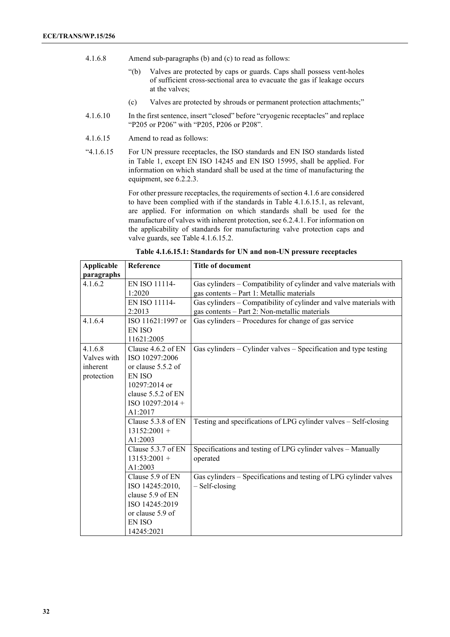- 4.1.6.8 Amend sub-paragraphs (b) and (c) to read as follows:
	- "(b) Valves are protected by caps or guards. Caps shall possess vent-holes of sufficient cross-sectional area to evacuate the gas if leakage occurs at the valves;
	- (c) Valves are protected by shrouds or permanent protection attachments;"
- 4.1.6.10 In the first sentence, insert "closed" before "cryogenic receptacles" and replace "P205 or P206" with "P205, P206 or P208".
- 4.1.6.15 Amend to read as follows:
- "4.1.6.15 For UN pressure receptacles, the ISO standards and EN ISO standards listed in Table 1, except EN ISO 14245 and EN ISO 15995, shall be applied. For information on which standard shall be used at the time of manufacturing the equipment, see 6.2.2.3.

For other pressure receptacles, the requirements of section 4.1.6 are considered to have been complied with if the standards in Table 4.1.6.15.1, as relevant, are applied. For information on which standards shall be used for the manufacture of valves with inherent protection, see 6.2.4.1. For information on the applicability of standards for manufacturing valve protection caps and valve guards, see Table 4.1.6.15.2.

| <b>Applicable</b> | Reference              | <b>Title of document</b>                                             |
|-------------------|------------------------|----------------------------------------------------------------------|
| paragraphs        |                        |                                                                      |
| 4.1.6.2           | EN ISO 11114-          | Gas cylinders - Compatibility of cylinder and valve materials with   |
|                   | 1:2020                 | gas contents - Part 1: Metallic materials                            |
|                   | EN ISO 11114-          | Gas cylinders - Compatibility of cylinder and valve materials with   |
|                   | 2:2013                 | gas contents - Part 2: Non-metallic materials                        |
| 4.1.6.4           | ISO 11621:1997 or      | Gas cylinders - Procedures for change of gas service                 |
|                   | EN ISO                 |                                                                      |
|                   | 11621:2005             |                                                                      |
| 4.1.6.8           | Clause $4.6.2$ of EN   | Gas cylinders $-$ Cylinder valves $-$ Specification and type testing |
| Valves with       | ISO 10297:2006         |                                                                      |
| inherent          | or clause 5.5.2 of     |                                                                      |
| protection        | EN ISO                 |                                                                      |
|                   | $10297:2014$ or        |                                                                      |
|                   | clause 5.5.2 of EN     |                                                                      |
|                   | ISO $10297:2014 +$     |                                                                      |
|                   | A1:2017                |                                                                      |
|                   | Clause $5.3.8$ of $EN$ | Testing and specifications of LPG cylinder valves - Self-closing     |
|                   | $13152:2001 +$         |                                                                      |
|                   | A1:2003                |                                                                      |
|                   | Clause 5.3.7 of EN     | Specifications and testing of LPG cylinder valves - Manually         |
|                   | $13153:2001 +$         | operated                                                             |
|                   | A1:2003                |                                                                      |
|                   | Clause 5.9 of EN       | Gas cylinders - Specifications and testing of LPG cylinder valves    |
|                   | ISO 14245:2010,        | $-$ Self-closing                                                     |
|                   | clause 5.9 of EN       |                                                                      |
|                   | ISO 14245:2019         |                                                                      |
|                   | or clause 5.9 of       |                                                                      |
|                   | <b>EN ISO</b>          |                                                                      |
|                   | 14245:2021             |                                                                      |

**Table 4.1.6.15.1: Standards for UN and non-UN pressure receptacles**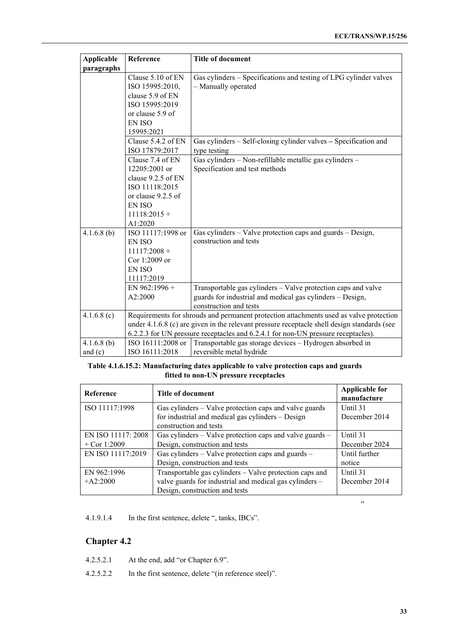| <b>Applicable</b> | Reference                                                                                                                                                                                                                                                                  | <b>Title of document</b>                                                                                                                             |  |  |
|-------------------|----------------------------------------------------------------------------------------------------------------------------------------------------------------------------------------------------------------------------------------------------------------------------|------------------------------------------------------------------------------------------------------------------------------------------------------|--|--|
| paragraphs        |                                                                                                                                                                                                                                                                            |                                                                                                                                                      |  |  |
|                   | Clause 5.10 of EN<br>ISO 15995:2010,<br>clause 5.9 of EN<br>ISO 15995:2019<br>or clause 5.9 of<br><b>EN ISO</b><br>15995:2021                                                                                                                                              | Gas cylinders - Specifications and testing of LPG cylinder valves<br>- Manually operated                                                             |  |  |
|                   | Clause 5.4.2 of EN<br>ISO 17879:2017                                                                                                                                                                                                                                       | Gas cylinders - Self-closing cylinder valves - Specification and<br>type testing                                                                     |  |  |
|                   | Clause 7.4 of EN<br>$12205:2001$ or<br>clause 9.2.5 of EN<br>ISO 11118:2015<br>or clause 9.2.5 of<br><b>EN ISO</b><br>$11118:2015 +$<br>A1:2020                                                                                                                            | Gas cylinders - Non-refillable metallic gas cylinders -<br>Specification and test methods                                                            |  |  |
| $4.1.6.8$ (b)     | ISO 11117:1998 or<br><b>EN ISO</b><br>$11117:2008 +$<br>Cor 1:2009 or<br><b>EN ISO</b><br>11117:2019                                                                                                                                                                       | Gas cylinders – Valve protection caps and guards – Design,<br>construction and tests                                                                 |  |  |
|                   | EN $962:1996 +$<br>A2:2000                                                                                                                                                                                                                                                 | Transportable gas cylinders - Valve protection caps and valve<br>guards for industrial and medical gas cylinders - Design,<br>construction and tests |  |  |
| 4.1.6.8(c)        | Requirements for shrouds and permanent protection attachments used as valve protection<br>under 4.1.6.8 (c) are given in the relevant pressure receptacle shell design standards (see<br>6.2.2.3 for UN pressure receptacles and 6.2.4.1 for non-UN pressure receptacles). |                                                                                                                                                      |  |  |
| $4.1.6.8$ (b)     | ISO 16111:2008 or                                                                                                                                                                                                                                                          | Transportable gas storage devices - Hydrogen absorbed in                                                                                             |  |  |
| and $(c)$         | ISO 16111:2018                                                                                                                                                                                                                                                             | reversible metal hydride                                                                                                                             |  |  |

## **Table 4.1.6.15.2: Manufacturing dates applicable to valve protection caps and guards fitted to non-UN pressure receptacles**

| Reference          | Title of document                                        | <b>Applicable for</b><br>manufacture |
|--------------------|----------------------------------------------------------|--------------------------------------|
| ISO 11117:1998     | Gas cylinders – Valve protection caps and valve guards   | Until 31                             |
|                    | for industrial and medical gas cylinders - Design        | December 2014                        |
|                    | construction and tests                                   |                                      |
| EN ISO 11117: 2008 | Gas cylinders – Valve protection caps and valve guards – | Until 31                             |
| $+$ Cor 1:2009     | Design, construction and tests                           | December 2024                        |
| EN ISO 11117:2019  | Gas cylinders – Valve protection caps and guards –       | Until further                        |
|                    | Design, construction and tests                           | notice                               |
| EN 962:1996        | Transportable gas cylinders – Valve protection caps and  | Until 31                             |
| $+A2:2000$         | valve guards for industrial and medical gas cylinders -  | December 2014                        |
|                    | Design, construction and tests                           |                                      |

4.1.9.1.4 In the first sentence, delete ", tanks, IBCs".

## **Chapter 4.2**

- 4.2.5.2.1 At the end, add "or Chapter 6.9".
- 4.2.5.2.2 In the first sentence, delete "(in reference steel)".

"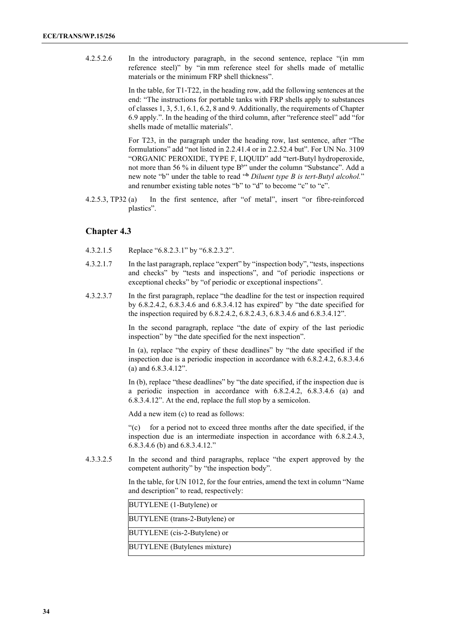4.2.5.2.6 In the introductory paragraph, in the second sentence, replace "(in mm reference steel)" by "in mm reference steel for shells made of metallic materials or the minimum FRP shell thickness".

> In the table, for T1-T22, in the heading row, add the following sentences at the end: "The instructions for portable tanks with FRP shells apply to substances of classes 1, 3, 5.1, 6.1, 6.2, 8 and 9. Additionally, the requirements of Chapter 6.9 apply.". In the heading of the third column, after "reference steel" add "for shells made of metallic materials".

> For T23, in the paragraph under the heading row, last sentence, after "The formulations" add "not listed in 2.2.41.4 or in 2.2.52.4 but". For UN No. 3109 "ORGANIC PEROXIDE, TYPE F, LIQUID" add "tert-Butyl hydroperoxide, not more than 56 % in diluent type  $B^{bv}$  under the column "Substance". Add a new note "b" under the table to read "**<sup>b</sup>** *Diluent type B is tert-Butyl alcohol.*" and renumber existing table notes "b" to "d" to become "c" to "e".

4.2.5.3, TP32 (a) In the first sentence, after "of metal", insert "or fibre-reinforced plastics".

## **Chapter 4.3**

- 4.3.2.1.5 Replace "6.8.2.3.1" by "6.8.2.3.2".
- 4.3.2.1.7 In the last paragraph, replace "expert" by "inspection body", "tests, inspections and checks" by "tests and inspections", and "of periodic inspections or exceptional checks" by "of periodic or exceptional inspections".
- 4.3.2.3.7 In the first paragraph, replace "the deadline for the test or inspection required by 6.8.2.4.2, 6.8.3.4.6 and 6.8.3.4.12 has expired" by "the date specified for the inspection required by 6.8.2.4.2, 6.8.2.4.3, 6.8.3.4.6 and 6.8.3.4.12".

In the second paragraph, replace "the date of expiry of the last periodic inspection" by "the date specified for the next inspection".

In (a), replace "the expiry of these deadlines" by "the date specified if the inspection due is a periodic inspection in accordance with 6.8.2.4.2, 6.8.3.4.6 (a) and 6.8.3.4.12".

In (b), replace "these deadlines" by "the date specified, if the inspection due is a periodic inspection in accordance with 6.8.2.4.2, 6.8.3.4.6 (a) and 6.8.3.4.12". At the end, replace the full stop by a semicolon.

Add a new item (c) to read as follows:

"(c) for a period not to exceed three months after the date specified, if the inspection due is an intermediate inspection in accordance with 6.8.2.4.3, 6.8.3.4.6 (b) and 6.8.3.4.12."

4.3.3.2.5 In the second and third paragraphs, replace "the expert approved by the competent authority" by "the inspection body".

> In the table, for UN 1012, for the four entries, amend the text in column "Name and description" to read, respectively:

| BUTYLENE (1-Butylene) or            |  |
|-------------------------------------|--|
| BUTYLENE (trans-2-Butylene) or      |  |
| BUTYLENE (cis-2-Butylene) or        |  |
| <b>BUTYLENE</b> (Butylenes mixture) |  |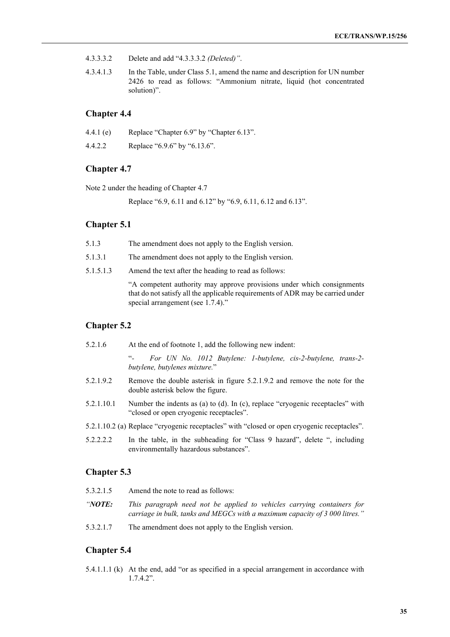- 4.3.3.3.2 Delete and add "4.3.3.3.2 *(Deleted)"*.
- 4.3.4.1.3 In the Table, under Class 5.1, amend the name and description for UN number 2426 to read as follows: "Ammonium nitrate, liquid (hot concentrated solution)".

## **Chapter 4.4**

| 4.4.1 $(e)$ | Replace "Chapter 6.9" by "Chapter 6.13". |
|-------------|------------------------------------------|
| 4.4.2.2     | Replace "6.9.6" by "6.13.6".             |

## **Chapter 4.7**

Note 2 under the heading of Chapter 4.7

Replace "6.9, 6.11 and 6.12" by "6.9, 6.11, 6.12 and 6.13".

## **Chapter 5.1**

| The amendment does not apply to the English version.<br>5.1.3 |  |
|---------------------------------------------------------------|--|
|---------------------------------------------------------------|--|

5.1.3.1 The amendment does not apply to the English version.

5.1.5.1.3 Amend the text after the heading to read as follows:

"A competent authority may approve provisions under which consignments that do not satisfy all the applicable requirements of ADR may be carried under special arrangement (see 1.7.4)."

## **Chapter 5.2**

| 5.2.1.6    | At the end of footnote 1, add the following new indent:                                                                   |
|------------|---------------------------------------------------------------------------------------------------------------------------|
|            | For UN No. 1012 Butylene: 1-butylene, cis-2-butylene, trans-2-<br>butylene, butylenes mixture."                           |
| 5.2.1.9.2  | Remove the double asterisk in figure 5.2.1.9.2 and remove the note for the<br>double asterisk below the figure.           |
| 5.2.1.10.1 | Number the indents as (a) to (d). In (c), replace "cryogenic receptacles" with<br>"closed or open cryogenic receptacles". |
|            | 5.2.1.10.2 (a) Replace "cryogenic receptacles" with "closed or open cryogenic receptacles".                               |
| 5.2.2.2.2  | In the table, in the subheading for "Class 9 hazard", delete ", including<br>environmentally hazardous substances".       |

## **Chapter 5.3**

| 5.3.2.1.5      | Amend the note to read as follows:                                                                                                                    |
|----------------|-------------------------------------------------------------------------------------------------------------------------------------------------------|
| <i>''NOTE:</i> | This paragraph need not be applied to vehicles carrying containers for<br>carriage in bulk, tanks and MEGCs with a maximum capacity of 3 000 litres." |
| 5.3.2.1.7      | The amendment does not apply to the English version.                                                                                                  |

## **Chapter 5.4**

5.4.1.1.1 (k) At the end, add "or as specified in a special arrangement in accordance with 1.7.4.2".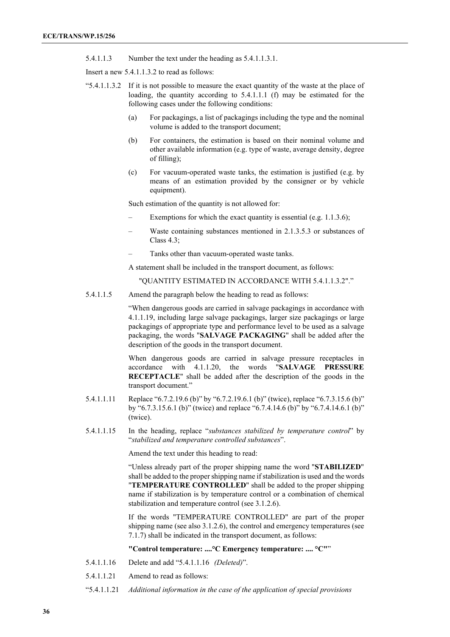5.4.1.1.3 Number the text under the heading as 5.4.1.1.3.1.

Insert a new 5.4.1.1.3.2 to read as follows:

- "5.4.1.1.3.2 If it is not possible to measure the exact quantity of the waste at the place of loading, the quantity according to 5.4.1.1.1 (f) may be estimated for the following cases under the following conditions:
	- (a) For packagings, a list of packagings including the type and the nominal volume is added to the transport document;
	- (b) For containers, the estimation is based on their nominal volume and other available information (e.g. type of waste, average density, degree of filling);
	- (c) For vacuum-operated waste tanks, the estimation is justified (e.g. by means of an estimation provided by the consigner or by vehicle equipment).

Such estimation of the quantity is not allowed for:

- Exemptions for which the exact quantity is essential (e.g. 1.1.3.6);
- Waste containing substances mentioned in 2.1.3.5.3 or substances of Class 4.3;
- Tanks other than vacuum-operated waste tanks.

A statement shall be included in the transport document, as follows:

"QUANTITY ESTIMATED IN ACCORDANCE WITH 5.4.1.1.3.2"."

5.4.1.1.5 Amend the paragraph below the heading to read as follows:

"When dangerous goods are carried in salvage packagings in accordance with 4.1.1.19, including large salvage packagings, larger size packagings or large packagings of appropriate type and performance level to be used as a salvage packaging, the words "**SALVAGE PACKAGING**" shall be added after the description of the goods in the transport document.

When dangerous goods are carried in salvage pressure receptacles in accordance with 4.1.1.20, the words "**SALVAGE PRESSURE RECEPTACLE**" shall be added after the description of the goods in the transport document."

- 5.4.1.1.11 Replace "6.7.2.19.6 (b)" by "6.7.2.19.6.1 (b)" (twice), replace "6.7.3.15.6 (b)" by "6.7.3.15.6.1 (b)" (twice) and replace "6.7.4.14.6 (b)" by "6.7.4.14.6.1 (b)" (twice).
- 5.4.1.1.15 In the heading, replace "*substances stabilized by temperature control*" by "*stabilized and temperature controlled substances*".

Amend the text under this heading to read:

"Unless already part of the proper shipping name the word "**STABILIZED**" shall be added to the proper shipping name if stabilization is used and the words "**TEMPERATURE CONTROLLED**" shall be added to the proper shipping name if stabilization is by temperature control or a combination of chemical stabilization and temperature control (see 3.1.2.6).

If the words "TEMPERATURE CONTROLLED" are part of the proper shipping name (see also 3.1.2.6), the control and emergency temperatures (see 7.1.7) shall be indicated in the transport document, as follows:

**"Control temperature: ....°C Emergency temperature: .... °C"**"

- 5.4.1.1.16 Delete and add "5.4.1.1.16 *(Deleted)*".
- 5.4.1.1.21 Amend to read as follows:
- "5.4.1.1.21 *Additional information in the case of the application of special provisions*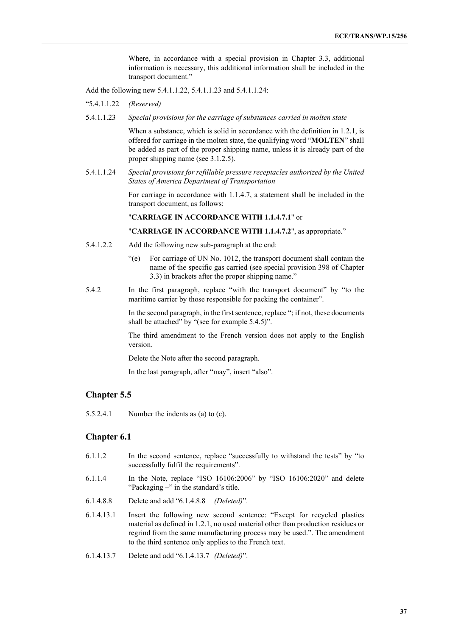Where, in accordance with a special provision in Chapter 3.3, additional information is necessary, this additional information shall be included in the transport document."

Add the following new 5.4.1.1.22, 5.4.1.1.23 and 5.4.1.1.24:

"5.4.1.1.22 *(Reserved)*

5.4.1.1.23 *Special provisions for the carriage of substances carried in molten state*

When a substance, which is solid in accordance with the definition in 1.2.1, is offered for carriage in the molten state, the qualifying word "**MOLTEN**" shall be added as part of the proper shipping name, unless it is already part of the proper shipping name (see 3.1.2.5).

5.4.1.1.24 *Special provisions for refillable pressure receptacles authorized by the United States of America Department of Transportation*

> For carriage in accordance with 1.1.4.7, a statement shall be included in the transport document, as follows:

"**CARRIAGE IN ACCORDANCE WITH 1.1.4.7.1**" or

"**CARRIAGE IN ACCORDANCE WITH 1.1.4.7.2**", as appropriate."

- 5.4.1.2.2 Add the following new sub-paragraph at the end:
	- "(e) For carriage of UN No. 1012, the transport document shall contain the name of the specific gas carried (see special provision 398 of Chapter 3.3) in brackets after the proper shipping name."
- 5.4.2 In the first paragraph, replace "with the transport document" by "to the maritime carrier by those responsible for packing the container".

In the second paragraph, in the first sentence, replace "; if not, these documents shall be attached" by "(see for example 5.4.5)".

The third amendment to the French version does not apply to the English version.

Delete the Note after the second paragraph.

In the last paragraph, after "may", insert "also".

# **Chapter 5.5**

5.5.2.4.1 Number the indents as (a) to (c).

# **Chapter 6.1**

- 6.1.1.2 In the second sentence, replace "successfully to withstand the tests" by "to successfully fulfil the requirements".
- 6.1.1.4 In the Note, replace "ISO 16106:2006" by "ISO 16106:2020" and delete "Packaging -" in the standard's title.
- 6.1.4.8.8 Delete and add "6.1.4.8.8 *(Deleted)*".
- 6.1.4.13.1 Insert the following new second sentence: "Except for recycled plastics material as defined in 1.2.1, no used material other than production residues or regrind from the same manufacturing process may be used.". The amendment to the third sentence only applies to the French text.
- 6.1.4.13.7 Delete and add "6.1.4.13.7 *(Deleted)*".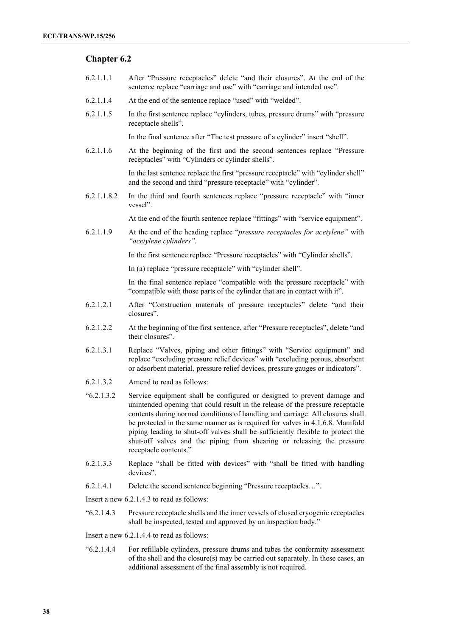# **Chapter 6.2**

- 6.2.1.1.1 After "Pressure receptacles" delete "and their closures". At the end of the sentence replace "carriage and use" with "carriage and intended use".
- 6.2.1.1.4 At the end of the sentence replace "used" with "welded".
- 6.2.1.1.5 In the first sentence replace "cylinders, tubes, pressure drums" with "pressure receptacle shells".

In the final sentence after "The test pressure of a cylinder" insert "shell".

6.2.1.1.6 At the beginning of the first and the second sentences replace "Pressure receptacles" with "Cylinders or cylinder shells".

> In the last sentence replace the first "pressure receptacle" with "cylinder shell" and the second and third "pressure receptacle" with "cylinder".

6.2.1.1.8.2 In the third and fourth sentences replace "pressure receptacle" with "inner vessel".

At the end of the fourth sentence replace "fittings" with "service equipment".

6.2.1.1.9 At the end of the heading replace "*pressure receptacles for acetylene"* with *"acetylene cylinders".* 

In the first sentence replace "Pressure receptacles" with "Cylinder shells".

In (a) replace "pressure receptacle" with "cylinder shell".

In the final sentence replace "compatible with the pressure receptacle" with "compatible with those parts of the cylinder that are in contact with it".

- 6.2.1.2.1 After "Construction materials of pressure receptacles" delete "and their closures".
- 6.2.1.2.2 At the beginning of the first sentence, after "Pressure receptacles", delete "and their closures".
- 6.2.1.3.1 Replace "Valves, piping and other fittings" with "Service equipment" and replace "excluding pressure relief devices" with "excluding porous, absorbent or adsorbent material, pressure relief devices, pressure gauges or indicators".
- 6.2.1.3.2 Amend to read as follows:
- "6.2.1.3.2 Service equipment shall be configured or designed to prevent damage and unintended opening that could result in the release of the pressure receptacle contents during normal conditions of handling and carriage. All closures shall be protected in the same manner as is required for valves in 4.1.6.8. Manifold piping leading to shut-off valves shall be sufficiently flexible to protect the shut-off valves and the piping from shearing or releasing the pressure receptacle contents."
- 6.2.1.3.3 Replace "shall be fitted with devices" with "shall be fitted with handling devices".
- 6.2.1.4.1 Delete the second sentence beginning "Pressure receptacles…".

Insert a new 6.2.1.4.3 to read as follows:

"6.2.1.4.3 Pressure receptacle shells and the inner vessels of closed cryogenic receptacles shall be inspected, tested and approved by an inspection body."

Insert a new 6.2.1.4.4 to read as follows:

"6.2.1.4.4 For refillable cylinders, pressure drums and tubes the conformity assessment of the shell and the closure(s) may be carried out separately. In these cases, an additional assessment of the final assembly is not required.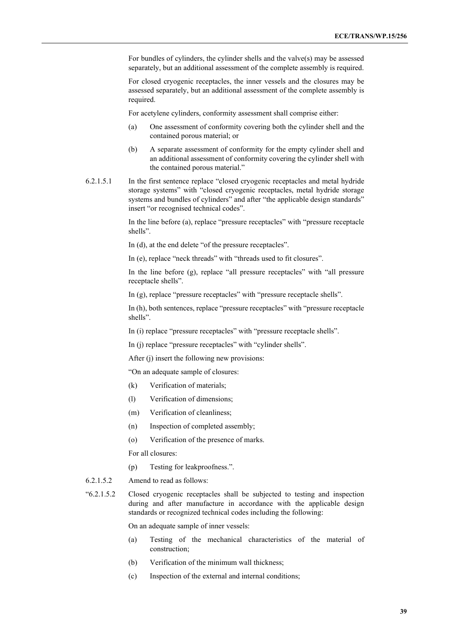For bundles of cylinders, the cylinder shells and the valve(s) may be assessed separately, but an additional assessment of the complete assembly is required.

For closed cryogenic receptacles, the inner vessels and the closures may be assessed separately, but an additional assessment of the complete assembly is required.

For acetylene cylinders, conformity assessment shall comprise either:

- (a) One assessment of conformity covering both the cylinder shell and the contained porous material; or
- (b) A separate assessment of conformity for the empty cylinder shell and an additional assessment of conformity covering the cylinder shell with the contained porous material."
- 6.2.1.5.1 In the first sentence replace "closed cryogenic receptacles and metal hydride storage systems" with "closed cryogenic receptacles, metal hydride storage systems and bundles of cylinders" and after "the applicable design standards" insert "or recognised technical codes".

In the line before (a), replace "pressure receptacles" with "pressure receptacle shells".

In (d), at the end delete "of the pressure receptacles".

In (e), replace "neck threads" with "threads used to fit closures".

In the line before (g), replace "all pressure receptacles" with "all pressure receptacle shells".

In (g), replace "pressure receptacles" with "pressure receptacle shells".

In (h), both sentences, replace "pressure receptacles" with "pressure receptacle shells".

In (i) replace "pressure receptacles" with "pressure receptacle shells".

In (j) replace "pressure receptacles" with "cylinder shells".

After (j) insert the following new provisions:

"On an adequate sample of closures:

- (k) Verification of materials;
- (l) Verification of dimensions;
- (m) Verification of cleanliness;
- (n) Inspection of completed assembly;
- (o) Verification of the presence of marks.

For all closures:

- (p) Testing for leakproofness.".
- 6.2.1.5.2 Amend to read as follows:
- "6.2.1.5.2 Closed cryogenic receptacles shall be subjected to testing and inspection during and after manufacture in accordance with the applicable design standards or recognized technical codes including the following:

On an adequate sample of inner vessels:

- (a) Testing of the mechanical characteristics of the material of construction;
- (b) Verification of the minimum wall thickness;
- (c) Inspection of the external and internal conditions;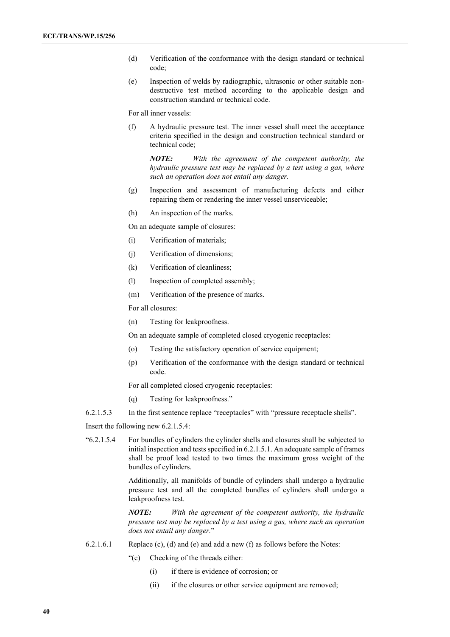- (d) Verification of the conformance with the design standard or technical code;
- (e) Inspection of welds by radiographic, ultrasonic or other suitable nondestructive test method according to the applicable design and construction standard or technical code.

For all inner vessels:

(f) A hydraulic pressure test. The inner vessel shall meet the acceptance criteria specified in the design and construction technical standard or technical code;

*NOTE: With the agreement of the competent authority, the hydraulic pressure test may be replaced by a test using a gas, where such an operation does not entail any danger.*

- (g) Inspection and assessment of manufacturing defects and either repairing them or rendering the inner vessel unserviceable;
- (h) An inspection of the marks.

On an adequate sample of closures:

- (i) Verification of materials;
- (j) Verification of dimensions;
- (k) Verification of cleanliness;
- (l) Inspection of completed assembly;
- (m) Verification of the presence of marks.

For all closures:

(n) Testing for leakproofness.

On an adequate sample of completed closed cryogenic receptacles:

- (o) Testing the satisfactory operation of service equipment;
- (p) Verification of the conformance with the design standard or technical code.

For all completed closed cryogenic receptacles:

- (q) Testing for leakproofness."
- 6.2.1.5.3 In the first sentence replace "receptacles" with "pressure receptacle shells".

Insert the following new 6.2.1.5.4:

"6.2.1.5.4 For bundles of cylinders the cylinder shells and closures shall be subjected to initial inspection and tests specified in 6.2.1.5.1. An adequate sample of frames shall be proof load tested to two times the maximum gross weight of the bundles of cylinders.

> Additionally, all manifolds of bundle of cylinders shall undergo a hydraulic pressure test and all the completed bundles of cylinders shall undergo a leakproofness test.

> *NOTE: With the agreement of the competent authority, the hydraulic pressure test may be replaced by a test using a gas, where such an operation does not entail any danger.*"

- 6.2.1.6.1 Replace (c), (d) and (e) and add a new (f) as follows before the Notes:
	- "(c) Checking of the threads either:
		- (i) if there is evidence of corrosion; or
		- (ii) if the closures or other service equipment are removed;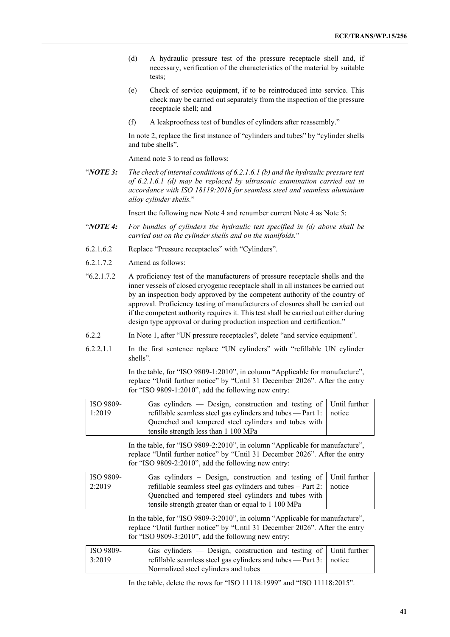- (d) A hydraulic pressure test of the pressure receptacle shell and, if necessary, verification of the characteristics of the material by suitable tests;
- (e) Check of service equipment, if to be reintroduced into service. This check may be carried out separately from the inspection of the pressure receptacle shell; and
- (f) A leakproofness test of bundles of cylinders after reassembly."

In note 2, replace the first instance of "cylinders and tubes" by "cylinder shells and tube shells".

Amend note 3 to read as follows:

"*NOTE 3: The check of internal conditions of 6.2.1.6.1 (b) and the hydraulic pressure test of 6.2.1.6.1 (d) may be replaced by ultrasonic examination carried out in accordance with ISO 18119:2018 for seamless steel and seamless aluminium alloy cylinder shells.*"

Insert the following new Note 4 and renumber current Note 4 as Note 5:

- "*NOTE 4: For bundles of cylinders the hydraulic test specified in (d) above shall be carried out on the cylinder shells and on the manifolds.*"
- 6.2.1.6.2 Replace "Pressure receptacles" with "Cylinders".
- 6.2.1.7.2 Amend as follows:
- "6.2.1.7.2 A proficiency test of the manufacturers of pressure receptacle shells and the inner vessels of closed cryogenic receptacle shall in all instances be carried out by an inspection body approved by the competent authority of the country of approval. Proficiency testing of manufacturers of closures shall be carried out if the competent authority requires it. This test shall be carried out either during design type approval or during production inspection and certification."
- 6.2.2 In Note 1, after "UN pressure receptacles", delete "and service equipment".
- 6.2.2.1.1 In the first sentence replace "UN cylinders" with "refillable UN cylinder shells".

In the table, for "ISO 9809-1:2010", in column "Applicable for manufacture", replace "Until further notice" by "Until 31 December 2026". After the entry for "ISO 9809-1:2010", add the following new entry:

| <b>ISO</b> 9809- | Gas cylinders — Design, construction and testing of   Until further          |  |
|------------------|------------------------------------------------------------------------------|--|
| 1:2019           | refillable seamless steel gas cylinders and tubes $-$ Part 1: $\vert$ notice |  |
|                  | Quenched and tempered steel cylinders and tubes with                         |  |
|                  | tensile strength less than 1 100 MPa                                         |  |

In the table, for "ISO 9809-2:2010", in column "Applicable for manufacture", replace "Until further notice" by "Until 31 December 2026". After the entry for "ISO 9809-2:2010", add the following new entry:

| <b>ISO</b> 9809- | Gas cylinders – Design, construction and testing of Until further            |  |
|------------------|------------------------------------------------------------------------------|--|
| 2:2019           | refillable seamless steel gas cylinders and tubes $-$ Part 2: $\vert$ notice |  |
|                  | Quenched and tempered steel cylinders and tubes with                         |  |
|                  | tensile strength greater than or equal to 1 100 MPa                          |  |

In the table, for "ISO 9809-3:2010", in column "Applicable for manufacture", replace "Until further notice" by "Until 31 December 2026". After the entry for "ISO 9809-3:2010", add the following new entry:

| ISO 9809- | Gas cylinders — Design, construction and testing of Until further                  |  |
|-----------|------------------------------------------------------------------------------------|--|
| 3:2019    | $\vert$ refillable seamless steel gas cylinders and tubes — Part 3: $\vert$ notice |  |
|           | Normalized steel cylinders and tubes                                               |  |

In the table, delete the rows for "ISO 11118:1999" and "ISO 11118:2015".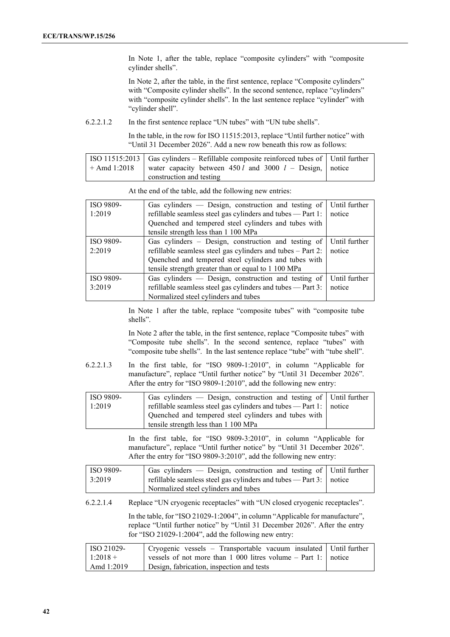In Note 1, after the table, replace "composite cylinders" with "composite cylinder shells".

In Note 2, after the table, in the first sentence, replace "Composite cylinders" with "Composite cylinder shells". In the second sentence, replace "cylinders" with "composite cylinder shells". In the last sentence replace "cylinder" with "cylinder shell".

6.2.2.1.2 In the first sentence replace "UN tubes" with "UN tube shells".

In the table, in the row for ISO 11515:2013, replace "Until further notice" with "Until 31 December 2026". Add a new row beneath this row as follows:

| $\vert$ ISO 11515:2013 $\vert$ Gas cylinders – Refillable composite reinforced tubes of $\vert$ Until further |  |
|---------------------------------------------------------------------------------------------------------------|--|
| $+$ Amd 1:2018 water capacity between 450 l and 3000 l – Design, notice                                       |  |
| construction and testing                                                                                      |  |

At the end of the table, add the following new entries:

| ISO 9809- | Gas cylinders — Design, construction and testing of         | Until further |
|-----------|-------------------------------------------------------------|---------------|
| 1:2019    | refillable seamless steel gas cylinders and tubes - Part 1: | notice        |
|           | Quenched and tempered steel cylinders and tubes with        |               |
|           | tensile strength less than 1 100 MPa                        |               |
| ISO 9809- | Gas cylinders – Design, construction and testing of         | Until further |
| 2:2019    | refillable seamless steel gas cylinders and tubes - Part 2: | notice        |
|           | Quenched and tempered steel cylinders and tubes with        |               |
|           | tensile strength greater than or equal to 1 100 MPa         |               |
| ISO 9809- | Gas cylinders — Design, construction and testing of         | Until further |
| 3:2019    | refillable seamless steel gas cylinders and tubes - Part 3: | notice        |
|           | Normalized steel cylinders and tubes                        |               |

In Note 1 after the table, replace "composite tubes" with "composite tube shells".

In Note 2 after the table, in the first sentence, replace "Composite tubes" with "Composite tube shells". In the second sentence, replace "tubes" with "composite tube shells". In the last sentence replace "tube" with "tube shell".

6.2.2.1.3 In the first table, for "ISO 9809-1:2010", in column "Applicable for manufacture", replace "Until further notice" by "Until 31 December 2026". After the entry for "ISO 9809-1:2010", add the following new entry:

| ISO 9809- | Gas cylinders — Design, construction and testing of   Until further                     |  |
|-----------|-----------------------------------------------------------------------------------------|--|
| 1:2019    | $\vert$ refillable seamless steel gas cylinders and tubes $\sim$ Part 1: $\vert$ notice |  |
|           | Quenched and tempered steel cylinders and tubes with                                    |  |
|           | tensile strength less than 1 100 MPa                                                    |  |

In the first table, for "ISO 9809-3:2010", in column "Applicable for manufacture", replace "Until further notice" by "Until 31 December 2026". After the entry for "ISO 9809-3:2010", add the following new entry:

| ISO 9809- | Gas cylinders $-$ Design, construction and testing of Until further          |  |
|-----------|------------------------------------------------------------------------------|--|
| 3:2019    | refillable seamless steel gas cylinders and tubes $-$ Part 3: $\vert$ notice |  |
|           | Normalized steel cylinders and tubes                                         |  |
|           |                                                                              |  |

6.2.2.1.4 Replace "UN cryogenic receptacles" with "UN closed cryogenic receptacles".

In the table, for "ISO 21029-1:2004", in column "Applicable for manufacture", replace "Until further notice" by "Until 31 December 2026". After the entry for "ISO 21029-1:2004", add the following new entry:

| $\overline{1}$ ISO 21029- | Cryogenic vessels - Transportable vacuum insulated Until further |  |
|---------------------------|------------------------------------------------------------------|--|
| $1:2018+$                 | vessels of not more than 1 000 litres volume $-$ Part 1: notice  |  |
| Amd 1:2019                | Design, fabrication, inspection and tests                        |  |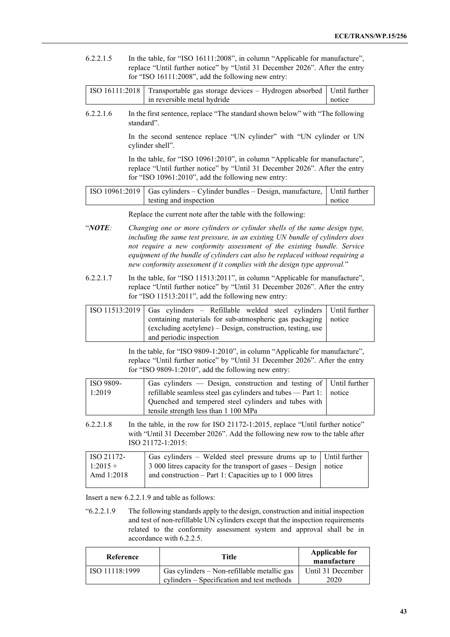6.2.2.1.5 In the table, for "ISO 16111:2008", in column "Applicable for manufacture", replace "Until further notice" by "Until 31 December 2026". After the entry for "ISO 16111:2008", add the following new entry:

| ISO 16111:2018   Transportable gas storage devices – Hydrogen absorbed   Until further |        |
|----------------------------------------------------------------------------------------|--------|
| in reversible metal hydride                                                            | notice |

6.2.2.1.6 In the first sentence, replace "The standard shown below" with "The following standard".

> In the second sentence replace "UN cylinder" with "UN cylinder or UN cylinder shell".

> In the table, for "ISO 10961:2010", in column "Applicable for manufacture", replace "Until further notice" by "Until 31 December 2026". After the entry for "ISO 10961:2010", add the following new entry:

| ISO 10961:2019   Gas cylinders – Cylinder bundles – Design, manufacture,   Until further |        |
|------------------------------------------------------------------------------------------|--------|
| testing and inspection                                                                   | notice |

Replace the current note after the table with the following:

- "*NOTE: Changing one or more cylinders or cylinder shells of the same design type, including the same test pressure, in an existing UN bundle of cylinders does not require a new conformity assessment of the existing bundle. Service equipment of the bundle of cylinders can also be replaced without requiring a new conformity assessment if it complies with the design type approval.*"
- 6.2.2.1.7 In the table, for "ISO 11513:2011", in column "Applicable for manufacture", replace "Until further notice" by "Until 31 December 2026". After the entry for "ISO 11513:2011", add the following new entry:

| $\left[ \text{ISO } 11513:2019 \right]$ Gas cylinders – Refillable welded steel cylinders Until further |  |
|---------------------------------------------------------------------------------------------------------|--|
| containing materials for sub-atmospheric gas packaging   notice                                         |  |
| (excluding acetylene) – Design, construction, testing, use                                              |  |
| and periodic inspection                                                                                 |  |

In the table, for "ISO 9809-1:2010", in column "Applicable for manufacture", replace "Until further notice" by "Until 31 December 2026". After the entry for "ISO 9809-1:2010", add the following new entry:

| <b>ISO</b> 9809- | Gas cylinders $-$ Design, construction and testing of Until further          |  |
|------------------|------------------------------------------------------------------------------|--|
| 1:2019           | refillable seamless steel gas cylinders and tubes $-$ Part 1: $\vert$ notice |  |
|                  | Quenched and tempered steel cylinders and tubes with                         |  |
|                  | tensile strength less than 1 100 MPa                                         |  |

6.2.2.1.8 In the table, in the row for ISO 21172-1:2015, replace "Until further notice" with "Until 31 December 2026". Add the following new row to the table after ISO 21172-1:2015:

| ISO 21172- | Gas cylinders – Welded steel pressure drums up to Until further    |  |
|------------|--------------------------------------------------------------------|--|
| $1:2015+$  | 3 000 litres capacity for the transport of gases – Design   notice |  |
| Amd 1:2018 | and construction $-$ Part 1: Capacities up to 1 000 litres         |  |
|            |                                                                    |  |

Insert a new 6.2.2.1.9 and table as follows:

"6.2.2.1.9 The following standards apply to the design, construction and initial inspection and test of non-refillable UN cylinders except that the inspection requirements related to the conformity assessment system and approval shall be in accordance with 6.2.2.5.

| Reference      | Title                                                                                     | <b>Applicable for</b><br>manufacture |
|----------------|-------------------------------------------------------------------------------------------|--------------------------------------|
| ISO 11118:1999 | Gas cylinders – Non-refillable metallic gas<br>cylinders – Specification and test methods | Until 31 December<br>2020            |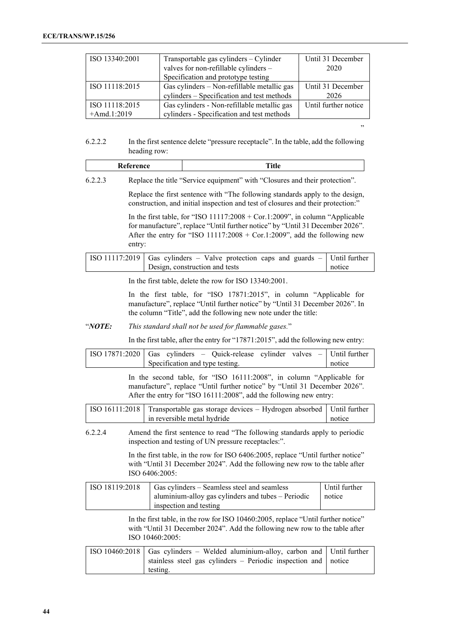| ISO 13340:2001 | Transportable gas cylinders - Cylinder      | Until 31 December    |
|----------------|---------------------------------------------|----------------------|
|                | valves for non-refillable cylinders -       | 2020                 |
|                | Specification and prototype testing         |                      |
| ISO 11118:2015 | Gas cylinders – Non-refillable metallic gas | Until 31 December    |
|                | cylinders – Specification and test methods  | 2026                 |
| ISO 11118:2015 | Gas cylinders - Non-refillable metallic gas | Until further notice |
| $+Amd.1:2019$  | cylinders - Specification and test methods  |                      |

6.2.2.2 In the first sentence delete "pressure receptacle". In the table, add the following heading row:

|--|

6.2.2.3 Replace the title "Service equipment" with "Closures and their protection".

Replace the first sentence with "The following standards apply to the design, construction, and initial inspection and test of closures and their protection:"

"

In the first table, for "ISO 11117:2008 + Cor.1:2009", in column "Applicable for manufacture", replace "Until further notice" by "Until 31 December 2026". After the entry for "ISO 11117:2008 + Cor.1:2009", add the following new entry:

| ISO 11117:2019 Gas cylinders – Valve protection caps and guards – Until further |        |
|---------------------------------------------------------------------------------|--------|
| Design, construction and tests                                                  | notice |

In the first table, delete the row for ISO 13340:2001.

In the first table, for "ISO 17871:2015", in column "Applicable for manufacture", replace "Until further notice" by "Until 31 December 2026". In the column "Title", add the following new note under the title:

## "*NOTE: This standard shall not be used for flammable gases.*"

In the first table, after the entry for "17871:2015", add the following new entry:

| ISO 17871:2020 Gas cylinders – Quick-release cylinder valves – Until further |                                 |  |  |        |
|------------------------------------------------------------------------------|---------------------------------|--|--|--------|
|                                                                              | Specification and type testing. |  |  | notice |
|                                                                              |                                 |  |  |        |

In the second table, for "ISO 16111:2008", in column "Applicable for manufacture", replace "Until further notice" by "Until 31 December 2026". After the entry for "ISO 16111:2008", add the following new entry:

| ISO 16111:2018 Transportable gas storage devices – Hydrogen absorbed Until further |        |
|------------------------------------------------------------------------------------|--------|
| l in reversible metal hydride                                                      | notice |

6.2.2.4 Amend the first sentence to read "The following standards apply to periodic inspection and testing of UN pressure receptacles:".

> In the first table, in the row for ISO 6406:2005, replace "Until further notice" with "Until 31 December 2024". Add the following new row to the table after ISO 6406:2005:

| ISO 18119:2018 | Gas cylinders – Seamless steel and seamless        | Until further |
|----------------|----------------------------------------------------|---------------|
|                | aluminium-alloy gas cylinders and tubes – Periodic | notice        |
|                | inspection and testing                             |               |

In the first table, in the row for ISO 10460:2005, replace "Until further notice" with "Until 31 December 2024". Add the following new row to the table after ISO 10460:2005:

| ISO 10460:2018 Gas cylinders – Welded aluminium-alloy, carbon and Until further |  |
|---------------------------------------------------------------------------------|--|
| stainless steel gas cylinders – Periodic inspection and notice                  |  |
| testing.                                                                        |  |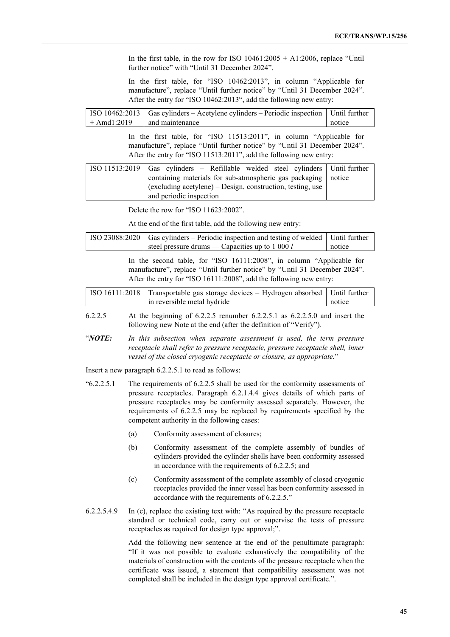In the first table, in the row for ISO  $10461:2005 + A1:2006$ , replace "Until further notice" with "Until 31 December 2024".

In the first table, for "ISO 10462:2013", in column "Applicable for manufacture", replace "Until further notice" by "Until 31 December 2024". After the entry for "ISO 10462:2013", add the following new entry:

|               | [ISO 10462:2013   Gas cylinders – Acetylene cylinders – Periodic inspection   Until further |        |
|---------------|---------------------------------------------------------------------------------------------|--------|
| $+$ Amd1:2019 | and maintenance                                                                             | notice |

In the first table, for "ISO 11513:2011", in column "Applicable for manufacture", replace "Until further notice" by "Until 31 December 2024". After the entry for "ISO 11513:2011", add the following new entry:

| $ISO 11513:2019$ Gas cylinders – Refillable welded steel cylinders Until further |  |
|----------------------------------------------------------------------------------|--|
| containing materials for sub-atmospheric gas packaging   notice                  |  |
| $\alpha$ (excluding acetylene) – Design, construction, testing, use              |  |
| and periodic inspection                                                          |  |

Delete the row for "ISO 11623:2002".

At the end of the first table, add the following new entry:

| ISO 23088:2020    |                                                                                                                                                                                                                                     | Gas cylinders - Periodic inspection and testing of welded                                                                                                                                                                                                                                                                                                       | Until further           |  |  |
|-------------------|-------------------------------------------------------------------------------------------------------------------------------------------------------------------------------------------------------------------------------------|-----------------------------------------------------------------------------------------------------------------------------------------------------------------------------------------------------------------------------------------------------------------------------------------------------------------------------------------------------------------|-------------------------|--|--|
|                   |                                                                                                                                                                                                                                     | steel pressure drums — Capacities up to 1 000 l                                                                                                                                                                                                                                                                                                                 | notice                  |  |  |
|                   | In the second table, for "ISO 16111:2008", in column "Applicable for<br>manufacture", replace "Until further notice" by "Until 31 December 2024".<br>After the entry for "ISO 16111:2008", add the following new entry:             |                                                                                                                                                                                                                                                                                                                                                                 |                         |  |  |
| ISO 16111:2018    |                                                                                                                                                                                                                                     | Transportable gas storage devices - Hydrogen absorbed<br>in reversible metal hydride                                                                                                                                                                                                                                                                            | Until further<br>notice |  |  |
| 6.2.2.5           |                                                                                                                                                                                                                                     | At the beginning of $6.2.2.5$ renumber $6.2.2.5.1$ as $6.2.2.5.0$ and insert the<br>following new Note at the end (after the definition of "Verify").                                                                                                                                                                                                           |                         |  |  |
| "NOTE:            | In this subsection when separate assessment is used, the term pressure<br>receptacle shall refer to pressure receptacle, pressure receptacle shell, inner<br>vessel of the closed cryogenic receptacle or closure, as appropriate." |                                                                                                                                                                                                                                                                                                                                                                 |                         |  |  |
|                   |                                                                                                                                                                                                                                     | Insert a new paragraph 6.2.2.5.1 to read as follows:                                                                                                                                                                                                                                                                                                            |                         |  |  |
| $\cdot$ 6.2.2.5.1 |                                                                                                                                                                                                                                     | The requirements of 6.2.2.5 shall be used for the conformity assessments of<br>pressure receptacles. Paragraph 6.2.1.4.4 gives details of which parts of<br>pressure receptacles may be conformity assessed separately. However, the<br>requirements of 6.2.2.5 may be replaced by requirements specified by the<br>competent authority in the following cases: |                         |  |  |
|                   | (a)                                                                                                                                                                                                                                 | Conformity assessment of closures;                                                                                                                                                                                                                                                                                                                              |                         |  |  |
|                   | (b)                                                                                                                                                                                                                                 | Conformity assessment of the complete assembly of bundles of<br>cylinders provided the cylinder shells have been conformity assessed<br>in accordance with the requirements of 6.2.2.5; and                                                                                                                                                                     |                         |  |  |
|                   | (c)                                                                                                                                                                                                                                 | Conformity assessment of the complete assembly of closed cryogenic<br>receptacles provided the inner vessel has been conformity assessed in<br>accordance with the requirements of 6.2.2.5."                                                                                                                                                                    |                         |  |  |

6.2.2.5.4.9 In (c), replace the existing text with: "As required by the pressure receptacle standard or technical code, carry out or supervise the tests of pressure receptacles as required for design type approval;".

> Add the following new sentence at the end of the penultimate paragraph: "If it was not possible to evaluate exhaustively the compatibility of the materials of construction with the contents of the pressure receptacle when the certificate was issued, a statement that compatibility assessment was not completed shall be included in the design type approval certificate.".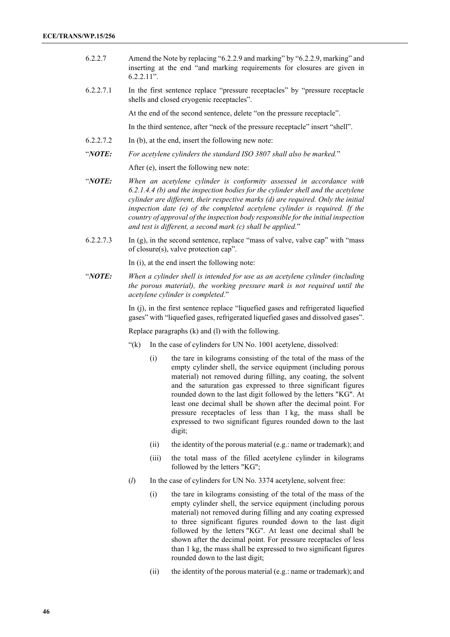- 6.2.2.7 Amend the Note by replacing "6.2.2.9 and marking" by "6.2.2.9, marking" and inserting at the end "and marking requirements for closures are given in 6.2.2.11".
- 6.2.2.7.1 In the first sentence replace "pressure receptacles" by "pressure receptacle shells and closed cryogenic receptacles".

At the end of the second sentence, delete "on the pressure receptacle".

In the third sentence, after "neck of the pressure receptacle" insert "shell".

- 6.2.2.7.2 In (b), at the end, insert the following new note:
- "*NOTE: For acetylene cylinders the standard ISO 3807 shall also be marked.*"

After (e), insert the following new note:

- "*NOTE: When an acetylene cylinder is conformity assessed in accordance with 6.2.1.4.4 (b) and the inspection bodies for the cylinder shell and the acetylene cylinder are different, their respective marks (d) are required. Only the initial inspection date (e) of the completed acetylene cylinder is required. If the country of approval of the inspection body responsible for the initial inspection and test is different, a second mark (c) shall be applied.*"
- 6.2.2.7.3 In (g), in the second sentence, replace "mass of valve, valve cap" with "mass of closure(s), valve protection cap".

In (i), at the end insert the following note:

"*NOTE: When a cylinder shell is intended for use as an acetylene cylinder (including the porous material), the working pressure mark is not required until the acetylene cylinder is completed.*"

> In (j), in the first sentence replace "liquefied gases and refrigerated liquefied gases" with "liquefied gases, refrigerated liquefied gases and dissolved gases".

Replace paragraphs (k) and (l) with the following.

- "(k) In the case of cylinders for UN No. 1001 acetylene, dissolved:
	- (i) the tare in kilograms consisting of the total of the mass of the empty cylinder shell, the service equipment (including porous material) not removed during filling, any coating, the solvent and the saturation gas expressed to three significant figures rounded down to the last digit followed by the letters "KG". At least one decimal shall be shown after the decimal point. For pressure receptacles of less than 1 kg, the mass shall be expressed to two significant figures rounded down to the last digit;
	- (ii) the identity of the porous material (e.g.: name or trademark); and
	- (iii) the total mass of the filled acetylene cylinder in kilograms followed by the letters "KG";
- (*l*) In the case of cylinders for UN No. 3374 acetylene, solvent free:
	- (i) the tare in kilograms consisting of the total of the mass of the empty cylinder shell, the service equipment (including porous material) not removed during filling and any coating expressed to three significant figures rounded down to the last digit followed by the letters "KG". At least one decimal shall be shown after the decimal point. For pressure receptacles of less than 1 kg, the mass shall be expressed to two significant figures rounded down to the last digit;
	- (ii) the identity of the porous material (e.g.: name or trademark); and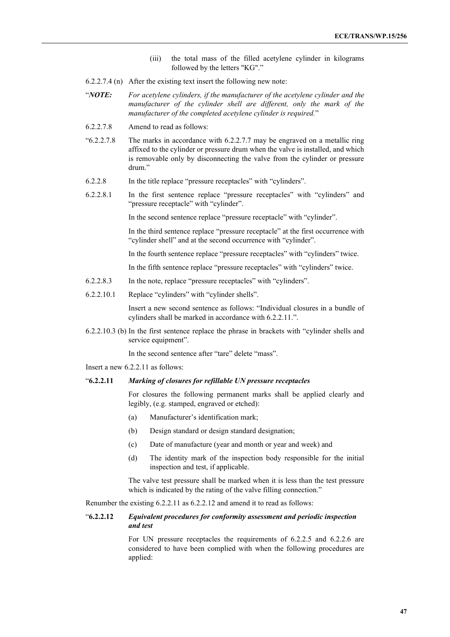- (iii) the total mass of the filled acetylene cylinder in kilograms followed by the letters "KG"."
- 6.2.2.7.4 (n) After the existing text insert the following new note:
- "*NOTE: For acetylene cylinders, if the manufacturer of the acetylene cylinder and the manufacturer of the cylinder shell are different, only the mark of the manufacturer of the completed acetylene cylinder is required.*"
- 6.2.2.7.8 Amend to read as follows:
- "6.2.2.7.8 The marks in accordance with 6.2.2.7.7 may be engraved on a metallic ring affixed to the cylinder or pressure drum when the valve is installed, and which is removable only by disconnecting the valve from the cylinder or pressure drum."
- 6.2.2.8 In the title replace "pressure receptacles" with "cylinders".
- 6.2.2.8.1 In the first sentence replace "pressure receptacles" with "cylinders" and "pressure receptacle" with "cylinder".

In the second sentence replace "pressure receptacle" with "cylinder".

In the third sentence replace "pressure receptacle" at the first occurrence with "cylinder shell" and at the second occurrence with "cylinder".

In the fourth sentence replace "pressure receptacles" with "cylinders" twice.

In the fifth sentence replace "pressure receptacles" with "cylinders" twice.

- 6.2.2.8.3 In the note, replace "pressure receptacles" with "cylinders".
- 6.2.2.10.1 Replace "cylinders" with "cylinder shells".

Insert a new second sentence as follows: "Individual closures in a bundle of cylinders shall be marked in accordance with 6.2.2.11.".

6.2.2.10.3 (b) In the first sentence replace the phrase in brackets with "cylinder shells and service equipment".

In the second sentence after "tare" delete "mass".

Insert a new 6.2.2.11 as follows:

### "**6.2.2.11** *Marking of closures for refillable UN pressure receptacles*

For closures the following permanent marks shall be applied clearly and legibly, (e.g. stamped, engraved or etched):

- (a) Manufacturer's identification mark;
- (b) Design standard or design standard designation;
- (c) Date of manufacture (year and month or year and week) and
- (d) The identity mark of the inspection body responsible for the initial inspection and test, if applicable.

The valve test pressure shall be marked when it is less than the test pressure which is indicated by the rating of the valve filling connection."

Renumber the existing 6.2.2.11 as 6.2.2.12 and amend it to read as follows:

## "**6.2.2.12** *Equivalent procedures for conformity assessment and periodic inspection and test*

For UN pressure receptacles the requirements of 6.2.2.5 and 6.2.2.6 are considered to have been complied with when the following procedures are applied: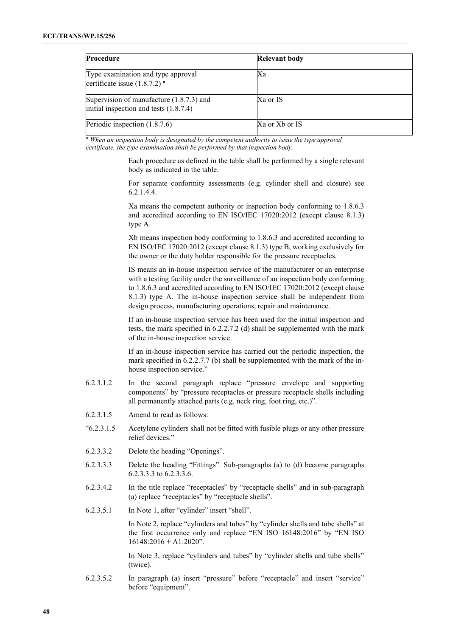| Procedure                                                                              | <b>Relevant body</b> |  |
|----------------------------------------------------------------------------------------|----------------------|--|
| Type examination and type approval<br>certificate issue $(1.8.7.2)$ <sup>a</sup>       | Xa                   |  |
| Supervision of manufacture $(1.8.7.3)$ and<br>initial inspection and tests $(1.8.7.4)$ | Xa or IS             |  |
| Periodic inspection (1.8.7.6)                                                          | Xa or Xb or IS       |  |

**<sup>a</sup>** *When an inspection body is designated by the competent authority to issue the type approval certificate, the type examination shall be performed by that inspection body.*

> Each procedure as defined in the table shall be performed by a single relevant body as indicated in the table.

> For separate conformity assessments (e.g. cylinder shell and closure) see 6.2.1.4.4.

> Xa means the competent authority or inspection body conforming to 1.8.6.3 and accredited according to EN ISO/IEC 17020:2012 (except clause 8.1.3) type A.

> Xb means inspection body conforming to 1.8.6.3 and accredited according to EN ISO/IEC 17020:2012 (except clause 8.1.3) type B, working exclusively for the owner or the duty holder responsible for the pressure receptacles.

> IS means an in-house inspection service of the manufacturer or an enterprise with a testing facility under the surveillance of an inspection body conforming to 1.8.6.3 and accredited according to EN ISO/IEC 17020:2012 (except clause 8.1.3) type A. The in-house inspection service shall be independent from design process, manufacturing operations, repair and maintenance.

> If an in-house inspection service has been used for the initial inspection and tests, the mark specified in 6.2.2.7.2 (d) shall be supplemented with the mark of the in-house inspection service.

> If an in-house inspection service has carried out the periodic inspection, the mark specified in 6.2.2.7.7 (b) shall be supplemented with the mark of the inhouse inspection service."

- 6.2.3.1.2 In the second paragraph replace "pressure envelope and supporting components" by "pressure receptacles or pressure receptacle shells including all permanently attached parts (e.g. neck ring, foot ring, etc.)".
- 6.2.3.1.5 Amend to read as follows:
- "6.2.3.1.5 Acetylene cylinders shall not be fitted with fusible plugs or any other pressure relief devices."
- 6.2.3.3.2 Delete the heading "Openings".
- 6.2.3.3.3 Delete the heading "Fittings". Sub-paragraphs (a) to (d) become paragraphs 6.2.3.3.3 to 6.2.3.3.6.
- 6.2.3.4.2 In the title replace "receptacles" by "receptacle shells" and in sub-paragraph (a) replace "receptacles" by "receptacle shells".
- 6.2.3.5.1 In Note 1, after "cylinder" insert "shell".

In Note 2, replace "cylinders and tubes" by "cylinder shells and tube shells" at the first occurrence only and replace "EN ISO 16148:2016" by "EN ISO 16148:2016 + A1:2020".

In Note 3, replace "cylinders and tubes" by "cylinder shells and tube shells" (twice).

6.2.3.5.2 In paragraph (a) insert "pressure" before "receptacle" and insert "service" before "equipment".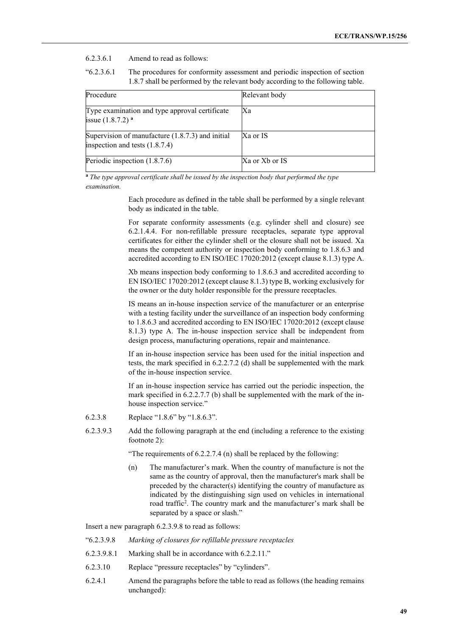### 6.2.3.6.1 Amend to read as follows:

"6.2.3.6.1 The procedures for conformity assessment and periodic inspection of section 1.8.7 shall be performed by the relevant body according to the following table.

| Procedure                                                                            | Relevant body  |
|--------------------------------------------------------------------------------------|----------------|
| Type examination and type approval certificate<br>issue $(1.8.7.2)$ <sup>a</sup>     | Xa             |
| Supervision of manufacture (1.8.7.3) and initial<br>inspection and tests $(1.8.7.4)$ | Xa or IS       |
| Periodic inspection (1.8.7.6)                                                        | Xa or Xb or IS |

**<sup>a</sup>** *The type approval certificate shall be issued by the inspection body that performed the type examination.*

> Each procedure as defined in the table shall be performed by a single relevant body as indicated in the table.

> For separate conformity assessments (e.g. cylinder shell and closure) see 6.2.1.4.4. For non-refillable pressure receptacles, separate type approval certificates for either the cylinder shell or the closure shall not be issued. Xa means the competent authority or inspection body conforming to 1.8.6.3 and accredited according to EN ISO/IEC 17020:2012 (except clause 8.1.3) type A.

> Xb means inspection body conforming to 1.8.6.3 and accredited according to EN ISO/IEC 17020:2012 (except clause 8.1.3) type B, working exclusively for the owner or the duty holder responsible for the pressure receptacles.

> IS means an in-house inspection service of the manufacturer or an enterprise with a testing facility under the surveillance of an inspection body conforming to 1.8.6.3 and accredited according to EN ISO/IEC 17020:2012 (except clause 8.1.3) type A. The in-house inspection service shall be independent from design process, manufacturing operations, repair and maintenance.

> If an in-house inspection service has been used for the initial inspection and tests, the mark specified in 6.2.2.7.2 (d) shall be supplemented with the mark of the in-house inspection service.

> If an in-house inspection service has carried out the periodic inspection, the mark specified in 6.2.2.7.7 (b) shall be supplemented with the mark of the inhouse inspection service."

- 6.2.3.8 Replace "1.8.6" by "1.8.6.3".
- 6.2.3.9.3 Add the following paragraph at the end (including a reference to the existing footnote 2):

"The requirements of  $6.2.2.7.4$  (n) shall be replaced by the following:

(n) The manufacturer's mark. When the country of manufacture is not the same as the country of approval, then the manufacturer's mark shall be preceded by the character(s) identifying the country of manufacture as indicated by the distinguishing sign used on vehicles in international road traffic<sup>2</sup>. The country mark and the manufacturer's mark shall be separated by a space or slash."

Insert a new paragraph 6.2.3.9.8 to read as follows:

- "6.2.3.9.8 *Marking of closures for refillable pressure receptacles*
- 6.2.3.9.8.1 Marking shall be in accordance with 6.2.2.11."
- 6.2.3.10 Replace "pressure receptacles" by "cylinders".
- 6.2.4.1 Amend the paragraphs before the table to read as follows (the heading remains unchanged):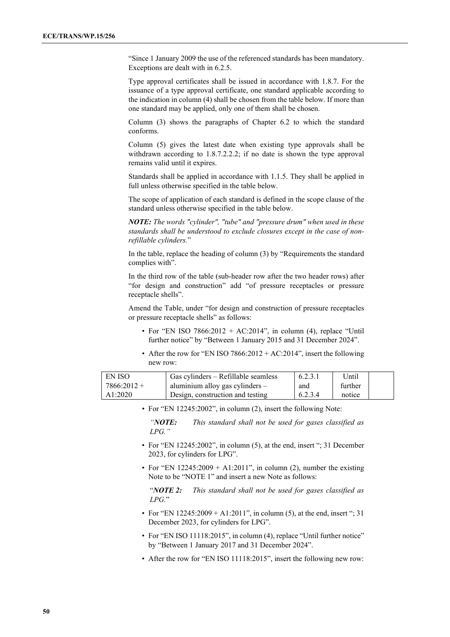"Since 1 January 2009 the use of the referenced standards has been mandatory. Exceptions are dealt with in 6.2.5.

Type approval certificates shall be issued in accordance with 1.8.7. For the issuance of a type approval certificate, one standard applicable according to the indication in column (4) shall be chosen from the table below. If more than one standard may be applied, only one of them shall be chosen.

Column (3) shows the paragraphs of Chapter 6.2 to which the standard conforms.

Column (5) gives the latest date when existing type approvals shall be withdrawn according to 1.8.7.2.2.2; if no date is shown the type approval remains valid until it expires.

Standards shall be applied in accordance with 1.1.5. They shall be applied in full unless otherwise specified in the table below.

The scope of application of each standard is defined in the scope clause of the standard unless otherwise specified in the table below.

*NOTE: The words "cylinder", "tube" and "pressure drum" when used in these standards shall be understood to exclude closures except in the case of nonrefillable cylinders.*"

In the table, replace the heading of column (3) by "Requirements the standard complies with".

In the third row of the table (sub-header row after the two header rows) after "for design and construction" add "of pressure receptacles or pressure receptacle shells".

Amend the Table, under "for design and construction of pressure receptacles or pressure receptacle shells" as follows:

- For "EN ISO  $7866:2012 + AC:2014$ ", in column (4), replace "Until further notice" by "Between 1 January 2015 and 31 December 2024".
- After the row for "EN ISO 7866:2012 + AC:2014", insert the following new row:

| I EN ISO      | Gas cylinders – Refillable seamless | 6.2.3.1 | Until   |  |
|---------------|-------------------------------------|---------|---------|--|
| $7866:2012 +$ | aluminium alloy gas cylinders $-$   | and     | further |  |
| A1:2020       | Design, construction and testing    | 6.2.3.4 | notice  |  |

• For "EN 12245:2002", in column (2), insert the following Note:

*"NOTE: This standard shall not be used for gases classified as LPG."*

- For "EN 12245:2002", in column (5), at the end, insert "; 31 December 2023, for cylinders for LPG".
- For "EN  $12245:2009 + A1:2011$ ", in column (2), number the existing Note to be "NOTE 1" and insert a new Note as follows:

"*NOTE 2: This standard shall not be used for gases classified as LPG.*"

- For "EN  $12245:2009 + A1:2011$ ", in column (5), at the end, insert "; 31 December 2023, for cylinders for LPG".
- For "EN ISO 11118:2015", in column (4), replace "Until further notice" by "Between 1 January 2017 and 31 December 2024".
- After the row for "EN ISO 11118:2015", insert the following new row: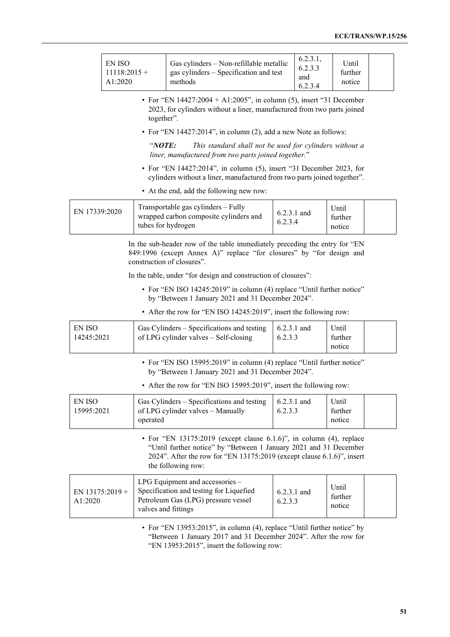| EN ISO<br>$11118:2015+$<br>A1:2020 | Gas cylinders – Non-refillable metallic<br>gas cylinders – Specification and test<br>methods | 6.2.3.1,<br>6.2.3.3<br>and<br>6.2.3.4 | Until<br>further<br>notice |  |
|------------------------------------|----------------------------------------------------------------------------------------------|---------------------------------------|----------------------------|--|
|------------------------------------|----------------------------------------------------------------------------------------------|---------------------------------------|----------------------------|--|

• For "EN  $14427:2004 + A1:2005$ ", in column (5), insert "31 December 2023, for cylinders without a liner, manufactured from two parts joined together".

• For "EN 14427:2014", in column (2), add a new Note as follows:

"*NOTE: This standard shall not be used for cylinders without a liner, manufactured from two parts joined together.*"

- For "EN 14427:2014", in column (5), insert "31 December 2023, for cylinders without a liner, manufactured from two parts joined together".
- At the end, add the following new row:

| EN 17339:2020 | Transportable gas cylinders – Fully<br>wrapped carbon composite cylinders and<br>tubes for hydrogen | $6.2.3.1$ and<br>6.2.3.4 | Until<br>further<br>notice |  |  |
|---------------|-----------------------------------------------------------------------------------------------------|--------------------------|----------------------------|--|--|
|---------------|-----------------------------------------------------------------------------------------------------|--------------------------|----------------------------|--|--|

In the sub-header row of the table immediately preceding the entry for "EN 849:1996 (except Annex A)" replace "for closures" by "for design and construction of closures".

In the table, under "for design and construction of closures":

- For "EN ISO 14245:2019" in column (4) replace "Until further notice" by "Between 1 January 2021 and 31 December 2024".
- After the row for "EN ISO 14245:2019", insert the following row:

| EN ISO     | Gas Cylinders – Specifications and testing | $\pm 6.2.3.1$ and | Until   |  |
|------------|--------------------------------------------|-------------------|---------|--|
| 14245:2021 | of LPG cylinder valves – Self-closing      | 6.2.3.3           | further |  |
|            |                                            |                   | notice  |  |

• For "EN ISO 15995:2019" in column (4) replace "Until further notice" by "Between 1 January 2021 and 31 December 2024".

• After the row for "EN ISO 15995:2019", insert the following row:

| Gas Cylinders – Specifications and testing<br>EN ISO<br>of LPG cylinder valves – Manually<br>15995:2021<br>operated | $\vert$ 6.2.3.1 and<br>6.2.3.3 | Until<br>further<br>notice |  |  |
|---------------------------------------------------------------------------------------------------------------------|--------------------------------|----------------------------|--|--|
|---------------------------------------------------------------------------------------------------------------------|--------------------------------|----------------------------|--|--|

• For "EN 13175:2019 (except clause 6.1.6)", in column (4), replace "Until further notice" by "Between 1 January 2021 and 31 December 2024". After the row for "EN 13175:2019 (except clause 6.1.6)", insert the following row:

| EN $13175:2019 +$<br>A1:2020 | LPG Equipment and accessories $-$<br>Specification and testing for Liquefied<br>Petroleum Gas (LPG) pressure vessel<br>valves and fittings | $6.2.3.1$ and<br>6.2.3.3 | Until<br>further<br>notice |  |
|------------------------------|--------------------------------------------------------------------------------------------------------------------------------------------|--------------------------|----------------------------|--|
|------------------------------|--------------------------------------------------------------------------------------------------------------------------------------------|--------------------------|----------------------------|--|

• For "EN 13953:2015", in column (4), replace "Until further notice" by "Between 1 January 2017 and 31 December 2024". After the row for "EN 13953:2015", insert the following row: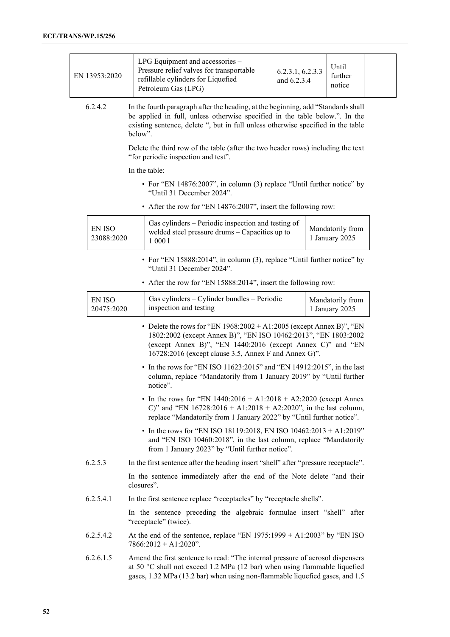| EN 13953:2020               | LPG Equipment and accessories -<br>Pressure relief valves for transportable<br>refillable cylinders for Liquefied<br>Petroleum Gas (LPG)                                                                                                                         | 6.2.3.1, 6.2.3.3<br>and 6.2.3.4 | Until<br>further<br>notice         |  |
|-----------------------------|------------------------------------------------------------------------------------------------------------------------------------------------------------------------------------------------------------------------------------------------------------------|---------------------------------|------------------------------------|--|
| 6.2.4.2                     | In the fourth paragraph after the heading, at the beginning, add "Standards shall<br>be applied in full, unless otherwise specified in the table below.". In the<br>existing sentence, delete ", but in full unless otherwise specified in the table<br>helow".  |                                 |                                    |  |
|                             | Delete the third row of the table (after the two header rows) including the text<br>"for periodic inspection and test".                                                                                                                                          |                                 |                                    |  |
|                             | In the table:                                                                                                                                                                                                                                                    |                                 |                                    |  |
|                             | • For "EN 14876:2007", in column (3) replace "Until further notice" by<br>"Until 31 December 2024".                                                                                                                                                              |                                 |                                    |  |
|                             | • After the row for "EN 14876:2007", insert the following row:                                                                                                                                                                                                   |                                 |                                    |  |
| <b>EN ISO</b><br>23088:2020 | Gas cylinders - Periodic inspection and testing of<br>welded steel pressure drums - Capacities up to<br>1 000 1                                                                                                                                                  |                                 | Mandatorily from<br>1 January 2025 |  |
|                             | • For "EN 15888:2014", in column (3), replace "Until further notice" by<br>"Until 31 December 2024".                                                                                                                                                             |                                 |                                    |  |
|                             | • After the row for "EN 15888:2014", insert the following row:                                                                                                                                                                                                   |                                 |                                    |  |
| <b>EN ISO</b><br>20475:2020 | Gas cylinders - Cylinder bundles - Periodic<br>inspection and testing                                                                                                                                                                                            |                                 | Mandatorily from<br>1 January 2025 |  |
|                             | • Delete the rows for "EN $1968:2002 + A1:2005$ (except Annex B)", "EN<br>1802:2002 (except Annex B)", "EN ISO 10462:2013", "EN 1803:2002<br>(except Annex B)", "EN 1440:2016 (except Annex C)" and "EN<br>16728:2016 (except clause 3.5, Annex F and Annex G)". |                                 |                                    |  |
|                             | • In the rows for "EN ISO 11623:2015" and "EN 14912:2015", in the last<br>column, replace "Mandatorily from 1 January 2019" by "Until further<br>notice".                                                                                                        |                                 |                                    |  |
|                             | • In the rows for "EN $1440:2016 + A1:2018 + A2:2020$ (except Annex<br>C)" and "EN $16728:2016 + A1:2018 + A2:2020$ ", in the last column,<br>replace "Mandatorily from 1 January 2022" by "Until further notice".                                               |                                 |                                    |  |
|                             | • In the rows for "EN ISO 18119:2018, EN ISO 10462:2013 + A1:2019"<br>and "EN ISO 10460:2018", in the last column, replace "Mandatorily<br>from 1 January 2023" by "Until further notice".                                                                       |                                 |                                    |  |
| 6.2.5.3                     | In the first sentence after the heading insert "shell" after "pressure receptacle".                                                                                                                                                                              |                                 |                                    |  |
|                             | In the sentence immediately after the end of the Note delete "and their<br>closures".                                                                                                                                                                            |                                 |                                    |  |
| 6.2.5.4.1                   | In the first sentence replace "receptacles" by "receptacle shells".                                                                                                                                                                                              |                                 |                                    |  |
|                             | In the sentence preceding the algebraic formulae insert "shell" after<br>"receptacle" (twice).                                                                                                                                                                   |                                 |                                    |  |
| 6.2.5.4.2                   | At the end of the sentence, replace "EN $1975:1999 + A1:2003$ " by "EN ISO<br>$7866:2012 + A1:2020$ ".                                                                                                                                                           |                                 |                                    |  |
| 6.2.6.1.5                   | Amend the first sentence to read: "The internal pressure of aerosol dispensers<br>at 50 °C shall not exceed 1.2 MPa (12 bar) when using flammable liquefied<br>gases, 1.32 MPa (13.2 bar) when using non-flammable liquefied gases, and 1.5                      |                                 |                                    |  |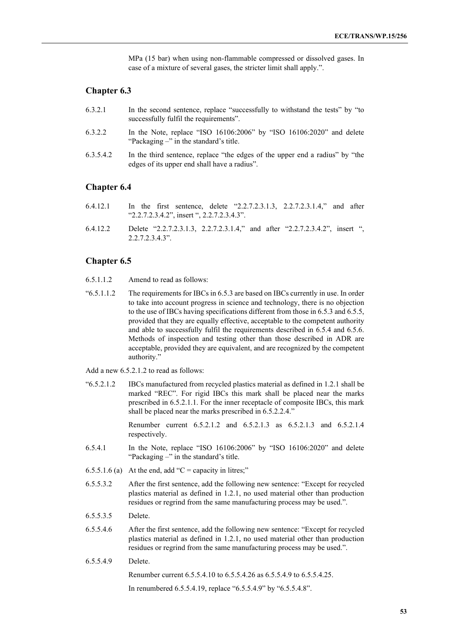MPa (15 bar) when using non-flammable compressed or dissolved gases. In case of a mixture of several gases, the stricter limit shall apply.".

# **Chapter 6.3**

- 6.3.2.1 In the second sentence, replace "successfully to withstand the tests" by "to successfully fulfil the requirements".
- 6.3.2.2 In the Note, replace "ISO 16106:2006" by "ISO 16106:2020" and delete "Packaging –" in the standard's title.
- 6.3.5.4.2 In the third sentence, replace "the edges of the upper end a radius" by "the edges of its upper end shall have a radius".

# **Chapter 6.4**

- 6.4.12.1 In the first sentence, delete "2.2.7.2.3.1.3, 2.2.7.2.3.1.4," and after "2.2.7.2.3.4.2", insert ", 2.2.7.2.3.4.3".
- 6.4.12.2 Delete "2.2.7.2.3.1.3, 2.2.7.2.3.1.4," and after "2.2.7.2.3.4.2", insert ", 2.2.7.2.3.4.3".

# **Chapter 6.5**

- 6.5.1.1.2 Amend to read as follows:
- "6.5.1.1.2 The requirements for IBCs in 6.5.3 are based on IBCs currently in use. In order to take into account progress in science and technology, there is no objection to the use of IBCs having specifications different from those in 6.5.3 and 6.5.5, provided that they are equally effective, acceptable to the competent authority and able to successfully fulfil the requirements described in 6.5.4 and 6.5.6. Methods of inspection and testing other than those described in ADR are acceptable, provided they are equivalent, and are recognized by the competent authority."

Add a new 6.5.2.1.2 to read as follows:

"6.5.2.1.2 IBCs manufactured from recycled plastics material as defined in 1.2.1 shall be marked "REC". For rigid IBCs this mark shall be placed near the marks prescribed in 6.5.2.1.1. For the inner receptacle of composite IBCs, this mark shall be placed near the marks prescribed in 6.5.2.2.4."

> Renumber current 6.5.2.1.2 and 6.5.2.1.3 as 6.5.2.1.3 and 6.5.2.1.4 respectively.

- 6.5.4.1 In the Note, replace "ISO 16106:2006" by "ISO 16106:2020" and delete "Packaging –" in the standard's title.
- 6.5.5.1.6 (a) At the end, add "C = capacity in litres;"
- 6.5.5.3.2 After the first sentence, add the following new sentence: "Except for recycled plastics material as defined in 1.2.1, no used material other than production residues or regrind from the same manufacturing process may be used.".
- 6.5.5.3.5 Delete.
- 6.5.5.4.6 After the first sentence, add the following new sentence: "Except for recycled plastics material as defined in 1.2.1, no used material other than production residues or regrind from the same manufacturing process may be used.".
- 6.5.5.4.9 Delete.

Renumber current 6.5.5.4.10 to 6.5.5.4.26 as 6.5.5.4.9 to 6.5.5.4.25.

In renumbered 6.5.5.4.19, replace "6.5.5.4.9" by "6.5.5.4.8".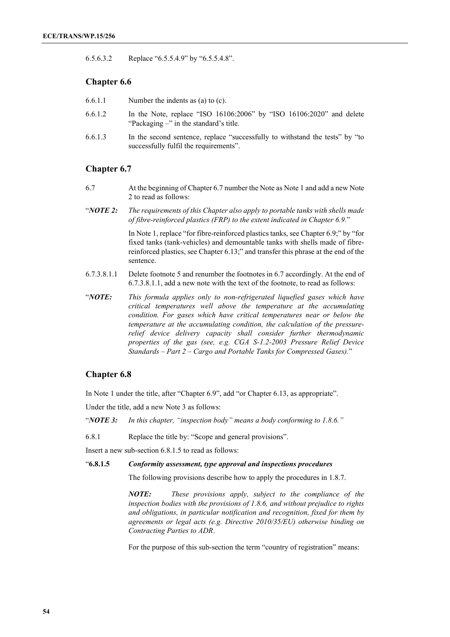6.5.6.3.2 Replace "6.5.5.4.9" by "6.5.5.4.8".

# **Chapter 6.6**

- 6.6.1.1 Number the indents as (a) to (c).
- 6.6.1.2 In the Note, replace "ISO 16106:2006" by "ISO 16106:2020" and delete "Packaging –" in the standard's title.
- 6.6.1.3 In the second sentence, replace "successfully to withstand the tests" by "to successfully fulfil the requirements".

# **Chapter 6.7**

- 6.7 At the beginning of Chapter 6.7 number the Note as Note 1 and add a new Note 2 to read as follows:
- "*NOTE 2: The requirements of this Chapter also apply to portable tanks with shells made of fibre-reinforced plastics (FRP) to the extent indicated in Chapter 6.9.*"

In Note 1, replace "for fibre-reinforced plastics tanks, see Chapter 6.9;" by "for fixed tanks (tank-vehicles) and demountable tanks with shells made of fibrereinforced plastics, see Chapter 6.13;" and transfer this phrase at the end of the sentence.

- 6.7.3.8.1.1 Delete footnote 5 and renumber the footnotes in 6.7 accordingly. At the end of 6.7.3.8.1.1, add a new note with the text of the footnote, to read as follows:
- "*NOTE: This formula applies only to non-refrigerated liquefied gases which have critical temperatures well above the temperature at the accumulating condition. For gases which have critical temperatures near or below the temperature at the accumulating condition, the calculation of the pressurerelief device delivery capacity shall consider further thermodynamic properties of the gas (see, e.g. CGA S-1.2-2003 Pressure Relief Device Standards – Part 2 – Cargo and Portable Tanks for Compressed Gases).*"

## **Chapter 6.8**

In Note 1 under the title, after "Chapter 6.9", add "or Chapter 6.13, as appropriate".

Under the title, add a new Note 3 as follows:

"*NOTE 3: In this chapter, "inspection body" means a body conforming to 1.8.6."*

6.8.1 Replace the title by: "Scope and general provisions".

Insert a new sub-section 6.8.1.5 to read as follows:

"**6.8.1.5** *Conformity assessment, type approval and inspections procedures*

The following provisions describe how to apply the procedures in 1.8.7.

*NOTE: These provisions apply, subject to the compliance of the inspection bodies with the provisions of 1.8.6, and without prejudice to rights and obligations, in particular notification and recognition, fixed for them by agreements or legal acts (e.g. Directive 2010/35/EU) otherwise binding on Contracting Parties to ADR*.

For the purpose of this sub-section the term "country of registration" means: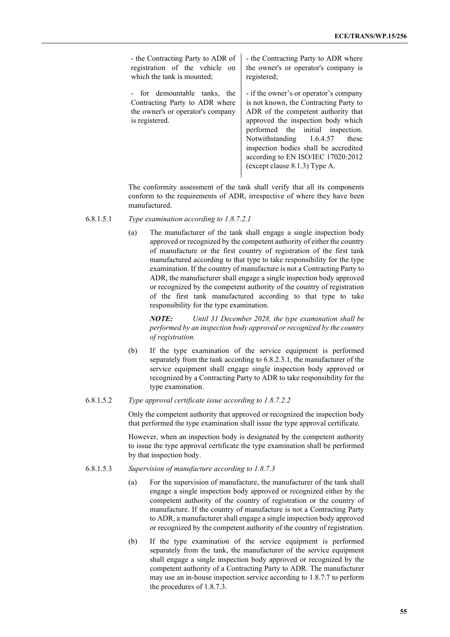| - the Contracting Party to ADR of                                                                                     | - the Contracting Party to ADR where                                                                                                                                                                                                                                                                                                                    |
|-----------------------------------------------------------------------------------------------------------------------|---------------------------------------------------------------------------------------------------------------------------------------------------------------------------------------------------------------------------------------------------------------------------------------------------------------------------------------------------------|
| registration of the vehicle on                                                                                        | the owner's or operator's company is                                                                                                                                                                                                                                                                                                                    |
| which the tank is mounted;                                                                                            | registered;                                                                                                                                                                                                                                                                                                                                             |
| - for demountable tanks, the<br>Contracting Party to ADR where<br>the owner's or operator's company<br>is registered. | - if the owner's or operator's company<br>is not known, the Contracting Party to<br>ADR of the competent authority that<br>approved the inspection body which<br>performed the initial inspection.<br>Notwithstanding 1.6.4.57<br>these<br>inspection bodies shall be accredited<br>according to EN ISO/IEC 17020:2012<br>(except clause 8.1.3) Type A. |

The conformity assessment of the tank shall verify that all its components conform to the requirements of ADR, irrespective of where they have been manufactured.

- 6.8.1.5.1 *Type examination according to 1.8.7.2.1*
	- (a) The manufacturer of the tank shall engage a single inspection body approved or recognized by the competent authority of either the country of manufacture or the first country of registration of the first tank manufactured according to that type to take responsibility for the type examination. If the country of manufacture is not a Contracting Party to ADR, the manufacturer shall engage a single inspection body approved or recognized by the competent authority of the country of registration of the first tank manufactured according to that type to take responsibility for the type examination.

*NOTE: Until 31 December 2028, the type examination shall be performed by an inspection body approved or recognized by the country of registration.*

- (b) If the type examination of the service equipment is performed separately from the tank according to 6.8.2.3.1, the manufacturer of the service equipment shall engage single inspection body approved or recognized by a Contracting Party to ADR to take responsibility for the type examination.
- 6.8.1.5.2 *Type approval certificate issue according to 1.8.7.2.2*

Only the competent authority that approved or recognized the inspection body that performed the type examination shall issue the type approval certificate.

However, when an inspection body is designated by the competent authority to issue the type approval certificate the type examination shall be performed by that inspection body.

- 6.8.1.5.3 *Supervision of manufacture according to 1.8.7.3*
	- (a) For the supervision of manufacture, the manufacturer of the tank shall engage a single inspection body approved or recognized either by the competent authority of the country of registration or the country of manufacture. If the country of manufacture is not a Contracting Party to ADR, a manufacturer shall engage a single inspection body approved or recognized by the competent authority of the country of registration.
	- (b) If the type examination of the service equipment is performed separately from the tank, the manufacturer of the service equipment shall engage a single inspection body approved or recognized by the competent authority of a Contracting Party to ADR. The manufacturer may use an in-house inspection service according to 1.8.7.7 to perform the procedures of 1.8.7.3.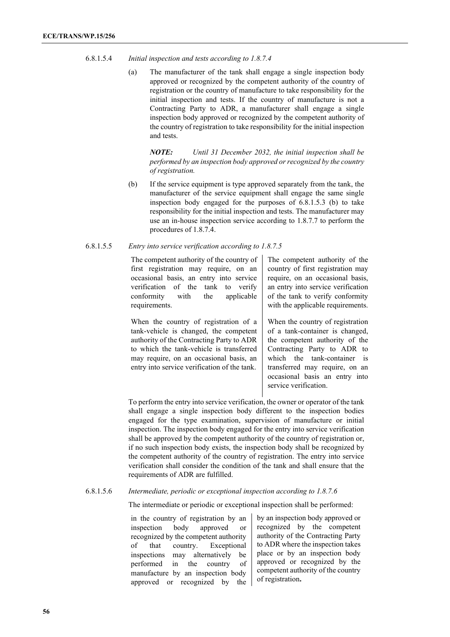### 6.8.1.5.4 *Initial inspection and tests according to 1.8.7.4*

(a) The manufacturer of the tank shall engage a single inspection body approved or recognized by the competent authority of the country of registration or the country of manufacture to take responsibility for the initial inspection and tests. If the country of manufacture is not a Contracting Party to ADR, a manufacturer shall engage a single inspection body approved or recognized by the competent authority of the country of registration to take responsibility for the initial inspection and tests.

*NOTE: Until 31 December 2032, the initial inspection shall be performed by an inspection body approved or recognized by the country of registration.*

(b) If the service equipment is type approved separately from the tank, the manufacturer of the service equipment shall engage the same single inspection body engaged for the purposes of 6.8.1.5.3 (b) to take responsibility for the initial inspection and tests. The manufacturer may use an in-house inspection service according to 1.8.7.7 to perform the procedures of 1.8.7.4.

### 6.8.1.5.5 *Entry into service verification according to 1.8.7.5*

The competent authority of the country of first registration may require, on an occasional basis, an entry into service verification of the tank to verify<br>conformity with the applicable the applicable requirements.

When the country of registration of a tank-vehicle is changed, the competent authority of the Contracting Party to ADR to which the tank-vehicle is transferred may require, on an occasional basis, an entry into service verification of the tank.

The competent authority of the country of first registration may require, on an occasional basis, an entry into service verification of the tank to verify conformity with the applicable requirements.

When the country of registration of a tank-container is changed, the competent authority of the Contracting Party to ADR to which the tank-container is transferred may require, on an occasional basis an entry into service verification.

To perform the entry into service verification, the owner or operator of the tank shall engage a single inspection body different to the inspection bodies engaged for the type examination, supervision of manufacture or initial inspection. The inspection body engaged for the entry into service verification shall be approved by the competent authority of the country of registration or, if no such inspection body exists, the inspection body shall be recognized by the competent authority of the country of registration. The entry into service verification shall consider the condition of the tank and shall ensure that the requirements of ADR are fulfilled.

### 6.8.1.5.6 *Intermediate, periodic or exceptional inspection according to 1.8.7.6*

The intermediate or periodic or exceptional inspection shall be performed:

in the country of registration by an inspection body approved or recognized by the competent authority of that country. Exceptional inspections may alternatively be performed in the country of manufacture by an inspection body approved or recognized by the by an inspection body approved or recognized by the competent authority of the Contracting Party to ADR where the inspection takes place or by an inspection body approved or recognized by the competent authority of the country of registration**.**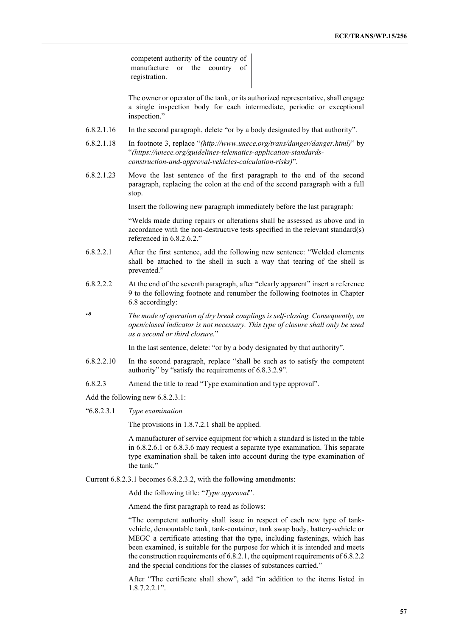competent authority of the country of manufacture or the country of registration.

The owner or operator of the tank, or its authorized representative, shall engage a single inspection body for each intermediate, periodic or exceptional inspection."

- 6.8.2.1.16 In the second paragraph, delete "or by a body designated by that authority".
- 6.8.2.1.18 In footnote 3, replace "*(http://www.unece.org/trans/danger/danger.html)*" by "*(https://unece.org/guidelines-telematics-application-standardsconstruction-and-approval-vehicles-calculation-risks)*".
- 6.8.2.1.23 Move the last sentence of the first paragraph to the end of the second paragraph, replacing the colon at the end of the second paragraph with a full stop.

Insert the following new paragraph immediately before the last paragraph:

"Welds made during repairs or alterations shall be assessed as above and in accordance with the non-destructive tests specified in the relevant standard(s) referenced in 6.8.2.6.2."

- 6.8.2.2.1 After the first sentence, add the following new sentence: "Welded elements shall be attached to the shell in such a way that tearing of the shell is prevented."
- 6.8.2.2.2 At the end of the seventh paragraph, after "clearly apparent" insert a reference 9 to the following footnote and renumber the following footnotes in Chapter 6.8 accordingly:
- "**<sup>9</sup>** *The mode of operation of dry break couplings is self-closing. Consequently, an open/closed indicator is not necessary. This type of closure shall only be used as a second or third closure.*"

In the last sentence, delete: "or by a body designated by that authority".

- 6.8.2.2.10 In the second paragraph, replace "shall be such as to satisfy the competent authority" by "satisfy the requirements of 6.8.3.2.9".
- 6.8.2.3 Amend the title to read "Type examination and type approval".

Add the following new 6.8.2.3.1:

"6.8.2.3.1 *Type examination*

The provisions in 1.8.7.2.1 shall be applied.

A manufacturer of service equipment for which a standard is listed in the table in 6.8.2.6.1 or 6.8.3.6 may request a separate type examination. This separate type examination shall be taken into account during the type examination of the tank."

Current 6.8.2.3.1 becomes 6.8.2.3.2, with the following amendments:

Add the following title: "*Type approval*".

Amend the first paragraph to read as follows:

"The competent authority shall issue in respect of each new type of tankvehicle, demountable tank, tank-container, tank swap body, battery-vehicle or MEGC a certificate attesting that the type, including fastenings, which has been examined, is suitable for the purpose for which it is intended and meets the construction requirements of 6.8.2.1, the equipment requirements of 6.8.2.2 and the special conditions for the classes of substances carried."

After "The certificate shall show", add "in addition to the items listed in 1.8.7.2.2.1".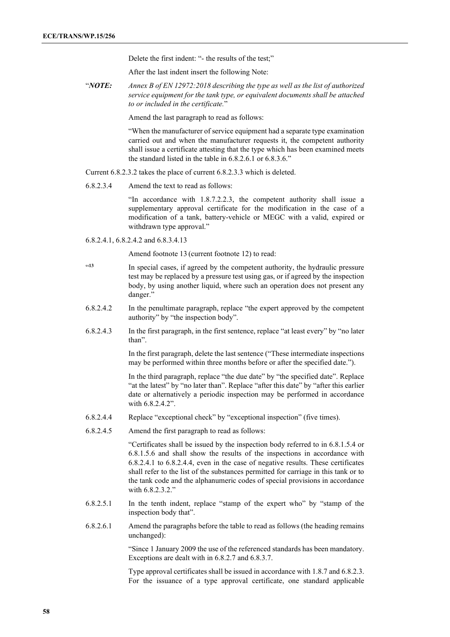Delete the first indent: "- the results of the test;"

After the last indent insert the following Note:

"*NOTE: Annex B of EN 12972:2018 describing the type as well as the list of authorized service equipment for the tank type, or equivalent documents shall be attached to or included in the certificate.*"

Amend the last paragraph to read as follows:

"When the manufacturer of service equipment had a separate type examination carried out and when the manufacturer requests it, the competent authority shall issue a certificate attesting that the type which has been examined meets the standard listed in the table in 6.8.2.6.1 or 6.8.3.6."

Current 6.8.2.3.2 takes the place of current 6.8.2.3.3 which is deleted.

6.8.2.3.4 Amend the text to read as follows:

"In accordance with 1.8.7.2.2.3, the competent authority shall issue a supplementary approval certificate for the modification in the case of a modification of a tank, battery-vehicle or MEGC with a valid, expired or withdrawn type approval."

6.8.2.4.1, 6.8.2.4.2 and 6.8.3.4.13

Amend footnote 13 (current footnote 12) to read:

- <sup>413</sup> In special cases, if agreed by the competent authority, the hydraulic pressure test may be replaced by a pressure test using gas, or if agreed by the inspection body, by using another liquid, where such an operation does not present any danger."
- 6.8.2.4.2 In the penultimate paragraph, replace "the expert approved by the competent authority" by "the inspection body".
- 6.8.2.4.3 In the first paragraph, in the first sentence, replace "at least every" by "no later than".

In the first paragraph, delete the last sentence ("These intermediate inspections may be performed within three months before or after the specified date.").

In the third paragraph, replace "the due date" by "the specified date". Replace "at the latest" by "no later than". Replace "after this date" by "after this earlier date or alternatively a periodic inspection may be performed in accordance with 6.8.2.4.2".

- 6.8.2.4.4 Replace "exceptional check" by "exceptional inspection" (five times).
- 6.8.2.4.5 Amend the first paragraph to read as follows:

"Certificates shall be issued by the inspection body referred to in 6.8.1.5.4 or 6.8.1.5.6 and shall show the results of the inspections in accordance with 6.8.2.4.1 to 6.8.2.4.4, even in the case of negative results. These certificates shall refer to the list of the substances permitted for carriage in this tank or to the tank code and the alphanumeric codes of special provisions in accordance with 6.8.2.3.2."

- 6.8.2.5.1 In the tenth indent, replace "stamp of the expert who" by "stamp of the inspection body that".
- 6.8.2.6.1 Amend the paragraphs before the table to read as follows (the heading remains unchanged):

"Since 1 January 2009 the use of the referenced standards has been mandatory. Exceptions are dealt with in 6.8.2.7 and 6.8.3.7.

Type approval certificates shall be issued in accordance with 1.8.7 and 6.8.2.3. For the issuance of a type approval certificate, one standard applicable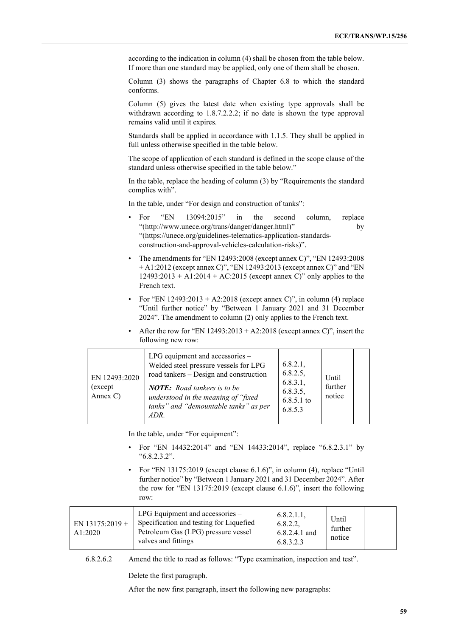according to the indication in column (4) shall be chosen from the table below. If more than one standard may be applied, only one of them shall be chosen.

Column (3) shows the paragraphs of Chapter 6.8 to which the standard conforms.

Column (5) gives the latest date when existing type approvals shall be withdrawn according to 1.8.7.2.2.2; if no date is shown the type approval remains valid until it expires.

Standards shall be applied in accordance with 1.1.5. They shall be applied in full unless otherwise specified in the table below.

The scope of application of each standard is defined in the scope clause of the standard unless otherwise specified in the table below."

In the table, replace the heading of column (3) by "Requirements the standard complies with".

In the table, under "For design and construction of tanks":

- For "EN 13094:2015" in the second column, replace "(http://www.unece.org/trans/danger/danger.html)" by "(https://unece.org/guidelines-telematics-application-standardsconstruction-and-approval-vehicles-calculation-risks)".
- The amendments for "EN 12493:2008 (except annex C)", "EN 12493:2008 + A1:2012 (except annex C)", "EN 12493:2013 (except annex C)" and "EN 12493:2013 + A1:2014 + AC:2015 (except annex C)" only applies to the French text.
- For "EN  $12493:2013 + A2:2018$  (except annex C)", in column (4) replace "Until further notice" by "Between 1 January 2021 and 31 December 2024". The amendment to column (2) only applies to the French text.
- After the row for "EN  $12493:2013 + A2:2018$  (except annex C)", insert the following new row:

| EN 12493:2020<br>(except)<br>Annex C) | LPG equipment and accessories -<br>Welded steel pressure vessels for LPG<br>road tankers - Design and construction<br><b>NOTE:</b> Road tankers is to be<br>understood in the meaning of "fixed<br>tanks" and "demountable tanks" as per<br>ADR. | 6.8.2.1,<br>6.8.2.5,<br>6.8.3.1,<br>6.8.3.5,<br>$6.8.5.1$ to<br>6.8.5.3 | Until<br>further<br>notice |  |
|---------------------------------------|--------------------------------------------------------------------------------------------------------------------------------------------------------------------------------------------------------------------------------------------------|-------------------------------------------------------------------------|----------------------------|--|
|---------------------------------------|--------------------------------------------------------------------------------------------------------------------------------------------------------------------------------------------------------------------------------------------------|-------------------------------------------------------------------------|----------------------------|--|

In the table, under "For equipment":

- For "EN 14432:2014" and "EN 14433:2014", replace "6.8.2.3.1" by "6.8.2.3.2".
- For "EN 13175:2019 (except clause 6.1.6)", in column (4), replace "Until further notice" by "Between 1 January 2021 and 31 December 2024". After the row for "EN 13175:2019 (except clause 6.1.6)", insert the following row:

| EN 13175:2019 +<br>A1:2020 | LPG Equipment and accessories –<br>Specification and testing for Liquefied<br>Petroleum Gas (LPG) pressure vessel<br>valves and fittings | $6.8.2.1.1$ ,<br>6.8.2.2,<br>6.8.2.4.1 and<br>6.8.3.2.3 | Until<br>further<br>notice |  |
|----------------------------|------------------------------------------------------------------------------------------------------------------------------------------|---------------------------------------------------------|----------------------------|--|
|----------------------------|------------------------------------------------------------------------------------------------------------------------------------------|---------------------------------------------------------|----------------------------|--|

6.8.2.6.2 Amend the title to read as follows: "Type examination, inspection and test".

Delete the first paragraph.

After the new first paragraph, insert the following new paragraphs: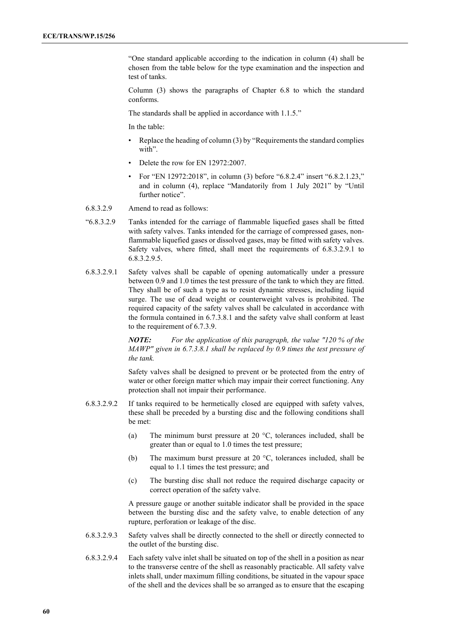"One standard applicable according to the indication in column (4) shall be chosen from the table below for the type examination and the inspection and test of tanks.

Column (3) shows the paragraphs of Chapter 6.8 to which the standard conforms.

The standards shall be applied in accordance with 1.1.5."

In the table:

- Replace the heading of column (3) by "Requirements the standard complies with".
- Delete the row for EN 12972:2007.
- For "EN 12972:2018", in column (3) before "6.8.2.4" insert "6.8.2.1.23," and in column (4), replace "Mandatorily from 1 July 2021" by "Until further notice".
- 6.8.3.2.9 Amend to read as follows:
- "6.8.3.2.9 Tanks intended for the carriage of flammable liquefied gases shall be fitted with safety valves. Tanks intended for the carriage of compressed gases, nonflammable liquefied gases or dissolved gases, may be fitted with safety valves. Safety valves, where fitted, shall meet the requirements of 6.8.3.2.9.1 to 6.8.3.2.9.5.
- 6.8.3.2.9.1 Safety valves shall be capable of opening automatically under a pressure between 0.9 and 1.0 times the test pressure of the tank to which they are fitted. They shall be of such a type as to resist dynamic stresses, including liquid surge. The use of dead weight or counterweight valves is prohibited. The required capacity of the safety valves shall be calculated in accordance with the formula contained in 6.7.3.8.1 and the safety valve shall conform at least to the requirement of 6.7.3.9.

*NOTE: For the application of this paragraph, the value "120 % of the MAWP" given in 6.7.3.8.1 shall be replaced by 0.9 times the test pressure of the tank.*

Safety valves shall be designed to prevent or be protected from the entry of water or other foreign matter which may impair their correct functioning. Any protection shall not impair their performance.

- 6.8.3.2.9.2 If tanks required to be hermetically closed are equipped with safety valves, these shall be preceded by a bursting disc and the following conditions shall be met:
	- (a) The minimum burst pressure at 20  $^{\circ}$ C, tolerances included, shall be greater than or equal to 1.0 times the test pressure;
	- (b) The maximum burst pressure at 20 °C, tolerances included, shall be equal to 1.1 times the test pressure; and
	- (c) The bursting disc shall not reduce the required discharge capacity or correct operation of the safety valve.

A pressure gauge or another suitable indicator shall be provided in the space between the bursting disc and the safety valve, to enable detection of any rupture, perforation or leakage of the disc.

- 6.8.3.2.9.3 Safety valves shall be directly connected to the shell or directly connected to the outlet of the bursting disc.
- 6.8.3.2.9.4 Each safety valve inlet shall be situated on top of the shell in a position as near to the transverse centre of the shell as reasonably practicable. All safety valve inlets shall, under maximum filling conditions, be situated in the vapour space of the shell and the devices shall be so arranged as to ensure that the escaping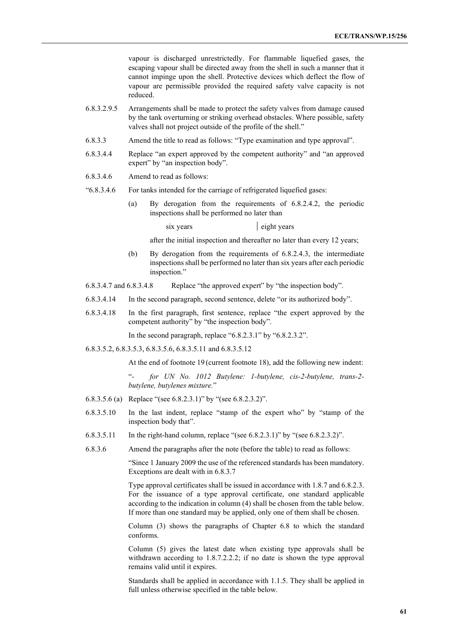vapour is discharged unrestrictedly. For flammable liquefied gases, the escaping vapour shall be directed away from the shell in such a manner that it cannot impinge upon the shell. Protective devices which deflect the flow of vapour are permissible provided the required safety valve capacity is not reduced.

- 6.8.3.2.9.5 Arrangements shall be made to protect the safety valves from damage caused by the tank overturning or striking overhead obstacles. Where possible, safety valves shall not project outside of the profile of the shell."
- 6.8.3.3 Amend the title to read as follows: "Type examination and type approval".
- 6.8.3.4.4 Replace "an expert approved by the competent authority" and "an approved expert" by "an inspection body".
- 6.8.3.4.6 Amend to read as follows:
- "6.8.3.4.6 For tanks intended for the carriage of refrigerated liquefied gases:
	- (a) By derogation from the requirements of 6.8.2.4.2, the periodic inspections shall be performed no later than

six years eight years

after the initial inspection and thereafter no later than every 12 years;

- (b) By derogation from the requirements of 6.8.2.4.3, the intermediate inspections shall be performed no later than six years after each periodic inspection."
- 6.8.3.4.7 and 6.8.3.4.8 Replace "the approved expert" by "the inspection body".
- 6.8.3.4.14 In the second paragraph, second sentence, delete "or its authorized body".
- 6.8.3.4.18 In the first paragraph, first sentence, replace "the expert approved by the competent authority" by "the inspection body".

In the second paragraph, replace "6.8.2.3.1" by "6.8.2.3.2".

6.8.3.5.2, 6.8.3.5.3, 6.8.3.5.6, 6.8.3.5.11 and 6.8.3.5.12

At the end of footnote 19 (current footnote 18), add the following new indent:

"*- for UN No. 1012 Butylene: 1-butylene, cis-2-butylene, trans-2 butylene, butylenes mixture.*"

- 6.8.3.5.6 (a) Replace "(see 6.8.2.3.1)" by "(see 6.8.2.3.2)".
- 6.8.3.5.10 In the last indent, replace "stamp of the expert who" by "stamp of the inspection body that".
- 6.8.3.5.11 In the right-hand column, replace "(see 6.8.2.3.1)" by "(see 6.8.2.3.2)".
- 6.8.3.6 Amend the paragraphs after the note (before the table) to read as follows:

"Since 1 January 2009 the use of the referenced standards has been mandatory. Exceptions are dealt with in 6.8.3.7

Type approval certificates shall be issued in accordance with 1.8.7 and 6.8.2.3. For the issuance of a type approval certificate, one standard applicable according to the indication in column (4) shall be chosen from the table below. If more than one standard may be applied, only one of them shall be chosen.

Column (3) shows the paragraphs of Chapter 6.8 to which the standard conforms.

Column (5) gives the latest date when existing type approvals shall be withdrawn according to 1.8.7.2.2.2; if no date is shown the type approval remains valid until it expires.

Standards shall be applied in accordance with 1.1.5. They shall be applied in full unless otherwise specified in the table below.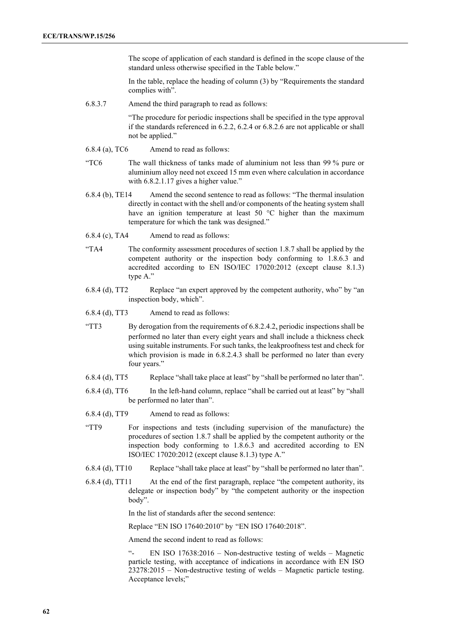The scope of application of each standard is defined in the scope clause of the standard unless otherwise specified in the Table below."

In the table, replace the heading of column (3) by "Requirements the standard complies with".

6.8.3.7 Amend the third paragraph to read as follows:

"The procedure for periodic inspections shall be specified in the type approval if the standards referenced in 6.2.2, 6.2.4 or 6.8.2.6 are not applicable or shall not be applied."

- 6.8.4 (a), TC6 Amend to read as follows:
- "TC6 The wall thickness of tanks made of aluminium not less than 99 % pure or aluminium alloy need not exceed 15 mm even where calculation in accordance with 6.8.2.1.17 gives a higher value."
- 6.8.4 (b), TE14 Amend the second sentence to read as follows: "The thermal insulation directly in contact with the shell and/or components of the heating system shall have an ignition temperature at least 50 °C higher than the maximum temperature for which the tank was designed."
- 6.8.4 (c), TA4 Amend to read as follows:
- "TA4 The conformity assessment procedures of section 1.8.7 shall be applied by the competent authority or the inspection body conforming to 1.8.6.3 and accredited according to EN ISO/IEC 17020:2012 (except clause 8.1.3) type A."
- 6.8.4 (d), TT2 Replace "an expert approved by the competent authority, who" by "an inspection body, which".
- 6.8.4 (d), TT3 Amend to read as follows:
- "TT3 By derogation from the requirements of 6.8.2.4.2, periodic inspections shall be performed no later than every eight years and shall include a thickness check using suitable instruments. For such tanks, the leakproofness test and check for which provision is made in 6.8.2.4.3 shall be performed no later than every four years."
- 6.8.4 (d), TT5 Replace "shall take place at least" by "shall be performed no later than".
- 6.8.4 (d), TT6 In the left-hand column, replace "shall be carried out at least" by "shall be performed no later than".
- 6.8.4 (d), TT9 Amend to read as follows:
- "TT9 For inspections and tests (including supervision of the manufacture) the procedures of section 1.8.7 shall be applied by the competent authority or the inspection body conforming to 1.8.6.3 and accredited according to EN ISO/IEC 17020:2012 (except clause 8.1.3) type A."
- 6.8.4 (d), TT10 Replace "shall take place at least" by "shall be performed no later than".
- 6.8.4 (d), TT11 At the end of the first paragraph, replace "the competent authority, its delegate or inspection body" by "the competent authority or the inspection body".

In the list of standards after the second sentence:

Replace "EN ISO 17640:2010" by "EN ISO 17640:2018".

Amend the second indent to read as follows:

EN ISO 17638:2016 - Non-destructive testing of welds - Magnetic particle testing, with acceptance of indications in accordance with EN ISO 23278:2015 – Non-destructive testing of welds – Magnetic particle testing. Acceptance levels;"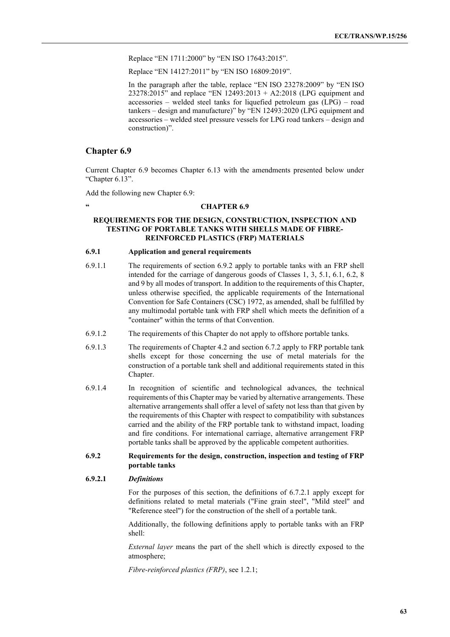Replace "EN 1711:2000" by "EN ISO 17643:2015".

Replace "EN 14127:2011" by "EN ISO 16809:2019".

In the paragraph after the table, replace "EN ISO 23278:2009" by "EN ISO 23278:2015" and replace "EN 12493:2013 + A2:2018 (LPG equipment and accessories – welded steel tanks for liquefied petroleum gas (LPG) – road tankers – design and manufacture)" by "EN 12493:2020 (LPG equipment and accessories – welded steel pressure vessels for LPG road tankers – design and construction)".

### **Chapter 6.9**

Current Chapter 6.9 becomes Chapter 6.13 with the amendments presented below under "Chapter 6.13".

Add the following new Chapter 6.9:

# **" CHAPTER 6.9**

# **REQUIREMENTS FOR THE DESIGN, CONSTRUCTION, INSPECTION AND TESTING OF PORTABLE TANKS WITH SHELLS MADE OF FIBRE-REINFORCED PLASTICS (FRP) MATERIALS**

# **6.9.1 Application and general requirements**

- 6.9.1.1 The requirements of section 6.9.2 apply to portable tanks with an FRP shell intended for the carriage of dangerous goods of Classes 1, 3, 5.1, 6.1, 6.2, 8 and 9 by all modes of transport. In addition to the requirements of this Chapter, unless otherwise specified, the applicable requirements of the International Convention for Safe Containers (CSC) 1972, as amended, shall be fulfilled by any multimodal portable tank with FRP shell which meets the definition of a "container" within the terms of that Convention.
- 6.9.1.2 The requirements of this Chapter do not apply to offshore portable tanks.
- 6.9.1.3 The requirements of Chapter 4.2 and section 6.7.2 apply to FRP portable tank shells except for those concerning the use of metal materials for the construction of a portable tank shell and additional requirements stated in this Chapter.
- 6.9.1.4 In recognition of scientific and technological advances, the technical requirements of this Chapter may be varied by alternative arrangements. These alternative arrangements shall offer a level of safety not less than that given by the requirements of this Chapter with respect to compatibility with substances carried and the ability of the FRP portable tank to withstand impact, loading and fire conditions. For international carriage, alternative arrangement FRP portable tanks shall be approved by the applicable competent authorities.

### **6.9.2 Requirements for the design, construction, inspection and testing of FRP portable tanks**

### **6.9.2.1** *Definitions*

For the purposes of this section, the definitions of 6.7.2.1 apply except for definitions related to metal materials ("Fine grain steel", "Mild steel" and "Reference steel") for the construction of the shell of a portable tank.

Additionally, the following definitions apply to portable tanks with an FRP shell:

*External layer* means the part of the shell which is directly exposed to the atmosphere;

*Fibre-reinforced plastics (FRP)*, see 1.2.1;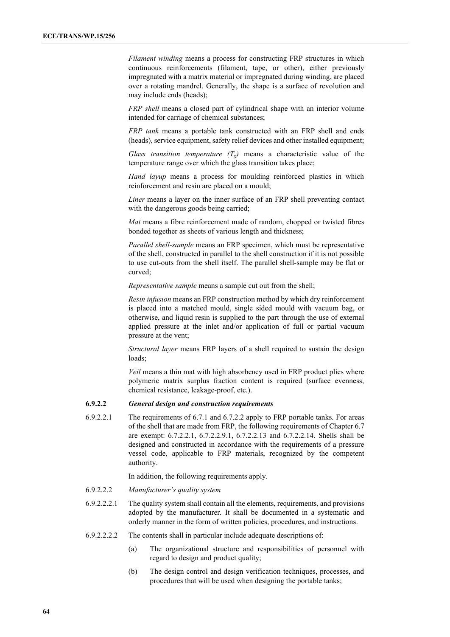*Filament winding* means a process for constructing FRP structures in which continuous reinforcements (filament, tape, or other), either previously impregnated with a matrix material or impregnated during winding, are placed over a rotating mandrel. Generally, the shape is a surface of revolution and may include ends (heads);

*FRP shell* means a closed part of cylindrical shape with an interior volume intended for carriage of chemical substances;

*FRP tank* means a portable tank constructed with an FRP shell and ends (heads), service equipment, safety relief devices and other installed equipment;

*Glass transition temperature*  $(T_g)$  means a characteristic value of the temperature range over which the glass transition takes place;

*Hand layup* means a process for moulding reinforced plastics in which reinforcement and resin are placed on a mould;

*Liner* means a layer on the inner surface of an FRP shell preventing contact with the dangerous goods being carried;

*Mat* means a fibre reinforcement made of random, chopped or twisted fibres bonded together as sheets of various length and thickness;

*Parallel shell-sample* means an FRP specimen, which must be representative of the shell, constructed in parallel to the shell construction if it is not possible to use cut-outs from the shell itself. The parallel shell-sample may be flat or curved;

*Representative sample* means a sample cut out from the shell;

*Resin infusion* means an FRP construction method by which dry reinforcement is placed into a matched mould, single sided mould with vacuum bag, or otherwise, and liquid resin is supplied to the part through the use of external applied pressure at the inlet and/or application of full or partial vacuum pressure at the vent;

*Structural layer* means FRP layers of a shell required to sustain the design loads;

*Veil* means a thin mat with high absorbency used in FRP product plies where polymeric matrix surplus fraction content is required (surface evenness, chemical resistance, leakage-proof, etc.).

## **6.9.2.2** *General design and construction requirements*

6.9.2.2.1 The requirements of 6.7.1 and 6.7.2.2 apply to FRP portable tanks. For areas of the shell that are made from FRP, the following requirements of Chapter 6.7 are exempt: 6.7.2.2.1, 6.7.2.2.9.1, 6.7.2.2.13 and 6.7.2.2.14. Shells shall be designed and constructed in accordance with the requirements of a pressure vessel code, applicable to FRP materials, recognized by the competent authority.

In addition, the following requirements apply.

- 6.9.2.2.2 *Manufacturer's quality system*
- 6.9.2.2.2.1 The quality system shall contain all the elements, requirements, and provisions adopted by the manufacturer. It shall be documented in a systematic and orderly manner in the form of written policies, procedures, and instructions.
- 6.9.2.2.2.2 The contents shall in particular include adequate descriptions of:
	- (a) The organizational structure and responsibilities of personnel with regard to design and product quality;
	- (b) The design control and design verification techniques, processes, and procedures that will be used when designing the portable tanks;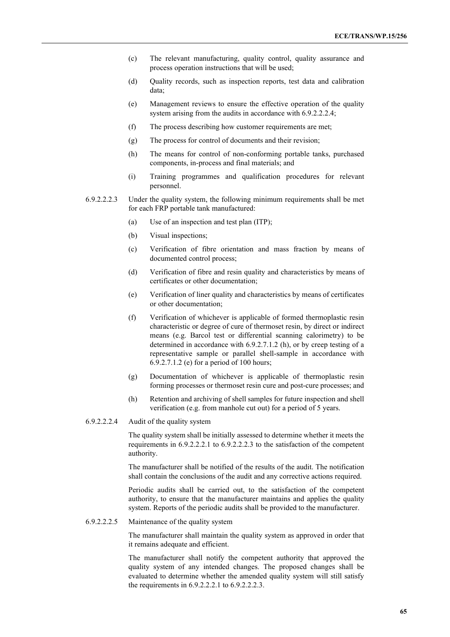- (c) The relevant manufacturing, quality control, quality assurance and process operation instructions that will be used;
- (d) Quality records, such as inspection reports, test data and calibration data;
- (e) Management reviews to ensure the effective operation of the quality system arising from the audits in accordance with 6.9.2.2.2.4;
- (f) The process describing how customer requirements are met;
- (g) The process for control of documents and their revision;
- (h) The means for control of non-conforming portable tanks, purchased components, in-process and final materials; and
- (i) Training programmes and qualification procedures for relevant personnel.
- 6.9.2.2.2.3 Under the quality system, the following minimum requirements shall be met for each FRP portable tank manufactured:
	- (a) Use of an inspection and test plan (ITP);
	- (b) Visual inspections;
	- (c) Verification of fibre orientation and mass fraction by means of documented control process;
	- (d) Verification of fibre and resin quality and characteristics by means of certificates or other documentation;
	- (e) Verification of liner quality and characteristics by means of certificates or other documentation;
	- (f) Verification of whichever is applicable of formed thermoplastic resin characteristic or degree of cure of thermoset resin, by direct or indirect means (e.g. Barcol test or differential scanning calorimetry) to be determined in accordance with 6.9.2.7.1.2 (h), or by creep testing of a representative sample or parallel shell-sample in accordance with 6.9.2.7.1.2 (e) for a period of 100 hours;
	- (g) Documentation of whichever is applicable of thermoplastic resin forming processes or thermoset resin cure and post-cure processes; and
	- (h) Retention and archiving of shell samples for future inspection and shell verification (e.g. from manhole cut out) for a period of 5 years.
- 6.9.2.2.2.4 Audit of the quality system

The quality system shall be initially assessed to determine whether it meets the requirements in 6.9.2.2.2.1 to 6.9.2.2.2.3 to the satisfaction of the competent authority.

The manufacturer shall be notified of the results of the audit. The notification shall contain the conclusions of the audit and any corrective actions required.

Periodic audits shall be carried out, to the satisfaction of the competent authority, to ensure that the manufacturer maintains and applies the quality system. Reports of the periodic audits shall be provided to the manufacturer.

6.9.2.2.2.5 Maintenance of the quality system

The manufacturer shall maintain the quality system as approved in order that it remains adequate and efficient.

The manufacturer shall notify the competent authority that approved the quality system of any intended changes. The proposed changes shall be evaluated to determine whether the amended quality system will still satisfy the requirements in 6.9.2.2.2.1 to 6.9.2.2.2.3.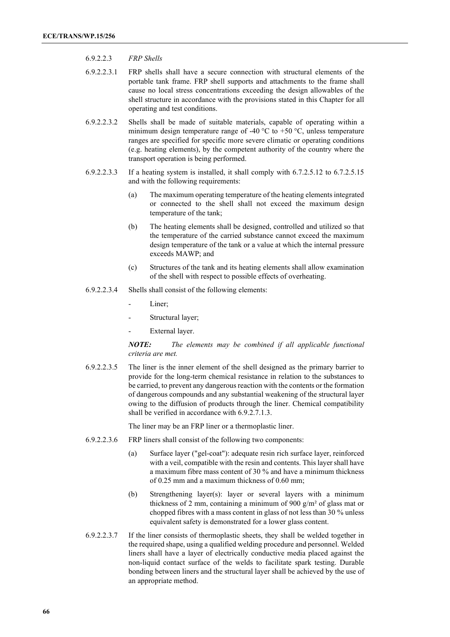### 6.9.2.2.3 *FRP Shells*

- 6.9.2.2.3.1 FRP shells shall have a secure connection with structural elements of the portable tank frame. FRP shell supports and attachments to the frame shall cause no local stress concentrations exceeding the design allowables of the shell structure in accordance with the provisions stated in this Chapter for all operating and test conditions.
- 6.9.2.2.3.2 Shells shall be made of suitable materials, capable of operating within a minimum design temperature range of -40  $^{\circ}$ C to +50  $^{\circ}$ C, unless temperature ranges are specified for specific more severe climatic or operating conditions (e.g. heating elements), by the competent authority of the country where the transport operation is being performed.
- 6.9.2.2.3.3 If a heating system is installed, it shall comply with 6.7.2.5.12 to 6.7.2.5.15 and with the following requirements:
	- (a) The maximum operating temperature of the heating elements integrated or connected to the shell shall not exceed the maximum design temperature of the tank;
	- (b) The heating elements shall be designed, controlled and utilized so that the temperature of the carried substance cannot exceed the maximum design temperature of the tank or a value at which the internal pressure exceeds MAWP; and
	- (c) Structures of the tank and its heating elements shall allow examination of the shell with respect to possible effects of overheating.
- 6.9.2.2.3.4 Shells shall consist of the following elements:
	- Liner:
	- Structural layer;
	- External layer.

## *NOTE: The elements may be combined if all applicable functional criteria are met.*

6.9.2.2.3.5 The liner is the inner element of the shell designed as the primary barrier to provide for the long-term chemical resistance in relation to the substances to be carried, to prevent any dangerous reaction with the contents or the formation of dangerous compounds and any substantial weakening of the structural layer owing to the diffusion of products through the liner. Chemical compatibility shall be verified in accordance with 6.9.2.7.1.3.

The liner may be an FRP liner or a thermoplastic liner.

- 6.9.2.2.3.6 FRP liners shall consist of the following two components:
	- (a) Surface layer ("gel-coat"): adequate resin rich surface layer, reinforced with a veil, compatible with the resin and contents. This layer shall have a maximum fibre mass content of 30 % and have a minimum thickness of 0.25 mm and a maximum thickness of 0.60 mm;
	- (b) Strengthening layer(s): layer or several layers with a minimum thickness of 2 mm, containing a minimum of 900  $g/m^2$  of glass mat or chopped fibres with a mass content in glass of not less than 30 % unless equivalent safety is demonstrated for a lower glass content.
- 6.9.2.2.3.7 If the liner consists of thermoplastic sheets, they shall be welded together in the required shape, using a qualified welding procedure and personnel. Welded liners shall have a layer of electrically conductive media placed against the non-liquid contact surface of the welds to facilitate spark testing. Durable bonding between liners and the structural layer shall be achieved by the use of an appropriate method.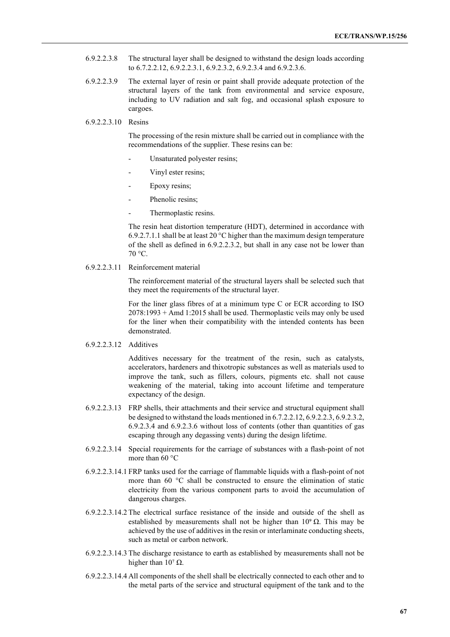- 6.9.2.2.3.8 The structural layer shall be designed to withstand the design loads according to 6.7.2.2.12, 6.9.2.2.3.1, 6.9.2.3.2, 6.9.2.3.4 and 6.9.2.3.6.
- 6.9.2.2.3.9 The external layer of resin or paint shall provide adequate protection of the structural layers of the tank from environmental and service exposure, including to UV radiation and salt fog, and occasional splash exposure to cargoes.
- 6.9.2.2.3.10 Resins

The processing of the resin mixture shall be carried out in compliance with the recommendations of the supplier. These resins can be:

- Unsaturated polyester resins;
- Vinyl ester resins;
- Epoxy resins;
- Phenolic resins;
- Thermoplastic resins.

The resin heat distortion temperature (HDT), determined in accordance with 6.9.2.7.1.1 shall be at least 20 °C higher than the maximum design temperature of the shell as defined in 6.9.2.2.3.2, but shall in any case not be lower than 70 °C.

6.9.2.2.3.11 Reinforcement material

The reinforcement material of the structural layers shall be selected such that they meet the requirements of the structural layer.

For the liner glass fibres of at a minimum type C or ECR according to ISO 2078:1993 + Amd 1:2015 shall be used. Thermoplastic veils may only be used for the liner when their compatibility with the intended contents has been demonstrated.

6.9.2.2.3.12 Additives

Additives necessary for the treatment of the resin, such as catalysts, accelerators, hardeners and thixotropic substances as well as materials used to improve the tank, such as fillers, colours, pigments etc. shall not cause weakening of the material, taking into account lifetime and temperature expectancy of the design.

- 6.9.2.2.3.13 FRP shells, their attachments and their service and structural equipment shall be designed to withstand the loads mentioned in 6.7.2.2.12, 6.9.2.2.3, 6.9.2.3.2, 6.9.2.3.4 and 6.9.2.3.6 without loss of contents (other than quantities of gas escaping through any degassing vents) during the design lifetime.
- 6.9.2.2.3.14 Special requirements for the carriage of substances with a flash-point of not more than 60 °C
- 6.9.2.2.3.14.1 FRP tanks used for the carriage of flammable liquids with a flash-point of not more than 60 °C shall be constructed to ensure the elimination of static electricity from the various component parts to avoid the accumulation of dangerous charges.
- 6.9.2.2.3.14.2 The electrical surface resistance of the inside and outside of the shell as established by measurements shall not be higher than  $10^9 \Omega$ . This may be achieved by the use of additives in the resin or interlaminate conducting sheets, such as metal or carbon network.
- 6.9.2.2.3.14.3 The discharge resistance to earth as established by measurements shall not be higher than  $10<sup>7</sup> Ω$ .
- 6.9.2.2.3.14.4 All components of the shell shall be electrically connected to each other and to the metal parts of the service and structural equipment of the tank and to the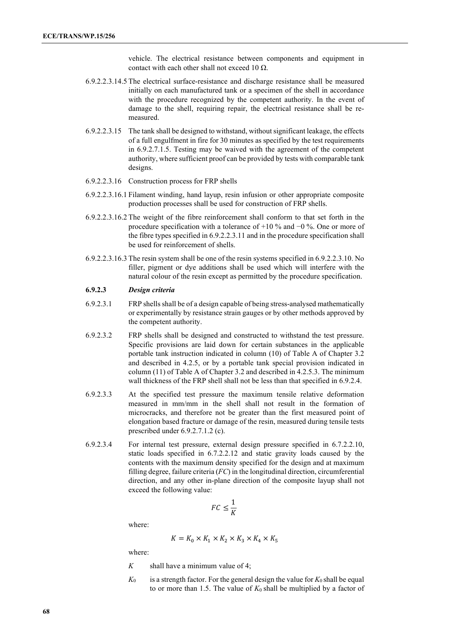vehicle. The electrical resistance between components and equipment in contact with each other shall not exceed 10  $\Omega$ .

- 6.9.2.2.3.14.5 The electrical surface-resistance and discharge resistance shall be measured initially on each manufactured tank or a specimen of the shell in accordance with the procedure recognized by the competent authority. In the event of damage to the shell, requiring repair, the electrical resistance shall be remeasured.
- 6.9.2.2.3.15 The tank shall be designed to withstand, without significant leakage, the effects of a full engulfment in fire for 30 minutes as specified by the test requirements in 6.9.2.7.1.5. Testing may be waived with the agreement of the competent authority, where sufficient proof can be provided by tests with comparable tank designs.
- 6.9.2.2.3.16 Construction process for FRP shells
- 6.9.2.2.3.16.1 Filament winding, hand layup, resin infusion or other appropriate composite production processes shall be used for construction of FRP shells.
- 6.9.2.2.3.16.2 The weight of the fibre reinforcement shall conform to that set forth in the procedure specification with a tolerance of +10 % and −0 %. One or more of the fibre types specified in 6.9.2.2.3.11 and in the procedure specification shall be used for reinforcement of shells.
- 6.9.2.2.3.16.3 The resin system shall be one of the resin systems specified in 6.9.2.2.3.10. No filler, pigment or dye additions shall be used which will interfere with the natural colour of the resin except as permitted by the procedure specification.

# **6.9.2.3** *Design criteria*

- 6.9.2.3.1 FRP shells shall be of a design capable of being stress-analysed mathematically or experimentally by resistance strain gauges or by other methods approved by the competent authority.
- 6.9.2.3.2 FRP shells shall be designed and constructed to withstand the test pressure. Specific provisions are laid down for certain substances in the applicable portable tank instruction indicated in column (10) of Table A of Chapter 3.2 and described in 4.2.5, or by a portable tank special provision indicated in column (11) of Table A of Chapter 3.2 and described in 4.2.5.3. The minimum wall thickness of the FRP shell shall not be less than that specified in 6.9.2.4.
- 6.9.2.3.3 At the specified test pressure the maximum tensile relative deformation measured in mm/mm in the shell shall not result in the formation of microcracks, and therefore not be greater than the first measured point of elongation based fracture or damage of the resin, measured during tensile tests prescribed under 6.9.2.7.1.2 (c).
- 6.9.2.3.4 For internal test pressure, external design pressure specified in 6.7.2.2.10, static loads specified in 6.7.2.2.12 and static gravity loads caused by the contents with the maximum density specified for the design and at maximum filling degree, failure criteria (*FC*) in the longitudinal direction, circumferential direction, and any other in-plane direction of the composite layup shall not exceed the following value:

$$
FC\leq \frac{1}{K}
$$

where:

$$
K=K_0\times K_1\times K_2\times K_3\times K_4\times K_5
$$

where:

- *K* shall have a minimum value of 4;
- $K_0$  is a strength factor. For the general design the value for  $K_0$  shall be equal to or more than 1.5. The value of  $K_0$  shall be multiplied by a factor of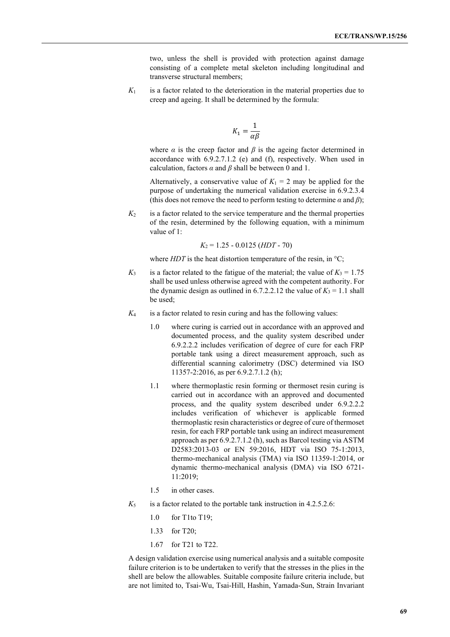two, unless the shell is provided with protection against damage consisting of a complete metal skeleton including longitudinal and transverse structural members;

 $K_1$  is a factor related to the deterioration in the material properties due to creep and ageing. It shall be determined by the formula:

$$
K_1 = \frac{1}{\alpha \beta}
$$

where  $\alpha$  is the creep factor and  $\beta$  is the ageing factor determined in accordance with 6.9.2.7.1.2 (e) and (f), respectively. When used in calculation, factors  $\alpha$  and  $\beta$  shall be between 0 and 1.

Alternatively, a conservative value of  $K_1 = 2$  may be applied for the purpose of undertaking the numerical validation exercise in 6.9.2.3.4 (this does not remove the need to perform testing to determine  $\alpha$  and  $\beta$ );

 $K_2$  is a factor related to the service temperature and the thermal properties of the resin, determined by the following equation, with a minimum value of 1:

*K*<sup>2</sup> = 1.25 - 0.0125 (*HDT* - 70)

where  $HDT$  is the heat distortion temperature of the resin, in  $\mathrm{C}$ ;

- $K_3$  is a factor related to the fatigue of the material; the value of  $K_3 = 1.75$ shall be used unless otherwise agreed with the competent authority. For the dynamic design as outlined in 6.7.2.2.12 the value of  $K_3 = 1.1$  shall be used;
- *K*<sup>4</sup> is a factor related to resin curing and has the following values:
	- 1.0 where curing is carried out in accordance with an approved and documented process, and the quality system described under 6.9.2.2.2 includes verification of degree of cure for each FRP portable tank using a direct measurement approach, such as differential scanning calorimetry (DSC) determined via ISO 11357-2:2016, as per 6.9.2.7.1.2 (h);
	- 1.1 where thermoplastic resin forming or thermoset resin curing is carried out in accordance with an approved and documented process, and the quality system described under 6.9.2.2.2 includes verification of whichever is applicable formed thermoplastic resin characteristics or degree of cure of thermoset resin, for each FRP portable tank using an indirect measurement approach as per 6.9.2.7.1.2 (h), such as Barcol testing via ASTM D2583:2013-03 or EN 59:2016, HDT via ISО 75-1:2013, thermo-mechanical analysis (TMA) via ISO 11359-1:2014, or dynamic thermo-mechanical analysis (DMA) via ISO 6721- 11:2019;
	- 1.5 in other cases.
- $K_5$  is a factor related to the portable tank instruction in 4.2.5.2.6:
	- 1.0 for T1to T19;
	- 1.33 for T20;
	- 1.67 for T21 to T22.

A design validation exercise using numerical analysis and a suitable composite failure criterion is to be undertaken to verify that the stresses in the plies in the shell are below the allowables. Suitable composite failure criteria include, but are not limited to, Tsai-Wu, Tsai-Hill, Hashin, Yamada-Sun, Strain Invariant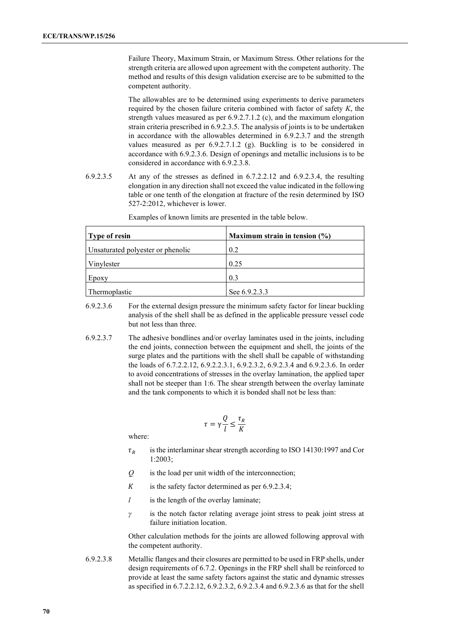Failure Theory, Maximum Strain, or Maximum Stress. Other relations for the strength criteria are allowed upon agreement with the competent authority. The method and results of this design validation exercise are to be submitted to the competent authority.

The allowables are to be determined using experiments to derive parameters required by the chosen failure criteria combined with factor of safety *K*, the strength values measured as per 6.9.2.7.1.2 (c), and the maximum elongation strain criteria prescribed in 6.9.2.3.5. The analysis of joints is to be undertaken in accordance with the allowables determined in 6.9.2.3.7 and the strength values measured as per 6.9.2.7.1.2 (g). Buckling is to be considered in accordance with 6.9.2.3.6. Design of openings and metallic inclusions is to be considered in accordance with 6.9.2.3.8.

6.9.2.3.5 At any of the stresses as defined in 6.7.2.2.12 and 6.9.2.3.4, the resulting elongation in any direction shall not exceed the value indicated in the following table or one tenth of the elongation at fracture of the resin determined by ISO 527-2:2012, whichever is lower.

| Type of resin                     | Maximum strain in tension $(\% )$ |
|-----------------------------------|-----------------------------------|
| Unsaturated polyester or phenolic | 0.2                               |
| Vinylester                        | 0.25                              |
| Epoxy                             | 0.3                               |
| Thermoplastic                     | See 6.9.2.3.3                     |

Examples of known limits are presented in the table below.

- 6.9.2.3.6 For the external design pressure the minimum safety factor for linear buckling analysis of the shell shall be as defined in the applicable pressure vessel code but not less than three.
- 6.9.2.3.7 The adhesive bondlines and/or overlay laminates used in the joints, including the end joints, connection between the equipment and shell, the joints of the surge plates and the partitions with the shell shall be capable of withstanding the loads of 6.7.2.2.12, 6.9.2.2.3.1, 6.9.2.3.2, 6.9.2.3.4 and 6.9.2.3.6. In order to avoid concentrations of stresses in the overlay lamination, the applied taper shall not be steeper than 1:6. The shear strength between the overlay laminate and the tank components to which it is bonded shall not be less than:

$$
\tau = \gamma \frac{Q}{l} \le \frac{\tau_R}{K}
$$

where:

- $\tau_R$  is the interlaminar shear strength according to ISO 14130:1997 and Cor 1:2003;
- *Q* is the load per unit width of the interconnection;
- $K$  is the safety factor determined as per 6.9.2.3.4;
- *l* is the length of the overlay laminate;
- *γ* is the notch factor relating average joint stress to peak joint stress at failure initiation location.

Other calculation methods for the joints are allowed following approval with the competent authority.

6.9.2.3.8 Metallic flanges and their closures are permitted to be used in FRP shells, under design requirements of 6.7.2. Openings in the FRP shell shall be reinforced to provide at least the same safety factors against the static and dynamic stresses as specified in 6.7.2.2.12, 6.9.2.3.2, 6.9.2.3.4 and 6.9.2.3.6 as that for the shell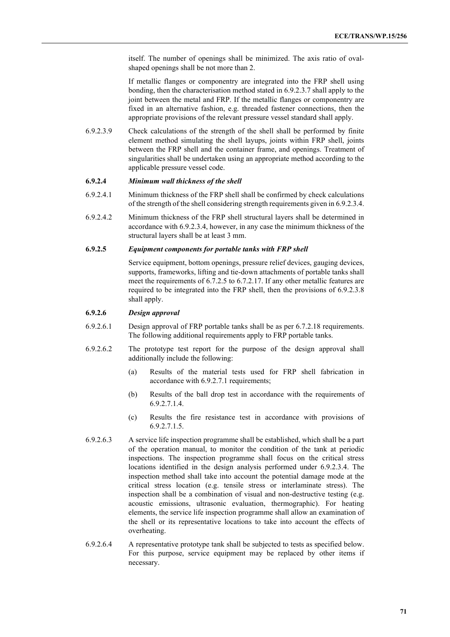itself. The number of openings shall be minimized. The axis ratio of ovalshaped openings shall be not more than 2.

If metallic flanges or componentry are integrated into the FRP shell using bonding, then the characterisation method stated in 6.9.2.3.7 shall apply to the joint between the metal and FRP. If the metallic flanges or componentry are fixed in an alternative fashion, e.g. threaded fastener connections, then the appropriate provisions of the relevant pressure vessel standard shall apply.

6.9.2.3.9 Check calculations of the strength of the shell shall be performed by finite element method simulating the shell layups, joints within FRP shell, joints between the FRP shell and the container frame, and openings. Treatment of singularities shall be undertaken using an appropriate method according to the applicable pressure vessel code.

### **6.9.2.4** *Minimum wall thickness of the shell*

- 6.9.2.4.1 Minimum thickness of the FRP shell shall be confirmed by check calculations of the strength of the shell considering strength requirements given in 6.9.2.3.4.
- 6.9.2.4.2 Minimum thickness of the FRP shell structural layers shall be determined in accordance with 6.9.2.3.4, however, in any case the minimum thickness of the structural layers shall be at least 3 mm.

### **6.9.2.5** *Equipment components for portable tanks with FRP shell*

Service equipment, bottom openings, pressure relief devices, gauging devices, supports, frameworks, lifting and tie-down attachments of portable tanks shall meet the requirements of 6.7.2.5 to 6.7.2.17. If any other metallic features are required to be integrated into the FRP shell, then the provisions of 6.9.2.3.8 shall apply.

# **6.9.2.6** *Design approval*

- 6.9.2.6.1 Design approval of FRP portable tanks shall be as per 6.7.2.18 requirements. The following additional requirements apply to FRP portable tanks.
- 6.9.2.6.2 The prototype test report for the purpose of the design approval shall additionally include the following:
	- (a) Results of the material tests used for FRP shell fabrication in accordance with 6.9.2.7.1 requirements;
	- (b) Results of the ball drop test in accordance with the requirements of 6.9.2.7.1.4.
	- (c) Results the fire resistance test in accordance with provisions of 6.9.2.7.1.5.
- 6.9.2.6.3 A service life inspection programme shall be established, which shall be a part of the operation manual, to monitor the condition of the tank at periodic inspections. The inspection programme shall focus on the critical stress locations identified in the design analysis performed under 6.9.2.3.4. The inspection method shall take into account the potential damage mode at the critical stress location (e.g. tensile stress or interlaminate stress). The inspection shall be a combination of visual and non-destructive testing (e.g. acoustic emissions, ultrasonic evaluation, thermographic). For heating elements, the service life inspection programme shall allow an examination of the shell or its representative locations to take into account the effects of overheating.
- 6.9.2.6.4 A representative prototype tank shall be subjected to tests as specified below. For this purpose, service equipment may be replaced by other items if necessary.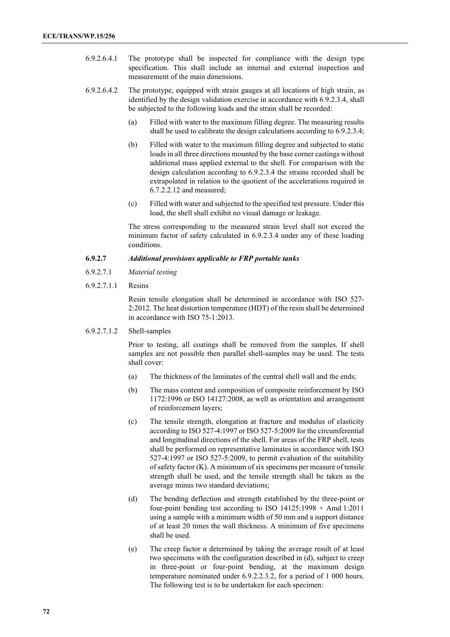- 6.9.2.6.4.1 The prototype shall be inspected for compliance with the design type specification. This shall include an internal and external inspection and measurement of the main dimensions.
- 6.9.2.6.4.2 The prototype, equipped with strain gauges at all locations of high strain, as identified by the design validation exercise in accordance with 6.9.2.3.4, shall be subjected to the following loads and the strain shall be recorded:
	- (a) Filled with water to the maximum filling degree. The measuring results shall be used to calibrate the design calculations according to 6.9.2.3.4;
	- (b) Filled with water to the maximum filling degree and subjected to static loads in all three directions mounted by the base corner castings without additional mass applied external to the shell. For comparison with the design calculation according to 6.9.2.3.4 the strains recorded shall be extrapolated in relation to the quotient of the accelerations required in 6.7.2.2.12 and measured;
	- (c) Filled with water and subjected to the specified test pressure. Under this load, the shell shall exhibit no visual damage or leakage.

The stress corresponding to the measured strain level shall not exceed the minimum factor of safety calculated in 6.9.2.3.4 under any of these loading conditions.

### **6.9.2.7** *Additional provisions applicable to FRP portable tanks*

- 6.9.2.7.1 *Material testing*
- 6.9.2.7.1.1 Resins

Resin tensile elongation shall be determined in accordance with ISО 527- 2:2012. The heat distortion temperature (HDT) of the resin shall be determined in accordance with ISO 75-1:2013.

6.9.2.7.1.2 Shell-samples

Prior to testing, all coatings shall be removed from the samples. If shell samples are not possible then parallel shell-samples may be used. The tests shall cover:

- (a) The thickness of the laminates of the central shell wall and the ends;
- (b) The mass content and composition of composite reinforcement by ISO 1172:1996 or ISO 14127:2008, as well as orientation and arrangement of reinforcement layers;
- (c) The tensile strength, elongation at fracture and modulus of elasticity according to ISO 527-4:1997 or ISO 527-5:2009 for the circumferential and longitudinal directions of the shell. For areas of the FRP shell, tests shall be performed on representative laminates in accordance with ISO 527-4:1997 or ISO 527-5:2009, to permit evaluation of the suitability of safety factor (K). A minimum of six specimens per measure of tensile strength shall be used, and the tensile strength shall be taken as the average minus two standard deviations;
- (d) The bending deflection and strength established by the three-point or four-point bending test according to ISO 14125:1998 + Amd 1:2011 using a sample with a minimum width of 50 mm and a support distance of at least 20 times the wall thickness. A minimum of five specimens shall be used.
- (e) The creep factor α determined by taking the average result of at least two specimens with the configuration described in (d), subject to creep in three-point or four-point bending, at the maximum design temperature nominated under 6.9.2.2.3.2, for a period of 1 000 hours. The following test is to be undertaken for each specimen: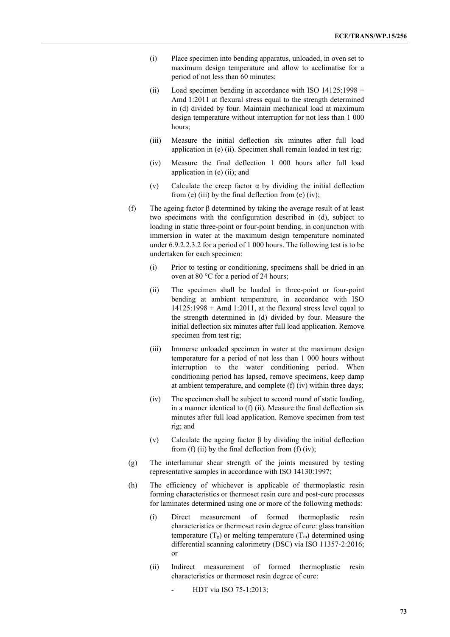- (i) Place specimen into bending apparatus, unloaded, in oven set to maximum design temperature and allow to acclimatise for a period of not less than 60 minutes;
- (ii) Load specimen bending in accordance with ISO 14125:1998 + Amd 1:2011 at flexural stress equal to the strength determined in (d) divided by four. Maintain mechanical load at maximum design temperature without interruption for not less than 1 000 hours;
- (iii) Measure the initial deflection six minutes after full load application in (e) (ii). Specimen shall remain loaded in test rig;
- (iv) Measure the final deflection 1 000 hours after full load application in (e) (ii); and
- (v) Calculate the creep factor α by dividing the initial deflection from  $(e)$  (iii) by the final deflection from  $(e)$  (iv);
- (f) The ageing factor β determined by taking the average result of at least two specimens with the configuration described in (d), subject to loading in static three-point or four-point bending, in conjunction with immersion in water at the maximum design temperature nominated under 6.9.2.2.3.2 for a period of 1 000 hours. The following test is to be undertaken for each specimen:
	- (i) Prior to testing or conditioning, specimens shall be dried in an oven at 80 °C for a period of 24 hours;
	- (ii) The specimen shall be loaded in three-point or four-point bending at ambient temperature, in accordance with ISO 14125:1998 + Amd 1:2011, at the flexural stress level equal to the strength determined in (d) divided by four. Measure the initial deflection six minutes after full load application. Remove specimen from test rig;
	- (iii) Immerse unloaded specimen in water at the maximum design temperature for a period of not less than 1 000 hours without interruption to the water conditioning period. When conditioning period has lapsed, remove specimens, keep damp at ambient temperature, and complete (f) (iv) within three days;
	- (iv) The specimen shall be subject to second round of static loading, in a manner identical to (f) (ii). Measure the final deflection six minutes after full load application. Remove specimen from test rig; and
	- (v) Calculate the ageing factor  $\beta$  by dividing the initial deflection from (f) (ii) by the final deflection from (f) (iv);
- (g) The interlaminar shear strength of the joints measured by testing representative samples in accordance with ISO 14130:1997;
- (h) The efficiency of whichever is applicable of thermoplastic resin forming characteristics or thermoset resin cure and post-cure processes for laminates determined using one or more of the following methods:
	- (i) Direct measurement of formed thermoplastic resin characteristics or thermoset resin degree of cure: glass transition temperature  $(T_g)$  or melting temperature  $(T_m)$  determined using differential scanning calorimetry (DSC) via ISO 11357-2:2016; or
	- (ii) Indirect measurement of formed thermoplastic resin characteristics or thermoset resin degree of cure:
		- HDT via ISO 75-1:2013;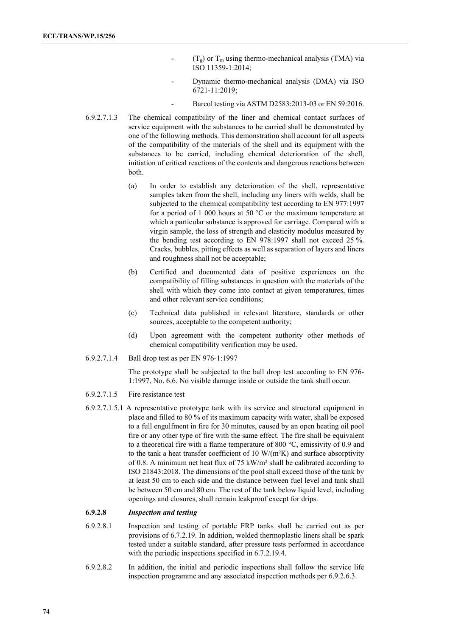- $(T<sub>g</sub>)$  or  $T<sub>m</sub>$  using thermo-mechanical analysis (TMA) via ISO 11359-1:2014;
- Dynamic thermo-mechanical analysis (DMA) via ISO 6721-11:2019;
	- Barcol testing via ASTM D2583:2013-03 or EN 59:2016.
- 6.9.2.7.1.3 The chemical compatibility of the liner and chemical contact surfaces of service equipment with the substances to be carried shall be demonstrated by one of the following methods. This demonstration shall account for all aspects of the compatibility of the materials of the shell and its equipment with the substances to be carried, including chemical deterioration of the shell, initiation of critical reactions of the contents and dangerous reactions between both.
	- (a) In order to establish any deterioration of the shell, representative samples taken from the shell, including any liners with welds, shall be subjected to the chemical compatibility test according to EN 977:1997 for a period of 1 000 hours at 50  $^{\circ}$ C or the maximum temperature at which a particular substance is approved for carriage. Compared with a virgin sample, the loss of strength and elasticity modulus measured by the bending test according to EN 978:1997 shall not exceed 25 %. Cracks, bubbles, pitting effects as well as separation of layers and liners and roughness shall not be acceptable;
	- (b) Certified and documented data of positive experiences on the compatibility of filling substances in question with the materials of the shell with which they come into contact at given temperatures, times and other relevant service conditions;
	- (c) Technical data published in relevant literature, standards or other sources, acceptable to the competent authority;
	- (d) Upon agreement with the competent authority other methods of chemical compatibility verification may be used.
- 6.9.2.7.1.4 Ball drop test as per EN 976-1:1997

The prototype shall be subjected to the ball drop test according to EN 976- 1:1997, No. 6.6. No visible damage inside or outside the tank shall occur.

- 6.9.2.7.1.5 Fire resistance test
- 6.9.2.7.1.5.1 A representative prototype tank with its service and structural equipment in place and filled to 80 % of its maximum capacity with water, shall be exposed to a full engulfment in fire for 30 minutes, caused by an open heating oil pool fire or any other type of fire with the same effect. The fire shall be equivalent to a theoretical fire with a flame temperature of 800 °C, emissivity of 0.9 and to the tank a heat transfer coefficient of  $10 \text{ W/(m²K)}$  and surface absorptivity of 0.8. A minimum net heat flux of 75 kW/m² shall be calibrated according to ISO 21843:2018. The dimensions of the pool shall exceed those of the tank by at least 50 cm to each side and the distance between fuel level and tank shall be between 50 cm and 80 cm. The rest of the tank below liquid level, including openings and closures, shall remain leakproof except for drips.

## **6.9.2.8** *Inspection and testing*

- 6.9.2.8.1 Inspection and testing of portable FRP tanks shall be carried out as per provisions of 6.7.2.19. In addition, welded thermoplastic liners shall be spark tested under a suitable standard, after pressure tests performed in accordance with the periodic inspections specified in 6.7.2.19.4.
- 6.9.2.8.2 In addition, the initial and periodic inspections shall follow the service life inspection programme and any associated inspection methods per 6.9.2.6.3.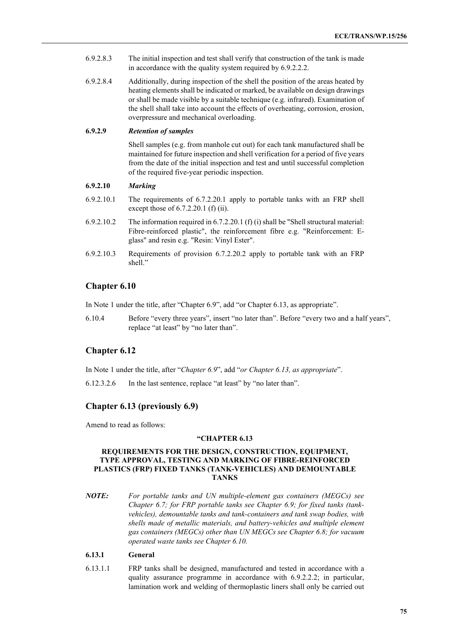- 6.9.2.8.3 The initial inspection and test shall verify that construction of the tank is made in accordance with the quality system required by 6.9.2.2.2.
- 6.9.2.8.4 Additionally, during inspection of the shell the position of the areas heated by heating elements shall be indicated or marked, be available on design drawings or shall be made visible by a suitable technique (e.g. infrared). Examination of the shell shall take into account the effects of overheating, corrosion, erosion, overpressure and mechanical overloading.

### **6.9.2.9** *Retention of samples*

Shell samples (e.g. from manhole cut out) for each tank manufactured shall be maintained for future inspection and shell verification for a period of five years from the date of the initial inspection and test and until successful completion of the required five-year periodic inspection.

### **6.9.2.10** *Marking*

- 6.9.2.10.1 The requirements of 6.7.2.20.1 apply to portable tanks with an FRP shell except those of 6.7.2.20.1 (f) (ii).
- 6.9.2.10.2 The information required in 6.7.2.20.1 (f) (i) shall be "Shell structural material: Fibre-reinforced plastic", the reinforcement fibre e.g. "Reinforcement: Eglass" and resin e.g. "Resin: Vinyl Ester".
- 6.9.2.10.3 Requirements of provision 6.7.2.20.2 apply to portable tank with an FRP shell."

# **Chapter 6.10**

In Note 1 under the title, after "Chapter 6.9", add "or Chapter 6.13, as appropriate".

6.10.4 Before "every three years", insert "no later than". Before "every two and a half years", replace "at least" by "no later than".

# **Chapter 6.12**

In Note 1 under the title, after "*Chapter 6.9*", add "*or Chapter 6.13, as appropriate*".

6.12.3.2.6 In the last sentence, replace "at least" by "no later than".

# **Chapter 6.13 (previously 6.9)**

Amend to read as follows:

### **"CHAPTER 6.13**

### **REQUIREMENTS FOR THE DESIGN, CONSTRUCTION, EQUIPMENT, TYPE APPROVAL, TESTING AND MARKING OF FIBRE-REINFORCED PLASTICS (FRP) FIXED TANKS (TANK-VEHICLES) AND DEMOUNTABLE TANKS**

*NOTE: For portable tanks and UN multiple-element gas containers (MEGCs) see Chapter 6.7; for FRP portable tanks see Chapter 6.9; for fixed tanks (tankvehicles), demountable tanks and tank-containers and tank swap bodies, with shells made of metallic materials, and battery-vehicles and multiple element gas containers (MEGCs) other than UN MEGCs see Chapter 6.8; for vacuum operated waste tanks see Chapter 6.10.*

## **6.13.1 General**

6.13.1.1 FRP tanks shall be designed, manufactured and tested in accordance with a quality assurance programme in accordance with 6.9.2.2.2; in particular, lamination work and welding of thermoplastic liners shall only be carried out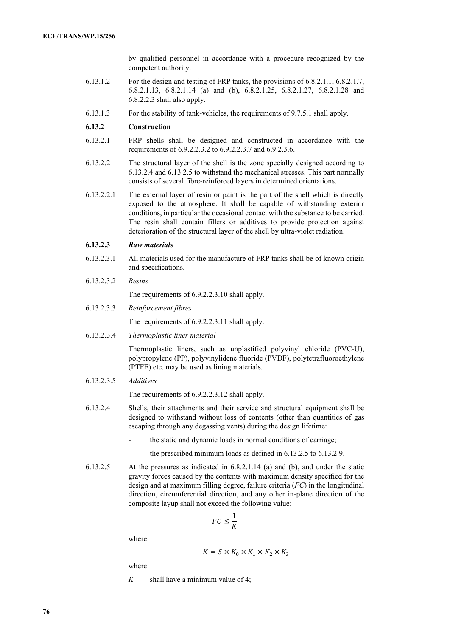by qualified personnel in accordance with a procedure recognized by the competent authority.

- 6.13.1.2 For the design and testing of FRP tanks, the provisions of 6.8.2.1.1, 6.8.2.1.7, 6.8.2.1.13, 6.8.2.1.14 (a) and (b), 6.8.2.1.25, 6.8.2.1.27, 6.8.2.1.28 and 6.8.2.2.3 shall also apply.
- 6.13.1.3 For the stability of tank-vehicles, the requirements of 9.7.5.1 shall apply.

### **6.13.2 Construction**

- 6.13.2.1 FRP shells shall be designed and constructed in accordance with the requirements of 6.9.2.2.3.2 to 6.9.2.2.3.7 and 6.9.2.3.6.
- 6.13.2.2 The structural layer of the shell is the zone specially designed according to 6.13.2.4 and 6.13.2.5 to withstand the mechanical stresses. This part normally consists of several fibre-reinforced layers in determined orientations.
- 6.13.2.2.1 The external layer of resin or paint is the part of the shell which is directly exposed to the atmosphere. It shall be capable of withstanding exterior conditions, in particular the occasional contact with the substance to be carried. The resin shall contain fillers or additives to provide protection against deterioration of the structural layer of the shell by ultra-violet radiation.

#### **6.13.2.3** *Raw materials*

- 6.13.2.3.1 All materials used for the manufacture of FRP tanks shall be of known origin and specifications.
- 6.13.2.3.2 *Resins*

The requirements of 6.9.2.2.3.10 shall apply.

6.13.2.3.3 *Reinforcement fibres*

The requirements of 6.9.2.2.3.11 shall apply.

6.13.2.3.4 *Thermoplastic liner material*

Thermoplastic liners, such as unplastified polyvinyl chloride (PVC-U), polypropylene (PP), polyvinylidene fluoride (PVDF), polytetrafluoroethylene (PTFE) etc. may be used as lining materials.

6.13.2.3.5 *Additives*

The requirements of 6.9.2.2.3.12 shall apply.

- 6.13.2.4 Shells, their attachments and their service and structural equipment shall be designed to withstand without loss of contents (other than quantities of gas escaping through any degassing vents) during the design lifetime:
	- the static and dynamic loads in normal conditions of carriage;
	- the prescribed minimum loads as defined in 6.13.2.5 to 6.13.2.9.
- 6.13.2.5 At the pressures as indicated in 6.8.2.1.14 (a) and (b), and under the static gravity forces caused by the contents with maximum density specified for the design and at maximum filling degree, failure criteria (*FC*) in the longitudinal direction, circumferential direction, and any other in-plane direction of the composite layup shall not exceed the following value:

$$
FC \leq \frac{1}{K}
$$

where:

$$
K = S \times K_0 \times K_1 \times K_2 \times K_3
$$

where:

*K* shall have a minimum value of 4;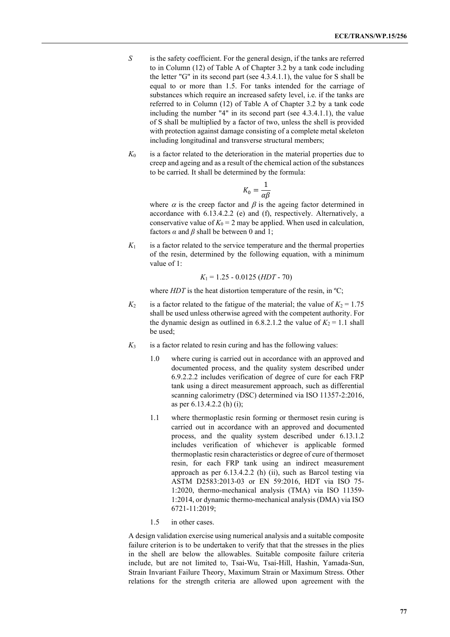- *S* is the safety coefficient. For the general design, if the tanks are referred to in Column (12) of Table A of Chapter 3.2 by a tank code including the letter "G" in its second part (see 4.3.4.1.1), the value for S shall be equal to or more than 1.5. For tanks intended for the carriage of substances which require an increased safety level, i.e. if the tanks are referred to in Column (12) of Table A of Chapter 3.2 by a tank code including the number "4" in its second part (see 4.3.4.1.1), the value of S shall be multiplied by a factor of two, unless the shell is provided with protection against damage consisting of a complete metal skeleton including longitudinal and transverse structural members;
- $K_0$  is a factor related to the deterioration in the material properties due to creep and ageing and as a result of the chemical action of the substances to be carried. It shall be determined by the formula:

$$
K_0 = \frac{1}{\alpha \beta}
$$

where  $\alpha$  is the creep factor and  $\beta$  is the ageing factor determined in accordance with 6.13.4.2.2 (e) and (f), respectively. Alternatively, a conservative value of  $K_0 = 2$  may be applied. When used in calculation, factors  $\alpha$  and  $\beta$  shall be between 0 and 1;

 $K_1$  is a factor related to the service temperature and the thermal properties of the resin, determined by the following equation, with a minimum value of 1:

$$
K_1 = 1.25 - 0.0125 (HDT - 70)
$$

where *HDT* is the heat distortion temperature of the resin, in <sup>o</sup>C;

- $K_2$  is a factor related to the fatigue of the material; the value of  $K_2 = 1.75$ shall be used unless otherwise agreed with the competent authority. For the dynamic design as outlined in  $6.8.2.1.2$  the value of  $K_2 = 1.1$  shall be used;
- $K_3$  is a factor related to resin curing and has the following values:
	- 1.0 where curing is carried out in accordance with an approved and documented process, and the quality system described under 6.9.2.2.2 includes verification of degree of cure for each FRP tank using a direct measurement approach, such as differential scanning calorimetry (DSC) determined via ISO 11357-2:2016, as per 6.13.4.2.2 (h) (i);
	- 1.1 where thermoplastic resin forming or thermoset resin curing is carried out in accordance with an approved and documented process, and the quality system described under 6.13.1.2 includes verification of whichever is applicable formed thermoplastic resin characteristics or degree of cure of thermoset resin, for each FRP tank using an indirect measurement approach as per 6.13.4.2.2 (h) (ii), such as Barcol testing via ASTM D2583:2013-03 or EN 59:2016, HDT via ISО 75- 1:2020, thermo-mechanical analysis (TMA) via ISO 11359- 1:2014, or dynamic thermo-mechanical analysis (DMA) via ISO 6721-11:2019;
	- 1.5 in other cases.

A design validation exercise using numerical analysis and a suitable composite failure criterion is to be undertaken to verify that that the stresses in the plies in the shell are below the allowables. Suitable composite failure criteria include, but are not limited to, Tsai-Wu, Tsai-Hill, Hashin, Yamada-Sun, Strain Invariant Failure Theory, Maximum Strain or Maximum Stress. Other relations for the strength criteria are allowed upon agreement with the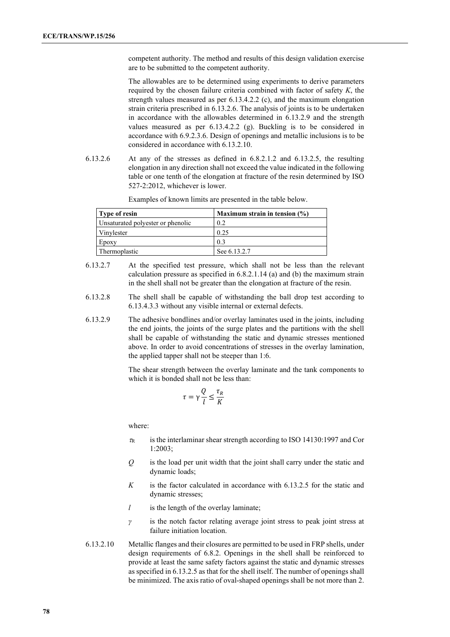competent authority. The method and results of this design validation exercise are to be submitted to the competent authority.

The allowables are to be determined using experiments to derive parameters required by the chosen failure criteria combined with factor of safety *K*, the strength values measured as per 6.13.4.2.2 (c), and the maximum elongation strain criteria prescribed in 6.13.2.6. The analysis of joints is to be undertaken in accordance with the allowables determined in 6.13.2.9 and the strength values measured as per 6.13.4.2.2 (g). Buckling is to be considered in accordance with 6.9.2.3.6. Design of openings and metallic inclusions is to be considered in accordance with 6.13.2.10.

6.13.2.6 At any of the stresses as defined in 6.8.2.1.2 and 6.13.2.5, the resulting elongation in any direction shall not exceed the value indicated in the following table or one tenth of the elongation at fracture of the resin determined by ISO 527-2:2012, whichever is lower.

| <b>Type of resin</b>              | Maximum strain in tension $(\%)$ |
|-----------------------------------|----------------------------------|
| Unsaturated polyester or phenolic | 0.2                              |
| Vinvlester                        | 0.25                             |
| Epoxy                             | 0.3                              |
| Thermoplastic                     | See 6.13.2.7                     |

Examples of known limits are presented in the table below.

- 6.13.2.7 At the specified test pressure, which shall not be less than the relevant calculation pressure as specified in 6.8.2.1.14 (a) and (b) the maximum strain in the shell shall not be greater than the elongation at fracture of the resin.
- 6.13.2.8 The shell shall be capable of withstanding the ball drop test according to 6.13.4.3.3 without any visible internal or external defects.
- 6.13.2.9 The adhesive bondlines and/or overlay laminates used in the joints, including the end joints, the joints of the surge plates and the partitions with the shell shall be capable of withstanding the static and dynamic stresses mentioned above. In order to avoid concentrations of stresses in the overlay lamination, the applied tapper shall not be steeper than 1:6.

The shear strength between the overlay laminate and the tank components to which it is bonded shall not be less than:

$$
\tau = \gamma \frac{Q}{l} \le \frac{\tau_R}{K}
$$

where:

- $\tau_R$  is the interlaminar shear strength according to ISO 14130:1997 and Cor 1:2003;
- *Q* is the load per unit width that the joint shall carry under the static and dynamic loads;
- *K* is the factor calculated in accordance with 6.13.2.5 for the static and dynamic stresses;
- *l* is the length of the overlay laminate;
- *γ* is the notch factor relating average joint stress to peak joint stress at failure initiation location.
- 6.13.2.10 Metallic flanges and their closures are permitted to be used in FRP shells, under design requirements of 6.8.2. Openings in the shell shall be reinforced to provide at least the same safety factors against the static and dynamic stresses as specified in 6.13.2.5 as that for the shell itself. The number of openings shall be minimized. The axis ratio of oval-shaped openings shall be not more than 2.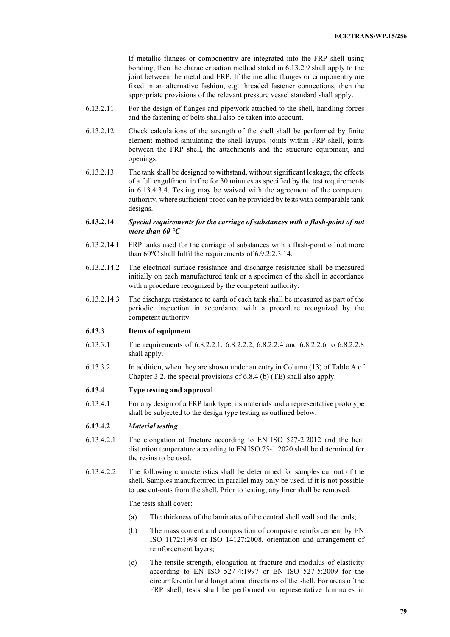If metallic flanges or componentry are integrated into the FRP shell using bonding, then the characterisation method stated in 6.13.2.9 shall apply to the joint between the metal and FRP. If the metallic flanges or componentry are fixed in an alternative fashion, e.g. threaded fastener connections, then the appropriate provisions of the relevant pressure vessel standard shall apply.

- 6.13.2.11 For the design of flanges and pipework attached to the shell, handling forces and the fastening of bolts shall also be taken into account.
- 6.13.2.12 Check calculations of the strength of the shell shall be performed by finite element method simulating the shell layups, joints within FRP shell, joints between the FRP shell, the attachments and the structure equipment, and openings.
- 6.13.2.13 The tank shall be designed to withstand, without significant leakage, the effects of a full engulfment in fire for 30 minutes as specified by the test requirements in 6.13.4.3.4. Testing may be waived with the agreement of the competent authority, where sufficient proof can be provided by tests with comparable tank designs.
- **6.13.2.14** *Special requirements for the carriage of substances with a flash-point of not more than 60 °C*
- 6.13.2.14.1 FRP tanks used for the carriage of substances with a flash-point of not more than 60°C shall fulfil the requirements of 6.9.2.2.3.14.
- 6.13.2.14.2 The electrical surface-resistance and discharge resistance shall be measured initially on each manufactured tank or a specimen of the shell in accordance with a procedure recognized by the competent authority.
- 6.13.2.14.3 The discharge resistance to earth of each tank shall be measured as part of the periodic inspection in accordance with a procedure recognized by the competent authority.

#### **6.13.3 Items of equipment**

- 6.13.3.1 The requirements of 6.8.2.2.1, 6.8.2.2.2, 6.8.2.2.4 and 6.8.2.2.6 to 6.8.2.2.8 shall apply.
- 6.13.3.2 In addition, when they are shown under an entry in Column (13) of Table A of Chapter 3.2, the special provisions of 6.8.4 (b) (TE) shall also apply.

#### **6.13.4 Type testing and approval**

6.13.4.1 For any design of a FRP tank type, its materials and a representative prototype shall be subjected to the design type testing as outlined below.

### **6.13.4.2** *Material testing*

- 6.13.4.2.1 The elongation at fracture according to EN ISO 527-2:2012 and the heat distortion temperature according to EN ISO 75-1:2020 shall be determined for the resins to be used.
- 6.13.4.2.2 The following characteristics shall be determined for samples cut out of the shell. Samples manufactured in parallel may only be used, if it is not possible to use cut-outs from the shell. Prior to testing, any liner shall be removed.

The tests shall cover:

- (a) The thickness of the laminates of the central shell wall and the ends;
- (b) The mass content and composition of composite reinforcement by EN ISO 1172:1998 or ISO 14127:2008, orientation and arrangement of reinforcement layers;
- (c) The tensile strength, elongation at fracture and modulus of elasticity according to EN ISO 527-4:1997 or EN ISO 527-5:2009 for the circumferential and longitudinal directions of the shell. For areas of the FRP shell, tests shall be performed on representative laminates in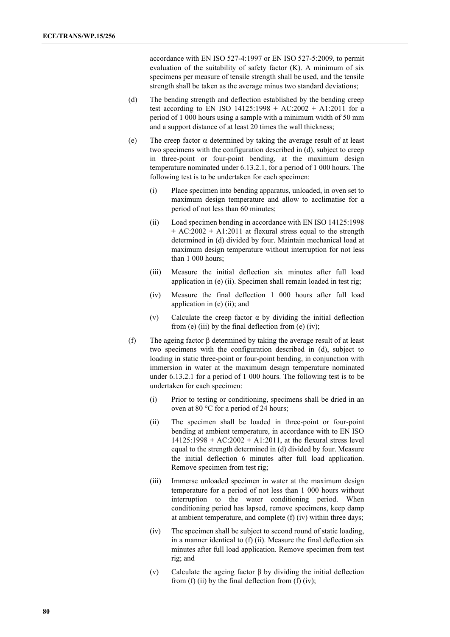accordance with EN ISO 527-4:1997 or EN ISO 527-5:2009, to permit evaluation of the suitability of safety factor (K). A minimum of six specimens per measure of tensile strength shall be used, and the tensile strength shall be taken as the average minus two standard deviations;

- (d) The bending strength and deflection established by the bending creep test according to EN ISO 14125:1998 + AC:2002 + A1:2011 for a period of 1 000 hours using a sample with a minimum width of 50 mm and a support distance of at least 20 times the wall thickness;
- (e) The creep factor  $\alpha$  determined by taking the average result of at least two specimens with the configuration described in (d), subject to creep in three-point or four-point bending, at the maximum design temperature nominated under 6.13.2.1, for a period of 1 000 hours. The following test is to be undertaken for each specimen:
	- (i) Place specimen into bending apparatus, unloaded, in oven set to maximum design temperature and allow to acclimatise for a period of not less than 60 minutes;
	- (ii) Load specimen bending in accordance with EN ISO 14125:1998  $+ AC:2002 + A1:2011$  at flexural stress equal to the strength determined in (d) divided by four. Maintain mechanical load at maximum design temperature without interruption for not less than 1 000 hours;
	- (iii) Measure the initial deflection six minutes after full load application in (e) (ii). Specimen shall remain loaded in test rig;
	- (iv) Measure the final deflection 1 000 hours after full load application in (e) (ii); and
	- (v) Calculate the creep factor  $\alpha$  by dividing the initial deflection from (e) (iii) by the final deflection from (e) (iv);
- (f) The ageing factor β determined by taking the average result of at least two specimens with the configuration described in (d), subject to loading in static three-point or four-point bending, in conjunction with immersion in water at the maximum design temperature nominated under 6.13.2.1 for a period of 1 000 hours. The following test is to be undertaken for each specimen:
	- (i) Prior to testing or conditioning, specimens shall be dried in an oven at 80 °C for a period of 24 hours;
	- (ii) The specimen shall be loaded in three-point or four-point bending at ambient temperature, in accordance with to EN ISO  $14125:1998 + AC:2002 + A1:2011$ , at the flexural stress level equal to the strength determined in (d) divided by four. Measure the initial deflection 6 minutes after full load application. Remove specimen from test rig;
	- (iii) Immerse unloaded specimen in water at the maximum design temperature for a period of not less than 1 000 hours without interruption to the water conditioning period. When conditioning period has lapsed, remove specimens, keep damp at ambient temperature, and complete (f) (iv) within three days;
	- (iv) The specimen shall be subject to second round of static loading, in a manner identical to (f) (ii). Measure the final deflection six minutes after full load application. Remove specimen from test rig; and
	- (v) Calculate the ageing factor  $\beta$  by dividing the initial deflection from  $(f)$  (ii) by the final deflection from  $(f)$  (iv);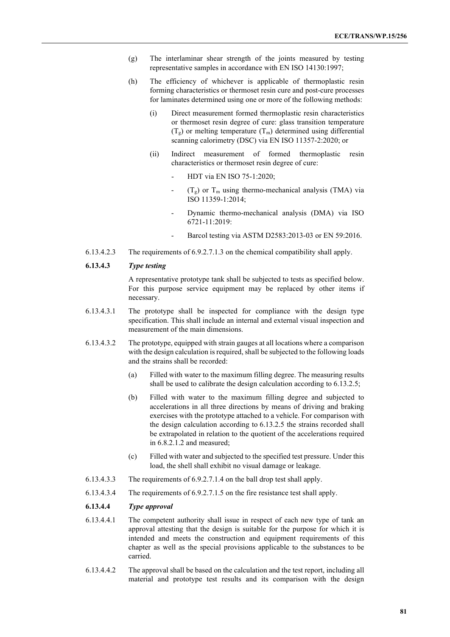- (g) The interlaminar shear strength of the joints measured by testing representative samples in accordance with EN ISO 14130:1997;
- (h) The efficiency of whichever is applicable of thermoplastic resin forming characteristics or thermoset resin cure and post-cure processes for laminates determined using one or more of the following methods:
	- (i) Direct measurement formed thermoplastic resin characteristics or thermoset resin degree of cure: glass transition temperature  $(T<sub>g</sub>)$  or melting temperature  $(T<sub>m</sub>)$  determined using differential scanning calorimetry (DSC) via EN ISO 11357-2:2020; or
	- (ii) Indirect measurement of formed thermoplastic resin characteristics or thermoset resin degree of cure:
		- HDT via EN ISО 75-1:2020;
		- $(T_g)$  or  $T_m$  using thermo-mechanical analysis (TMA) via ISO 11359-1:2014;
		- Dynamic thermo-mechanical analysis (DMA) via ISO 6721-11:2019:
		- Barcol testing via ASTM D2583:2013-03 or EN 59:2016.
- 6.13.4.2.3 The requirements of 6.9.2.7.1.3 on the chemical compatibility shall apply.

#### **6.13.4.3** *Type testing*

A representative prototype tank shall be subjected to tests as specified below. For this purpose service equipment may be replaced by other items if necessary.

- 6.13.4.3.1 The prototype shall be inspected for compliance with the design type specification. This shall include an internal and external visual inspection and measurement of the main dimensions.
- 6.13.4.3.2 The prototype, equipped with strain gauges at all locations where a comparison with the design calculation is required, shall be subjected to the following loads and the strains shall be recorded:
	- (a) Filled with water to the maximum filling degree. The measuring results shall be used to calibrate the design calculation according to 6.13.2.5;
	- (b) Filled with water to the maximum filling degree and subjected to accelerations in all three directions by means of driving and braking exercises with the prototype attached to a vehicle. For comparison with the design calculation according to 6.13.2.5 the strains recorded shall be extrapolated in relation to the quotient of the accelerations required in 6.8.2.1.2 and measured;
	- (c) Filled with water and subjected to the specified test pressure. Under this load, the shell shall exhibit no visual damage or leakage.
- 6.13.4.3.3 The requirements of 6.9.2.7.1.4 on the ball drop test shall apply.
- 6.13.4.3.4 The requirements of 6.9.2.7.1.5 on the fire resistance test shall apply.

#### **6.13.4.4** *Type approval*

- 6.13.4.4.1 The competent authority shall issue in respect of each new type of tank an approval attesting that the design is suitable for the purpose for which it is intended and meets the construction and equipment requirements of this chapter as well as the special provisions applicable to the substances to be carried.
- 6.13.4.4.2 The approval shall be based on the calculation and the test report, including all material and prototype test results and its comparison with the design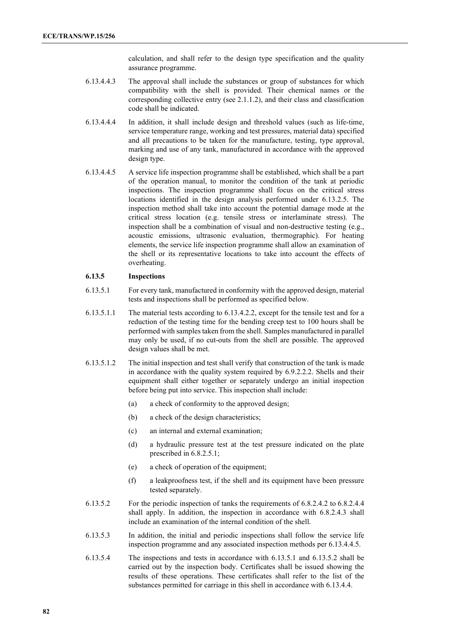calculation, and shall refer to the design type specification and the quality assurance programme.

- 6.13.4.4.3 The approval shall include the substances or group of substances for which compatibility with the shell is provided. Their chemical names or the corresponding collective entry (see 2.1.1.2), and their class and classification code shall be indicated.
- 6.13.4.4.4 In addition, it shall include design and threshold values (such as life-time, service temperature range, working and test pressures, material data) specified and all precautions to be taken for the manufacture, testing, type approval, marking and use of any tank, manufactured in accordance with the approved design type.
- 6.13.4.4.5 A service life inspection programme shall be established, which shall be a part of the operation manual, to monitor the condition of the tank at periodic inspections. The inspection programme shall focus on the critical stress locations identified in the design analysis performed under 6.13.2.5. The inspection method shall take into account the potential damage mode at the critical stress location (e.g. tensile stress or interlaminate stress). The inspection shall be a combination of visual and non-destructive testing (e.g., acoustic emissions, ultrasonic evaluation, thermographic). For heating elements, the service life inspection programme shall allow an examination of the shell or its representative locations to take into account the effects of overheating.

### **6.13.5 Inspections**

- 6.13.5.1 For every tank, manufactured in conformity with the approved design, material tests and inspections shall be performed as specified below.
- 6.13.5.1.1 The material tests according to 6.13.4.2.2, except for the tensile test and for a reduction of the testing time for the bending creep test to 100 hours shall be performed with samples taken from the shell. Samples manufactured in parallel may only be used, if no cut-outs from the shell are possible. The approved design values shall be met.
- 6.13.5.1.2 The initial inspection and test shall verify that construction of the tank is made in accordance with the quality system required by 6.9.2.2.2. Shells and their equipment shall either together or separately undergo an initial inspection before being put into service. This inspection shall include:
	- (a) a check of conformity to the approved design;
	- (b) a check of the design characteristics;
	- (c) an internal and external examination;
	- (d) a hydraulic pressure test at the test pressure indicated on the plate prescribed in 6.8.2.5.1;
	- (e) a check of operation of the equipment;
	- (f) a leakproofness test, if the shell and its equipment have been pressure tested separately.
- 6.13.5.2 For the periodic inspection of tanks the requirements of 6.8.2.4.2 to 6.8.2.4.4 shall apply. In addition, the inspection in accordance with 6.8.2.4.3 shall include an examination of the internal condition of the shell.
- 6.13.5.3 In addition, the initial and periodic inspections shall follow the service life inspection programme and any associated inspection methods per 6.13.4.4.5.
- 6.13.5.4 The inspections and tests in accordance with 6.13.5.1 and 6.13.5.2 shall be carried out by the inspection body. Certificates shall be issued showing the results of these operations. These certificates shall refer to the list of the substances permitted for carriage in this shell in accordance with 6.13.4.4.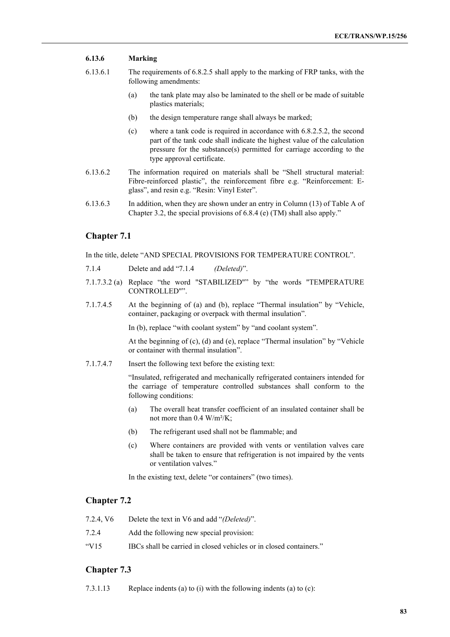## **6.13.6 Marking**

- 6.13.6.1 The requirements of 6.8.2.5 shall apply to the marking of FRP tanks, with the following amendments:
	- (a) the tank plate may also be laminated to the shell or be made of suitable plastics materials;
	- (b) the design temperature range shall always be marked;
	- (c) where a tank code is required in accordance with 6.8.2.5.2, the second part of the tank code shall indicate the highest value of the calculation pressure for the substance(s) permitted for carriage according to the type approval certificate.
- 6.13.6.2 The information required on materials shall be "Shell structural material: Fibre-reinforced plastic", the reinforcement fibre e.g. "Reinforcement: Eglass", and resin e.g. "Resin: Vinyl Ester".
- 6.13.6.3 In addition, when they are shown under an entry in Column (13) of Table A of Chapter 3.2, the special provisions of 6.8.4 (e) (TM) shall also apply."

## **Chapter 7.1**

In the title, delete "AND SPECIAL PROVISIONS FOR TEMPERATURE CONTROL".

- 7.1.4 Delete and add "7.1.4 *(Deleted)*".
- 7.1.7.3.2 (a) Replace "the word "STABILIZED"" by "the words "TEMPERATURE CONTROLLED"".
- 7.1.7.4.5 At the beginning of (a) and (b), replace "Thermal insulation" by "Vehicle, container, packaging or overpack with thermal insulation".

In (b), replace "with coolant system" by "and coolant system".

At the beginning of (c), (d) and (e), replace "Thermal insulation" by "Vehicle or container with thermal insulation".

7.1.7.4.7 Insert the following text before the existing text:

"Insulated, refrigerated and mechanically refrigerated containers intended for the carriage of temperature controlled substances shall conform to the following conditions:

- (a) The overall heat transfer coefficient of an insulated container shall be not more than 0.4 W/m²/K;
- (b) The refrigerant used shall not be flammable; and
- (c) Where containers are provided with vents or ventilation valves care shall be taken to ensure that refrigeration is not impaired by the vents or ventilation valves."

In the existing text, delete "or containers" (two times).

## **Chapter 7.2**

| 7.2.4. V <sub>6</sub>     | Delete the text in V6 and add "(Deleted)".                         |
|---------------------------|--------------------------------------------------------------------|
| 7.2.4                     | Add the following new special provision:                           |
| $\frac{1}{2}$ $\sqrt{15}$ | IBCs shall be carried in closed vehicles or in closed containers." |

# **Chapter 7.3**

7.3.1.13 Replace indents (a) to (i) with the following indents (a) to (c):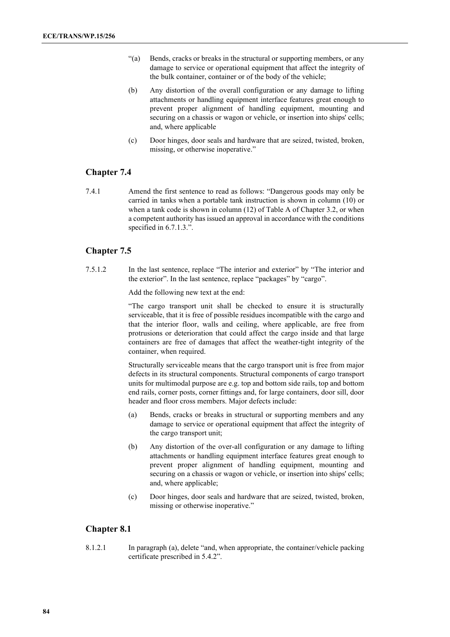- "(a) Bends, cracks or breaks in the structural or supporting members, or any damage to service or operational equipment that affect the integrity of the bulk container, container or of the body of the vehicle;
- (b) Any distortion of the overall configuration or any damage to lifting attachments or handling equipment interface features great enough to prevent proper alignment of handling equipment, mounting and securing on a chassis or wagon or vehicle, or insertion into ships' cells; and, where applicable
- (c) Door hinges, door seals and hardware that are seized, twisted, broken, missing, or otherwise inoperative."

# **Chapter 7.4**

7.4.1 Amend the first sentence to read as follows: "Dangerous goods may only be carried in tanks when a portable tank instruction is shown in column (10) or when a tank code is shown in column (12) of Table A of Chapter 3.2, or when a competent authority has issued an approval in accordance with the conditions specified in 6.7.1.3.".

# **Chapter 7.5**

7.5.1.2 In the last sentence, replace "The interior and exterior" by "The interior and the exterior". In the last sentence, replace "packages" by "cargo".

Add the following new text at the end:

"The cargo transport unit shall be checked to ensure it is structurally serviceable, that it is free of possible residues incompatible with the cargo and that the interior floor, walls and ceiling, where applicable, are free from protrusions or deterioration that could affect the cargo inside and that large containers are free of damages that affect the weather-tight integrity of the container, when required.

Structurally serviceable means that the cargo transport unit is free from major defects in its structural components. Structural components of cargo transport units for multimodal purpose are e.g. top and bottom side rails, top and bottom end rails, corner posts, corner fittings and, for large containers, door sill, door header and floor cross members. Major defects include:

- (a) Bends, cracks or breaks in structural or supporting members and any damage to service or operational equipment that affect the integrity of the cargo transport unit;
- (b) Any distortion of the over-all configuration or any damage to lifting attachments or handling equipment interface features great enough to prevent proper alignment of handling equipment, mounting and securing on a chassis or wagon or vehicle, or insertion into ships' cells; and, where applicable;
- (c) Door hinges, door seals and hardware that are seized, twisted, broken, missing or otherwise inoperative."

# **Chapter 8.1**

8.1.2.1 In paragraph (a), delete "and, when appropriate, the container/vehicle packing certificate prescribed in 5.4.2".